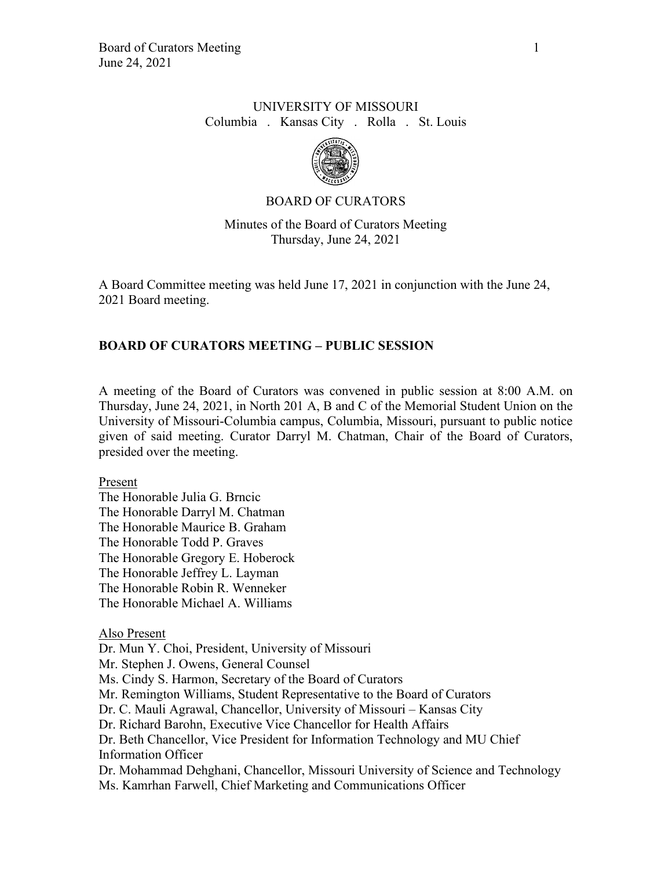# UNIVERSITY OF MISSOURI Columbia . Kansas City . Rolla . St. Louis



# BOARD OF CURATORS

Minutes of the Board of Curators Meeting Thursday, June 24, 2021

A Board Committee meeting was held June 17, 2021 in conjunction with the June 24, 2021 Board meeting.

# **BOARD OF CURATORS MEETING – PUBLIC SESSION**

A meeting of the Board of Curators was convened in public session at 8:00 A.M. on Thursday, June 24, 2021, in North 201 A, B and C of the Memorial Student Union on the University of Missouri-Columbia campus, Columbia, Missouri, pursuant to public notice given of said meeting. Curator Darryl M. Chatman, Chair of the Board of Curators, presided over the meeting.

### Present

The Honorable Julia G. Brncic The Honorable Darryl M. Chatman The Honorable Maurice B. Graham The Honorable Todd P. Graves The Honorable Gregory E. Hoberock The Honorable Jeffrey L. Layman The Honorable Robin R. Wenneker The Honorable Michael A. Williams

### Also Present

Dr. Mun Y. Choi, President, University of Missouri Mr. Stephen J. Owens, General Counsel Ms. Cindy S. Harmon, Secretary of the Board of Curators Mr. Remington Williams, Student Representative to the Board of Curators Dr. C. Mauli Agrawal, Chancellor, University of Missouri – Kansas City Dr. Richard Barohn, Executive Vice Chancellor for Health Affairs Dr. Beth Chancellor, Vice President for Information Technology and MU Chief Information Officer Dr. Mohammad Dehghani, Chancellor, Missouri University of Science and Technology Ms. Kamrhan Farwell, Chief Marketing and Communications Officer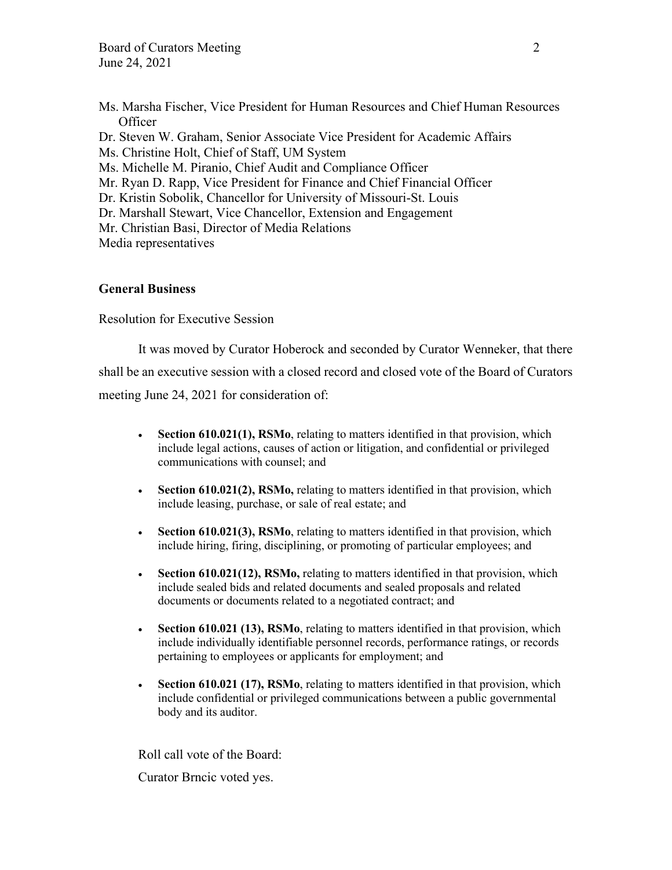- Ms. Marsha Fischer, Vice President for Human Resources and Chief Human Resources **Officer**
- Dr. Steven W. Graham, Senior Associate Vice President for Academic Affairs
- Ms. Christine Holt, Chief of Staff, UM System
- Ms. Michelle M. Piranio, Chief Audit and Compliance Officer
- Mr. Ryan D. Rapp, Vice President for Finance and Chief Financial Officer
- Dr. Kristin Sobolik, Chancellor for University of Missouri-St. Louis
- Dr. Marshall Stewart, Vice Chancellor, Extension and Engagement
- Mr. Christian Basi, Director of Media Relations
- Media representatives

#### **General Business**

Resolution for Executive Session

It was moved by Curator Hoberock and seconded by Curator Wenneker, that there shall be an executive session with a closed record and closed vote of the Board of Curators meeting June 24, 2021 for consideration of:

- **Section 610.021(1), RSMo**, relating to matters identified in that provision, which include legal actions, causes of action or litigation, and confidential or privileged communications with counsel; and
- **Section 610.021(2), RSMo,** relating to matters identified in that provision, which include leasing, purchase, or sale of real estate; and
- **Section 610.021(3), RSMo**, relating to matters identified in that provision, which include hiring, firing, disciplining, or promoting of particular employees; and
- **Section 610.021(12), RSMo,** relating to matters identified in that provision, which include sealed bids and related documents and sealed proposals and related documents or documents related to a negotiated contract; and
- **Section 610.021 (13), RSMo**, relating to matters identified in that provision, which include individually identifiable personnel records, performance ratings, or records pertaining to employees or applicants for employment; and
- **Section 610.021 (17), RSMo**, relating to matters identified in that provision, which include confidential or privileged communications between a public governmental body and its auditor.

Roll call vote of the Board:

Curator Brncic voted yes.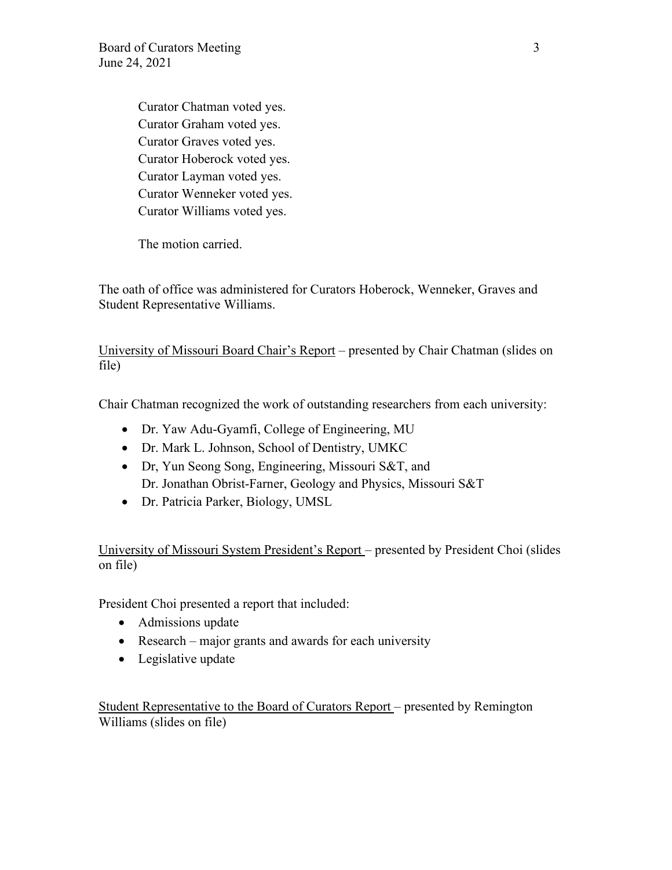Curator Chatman voted yes. Curator Graham voted yes. Curator Graves voted yes. Curator Hoberock voted yes. Curator Layman voted yes. Curator Wenneker voted yes. Curator Williams voted yes.

The motion carried.

The oath of office was administered for Curators Hoberock, Wenneker, Graves and Student Representative Williams.

University of Missouri Board Chair's Report – presented by Chair Chatman (slides on file)

Chair Chatman recognized the work of outstanding researchers from each university:

- Dr. Yaw Adu-Gyamfi, College of Engineering, MU
- Dr. Mark L. Johnson, School of Dentistry, UMKC
- Dr, Yun Seong Song, Engineering, Missouri S&T, and Dr. Jonathan Obrist-Farner, Geology and Physics, Missouri S&T
- Dr. Patricia Parker, Biology, UMSL

University of Missouri System President's Report – presented by President Choi (slides on file)

President Choi presented a report that included:

- Admissions update
- Research major grants and awards for each university
- Legislative update

Student Representative to the Board of Curators Report – presented by Remington Williams (slides on file)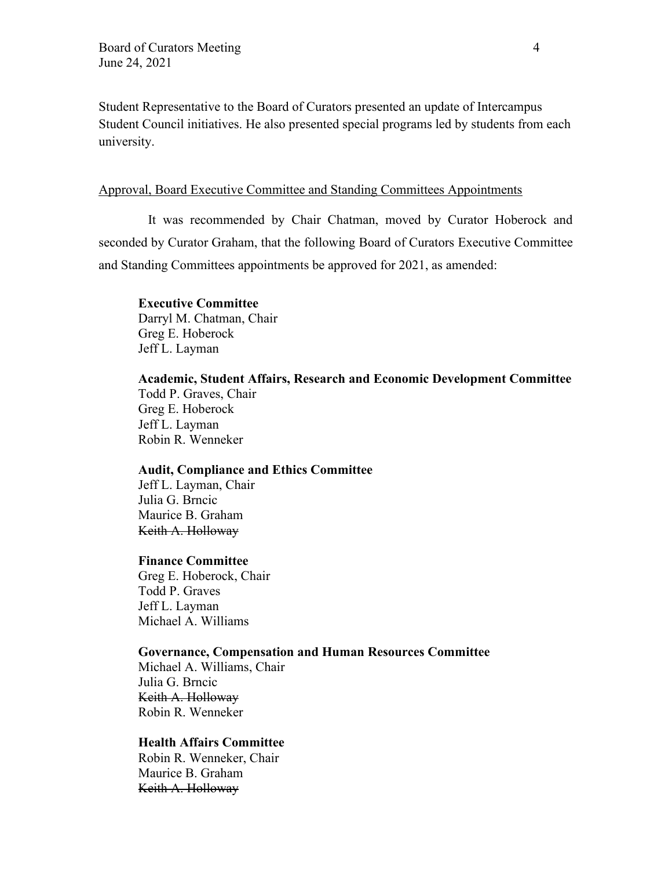Student Representative to the Board of Curators presented an update of Intercampus Student Council initiatives. He also presented special programs led by students from each university.

#### Approval, Board Executive Committee and Standing Committees Appointments

It was recommended by Chair Chatman, moved by Curator Hoberock and seconded by Curator Graham, that the following Board of Curators Executive Committee and Standing Committees appointments be approved for 2021, as amended:

# **Executive Committee**

Darryl M. Chatman, Chair Greg E. Hoberock Jeff L. Layman

#### **Academic, Student Affairs, Research and Economic Development Committee** Todd P. Graves, Chair

Greg E. Hoberock Jeff L. Layman Robin R. Wenneker

#### **Audit, Compliance and Ethics Committee**

Jeff L. Layman, Chair Julia G. Brncic Maurice B. Graham Keith A. Holloway

#### **Finance Committee**

Greg E. Hoberock, Chair Todd P. Graves Jeff L. Layman Michael A. Williams

#### **Governance, Compensation and Human Resources Committee**

Michael A. Williams, Chair Julia G. Brncic Keith A. Holloway Robin R. Wenneker

# **Health Affairs Committee**

 Robin R. Wenneker, Chair Maurice B. Graham Keith A. Holloway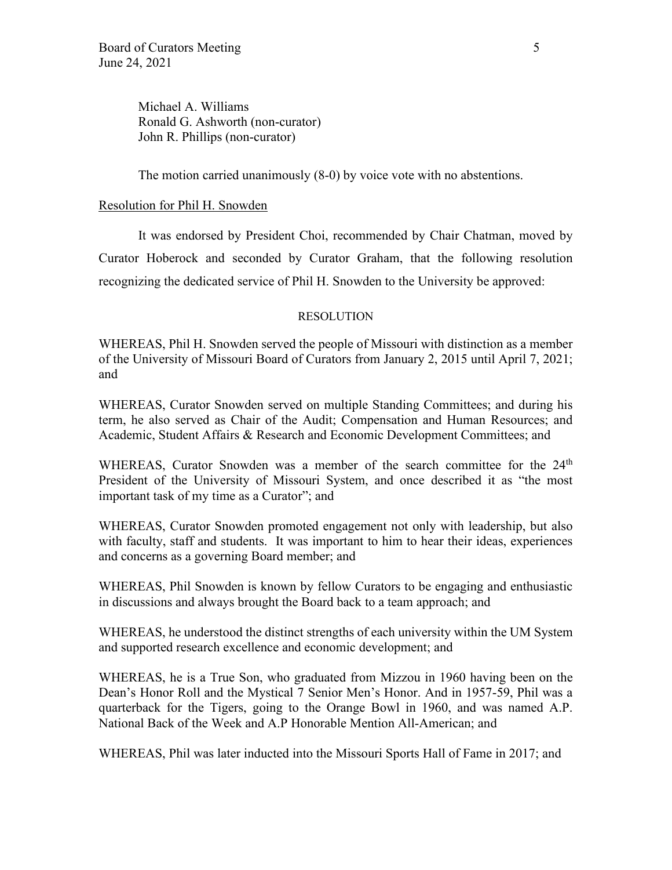Michael A. Williams Ronald G. Ashworth (non-curator) John R. Phillips (non-curator)

The motion carried unanimously (8-0) by voice vote with no abstentions.

### Resolution for Phil H. Snowden

It was endorsed by President Choi, recommended by Chair Chatman, moved by Curator Hoberock and seconded by Curator Graham, that the following resolution recognizing the dedicated service of Phil H. Snowden to the University be approved:

### RESOLUTION

WHEREAS, Phil H. Snowden served the people of Missouri with distinction as a member of the University of Missouri Board of Curators from January 2, 2015 until April 7, 2021; and

WHEREAS, Curator Snowden served on multiple Standing Committees; and during his term, he also served as Chair of the Audit; Compensation and Human Resources; and Academic, Student Affairs & Research and Economic Development Committees; and

WHEREAS, Curator Snowden was a member of the search committee for the 24<sup>th</sup> President of the University of Missouri System, and once described it as "the most important task of my time as a Curator"; and

WHEREAS, Curator Snowden promoted engagement not only with leadership, but also with faculty, staff and students. It was important to him to hear their ideas, experiences and concerns as a governing Board member; and

WHEREAS, Phil Snowden is known by fellow Curators to be engaging and enthusiastic in discussions and always brought the Board back to a team approach; and

WHEREAS, he understood the distinct strengths of each university within the UM System and supported research excellence and economic development; and

WHEREAS, he is a True Son, who graduated from Mizzou in 1960 having been on the Dean's Honor Roll and the Mystical 7 Senior Men's Honor. And in 1957-59, Phil was a quarterback for the Tigers, going to the Orange Bowl in 1960, and was named A.P. National Back of the Week and A.P Honorable Mention All-American; and

WHEREAS, Phil was later inducted into the Missouri Sports Hall of Fame in 2017; and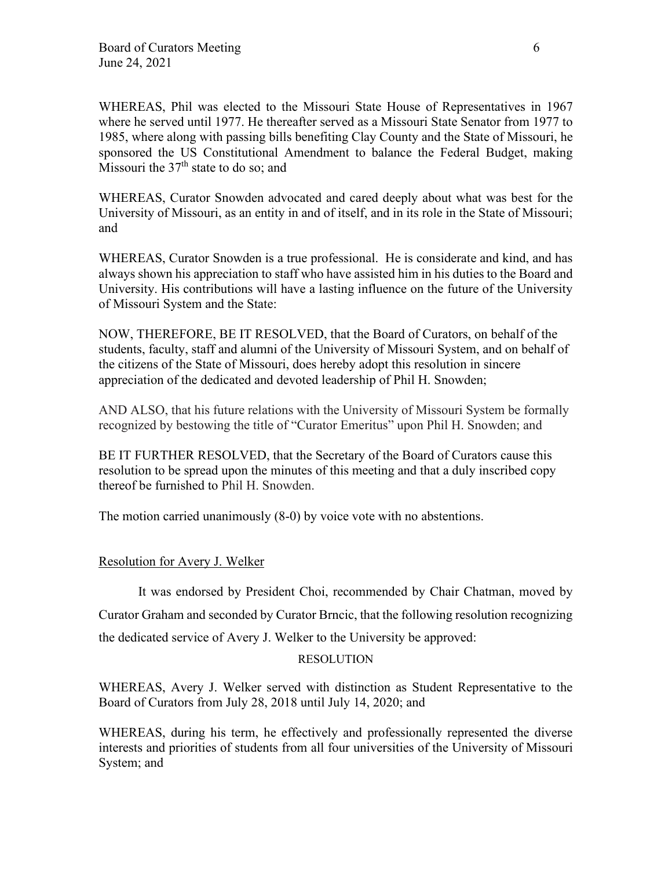WHEREAS, Phil was elected to the Missouri State House of Representatives in 1967 where he served until 1977. He thereafter served as a Missouri State Senator from 1977 to 1985, where along with passing bills benefiting Clay County and the State of Missouri, he sponsored the US Constitutional Amendment to balance the Federal Budget, making Missouri the  $37<sup>th</sup>$  state to do so; and

WHEREAS, Curator Snowden advocated and cared deeply about what was best for the University of Missouri, as an entity in and of itself, and in its role in the State of Missouri; and

WHEREAS, Curator Snowden is a true professional. He is considerate and kind, and has always shown his appreciation to staff who have assisted him in his duties to the Board and University. His contributions will have a lasting influence on the future of the University of Missouri System and the State:

NOW, THEREFORE, BE IT RESOLVED, that the Board of Curators, on behalf of the students, faculty, staff and alumni of the University of Missouri System, and on behalf of the citizens of the State of Missouri, does hereby adopt this resolution in sincere appreciation of the dedicated and devoted leadership of Phil H. Snowden;

AND ALSO, that his future relations with the University of Missouri System be formally recognized by bestowing the title of "Curator Emeritus" upon Phil H. Snowden; and

BE IT FURTHER RESOLVED, that the Secretary of the Board of Curators cause this resolution to be spread upon the minutes of this meeting and that a duly inscribed copy thereof be furnished to Phil H. Snowden.

The motion carried unanimously (8-0) by voice vote with no abstentions.

# Resolution for Avery J. Welker

It was endorsed by President Choi, recommended by Chair Chatman, moved by Curator Graham and seconded by Curator Brncic, that the following resolution recognizing the dedicated service of Avery J. Welker to the University be approved:

### RESOLUTION

WHEREAS, Avery J. Welker served with distinction as Student Representative to the Board of Curators from July 28, 2018 until July 14, 2020; and

WHEREAS, during his term, he effectively and professionally represented the diverse interests and priorities of students from all four universities of the University of Missouri System; and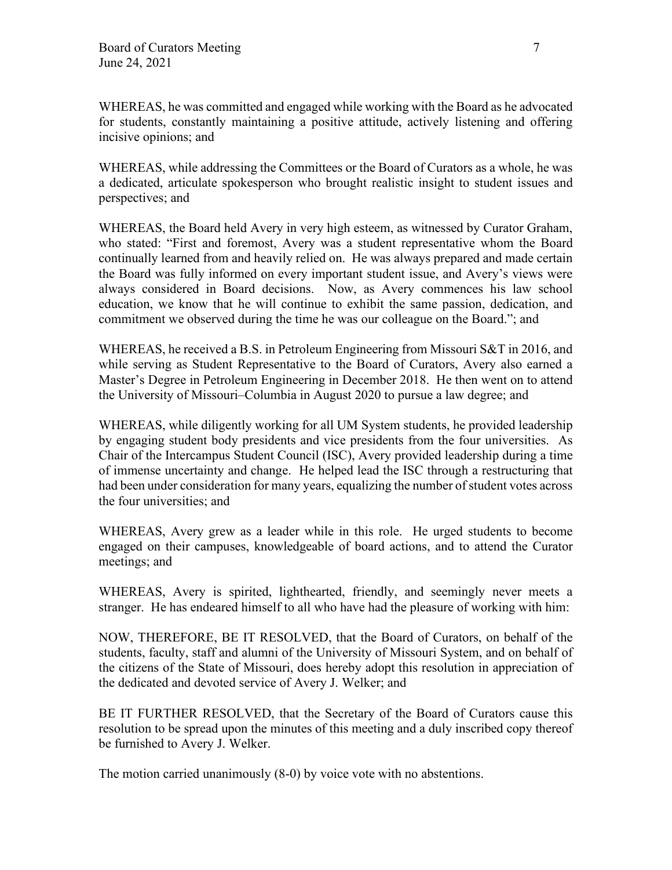WHEREAS, he was committed and engaged while working with the Board as he advocated for students, constantly maintaining a positive attitude, actively listening and offering incisive opinions; and

WHEREAS, while addressing the Committees or the Board of Curators as a whole, he was a dedicated, articulate spokesperson who brought realistic insight to student issues and perspectives; and

WHEREAS, the Board held Avery in very high esteem, as witnessed by Curator Graham, who stated: "First and foremost, Avery was a student representative whom the Board continually learned from and heavily relied on. He was always prepared and made certain the Board was fully informed on every important student issue, and Avery's views were always considered in Board decisions. Now, as Avery commences his law school education, we know that he will continue to exhibit the same passion, dedication, and commitment we observed during the time he was our colleague on the Board."; and

WHEREAS, he received a B.S. in Petroleum Engineering from Missouri S&T in 2016, and while serving as Student Representative to the Board of Curators, Avery also earned a Master's Degree in Petroleum Engineering in December 2018. He then went on to attend the University of Missouri–Columbia in August 2020 to pursue a law degree; and

WHEREAS, while diligently working for all UM System students, he provided leadership by engaging student body presidents and vice presidents from the four universities. As Chair of the Intercampus Student Council (ISC), Avery provided leadership during a time of immense uncertainty and change. He helped lead the ISC through a restructuring that had been under consideration for many years, equalizing the number of student votes across the four universities; and

WHEREAS, Avery grew as a leader while in this role. He urged students to become engaged on their campuses, knowledgeable of board actions, and to attend the Curator meetings; and

WHEREAS, Avery is spirited, lighthearted, friendly, and seemingly never meets a stranger. He has endeared himself to all who have had the pleasure of working with him:

NOW, THEREFORE, BE IT RESOLVED, that the Board of Curators, on behalf of the students, faculty, staff and alumni of the University of Missouri System, and on behalf of the citizens of the State of Missouri, does hereby adopt this resolution in appreciation of the dedicated and devoted service of Avery J. Welker; and

BE IT FURTHER RESOLVED, that the Secretary of the Board of Curators cause this resolution to be spread upon the minutes of this meeting and a duly inscribed copy thereof be furnished to Avery J. Welker.

The motion carried unanimously (8-0) by voice vote with no abstentions.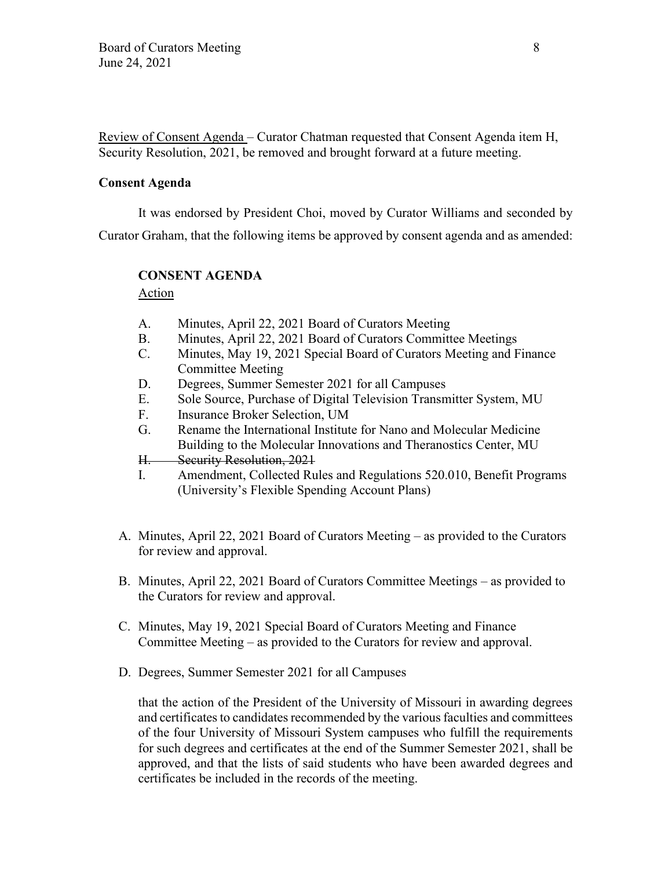Review of Consent Agenda – Curator Chatman requested that Consent Agenda item H, Security Resolution, 2021, be removed and brought forward at a future meeting.

### **Consent Agenda**

It was endorsed by President Choi, moved by Curator Williams and seconded by Curator Graham, that the following items be approved by consent agenda and as amended:

# **CONSENT AGENDA**

Action

- A. Minutes, April 22, 2021 Board of Curators Meeting
- B. Minutes, April 22, 2021 Board of Curators Committee Meetings
- C. Minutes, May 19, 2021 Special Board of Curators Meeting and Finance Committee Meeting
- D. Degrees, Summer Semester 2021 for all Campuses
- E. Sole Source, Purchase of Digital Television Transmitter System, MU
- F. Insurance Broker Selection, UM
- G. Rename the International Institute for Nano and Molecular Medicine Building to the Molecular Innovations and Theranostics Center, MU
- H. Security Resolution, 2021
- I. Amendment, Collected Rules and Regulations 520.010, Benefit Programs (University's Flexible Spending Account Plans)
- A. Minutes, April 22, 2021 Board of Curators Meeting as provided to the Curators for review and approval.
- B. Minutes, April 22, 2021 Board of Curators Committee Meetings as provided to the Curators for review and approval.
- C. Minutes, May 19, 2021 Special Board of Curators Meeting and Finance Committee Meeting – as provided to the Curators for review and approval.
- D. Degrees, Summer Semester 2021 for all Campuses

that the action of the President of the University of Missouri in awarding degrees and certificates to candidates recommended by the various faculties and committees of the four University of Missouri System campuses who fulfill the requirements for such degrees and certificates at the end of the Summer Semester 2021, shall be approved, and that the lists of said students who have been awarded degrees and certificates be included in the records of the meeting.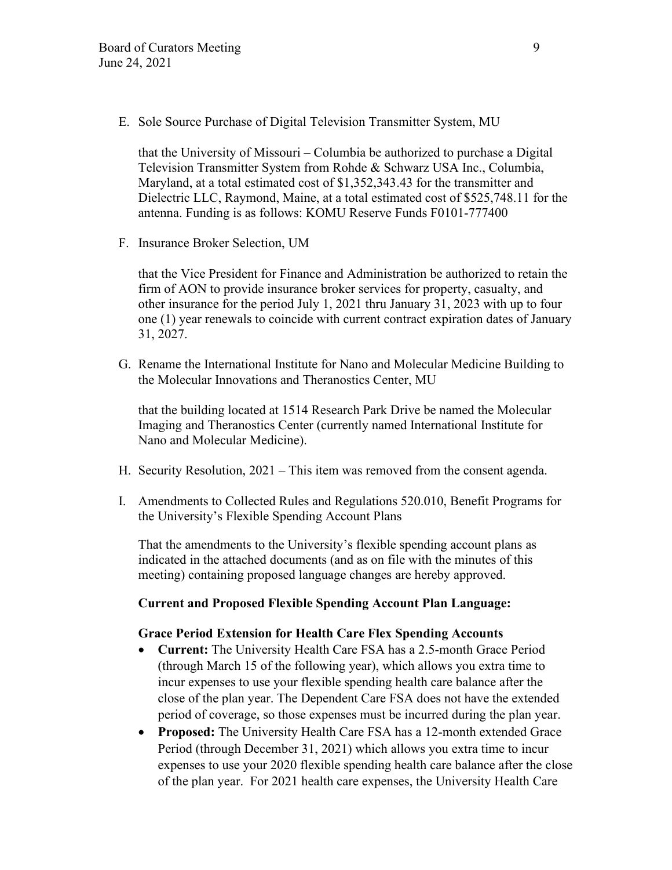E. Sole Source Purchase of Digital Television Transmitter System, MU

that the University of Missouri – Columbia be authorized to purchase a Digital Television Transmitter System from Rohde & Schwarz USA Inc., Columbia, Maryland, at a total estimated cost of \$1,352,343.43 for the transmitter and Dielectric LLC, Raymond, Maine, at a total estimated cost of \$525,748.11 for the antenna. Funding is as follows: KOMU Reserve Funds F0101-777400

F. Insurance Broker Selection, UM

that the Vice President for Finance and Administration be authorized to retain the firm of AON to provide insurance broker services for property, casualty, and other insurance for the period July 1, 2021 thru January 31, 2023 with up to four one (1) year renewals to coincide with current contract expiration dates of January 31, 2027.

G. Rename the International Institute for Nano and Molecular Medicine Building to the Molecular Innovations and Theranostics Center, MU

that the building located at 1514 Research Park Drive be named the Molecular Imaging and Theranostics Center (currently named International Institute for Nano and Molecular Medicine).

- H. Security Resolution, 2021 This item was removed from the consent agenda.
- I. Amendments to Collected Rules and Regulations 520.010, Benefit Programs for the University's Flexible Spending Account Plans

That the amendments to the University's flexible spending account plans as indicated in the attached documents (and as on file with the minutes of this meeting) containing proposed language changes are hereby approved.

# **Current and Proposed Flexible Spending Account Plan Language:**

### **Grace Period Extension for Health Care Flex Spending Accounts**

- **Current:** The University Health Care FSA has a 2.5-month Grace Period (through March 15 of the following year), which allows you extra time to incur expenses to use your flexible spending health care balance after the close of the plan year. The Dependent Care FSA does not have the extended period of coverage, so those expenses must be incurred during the plan year.
- **Proposed:** The University Health Care FSA has a 12-month extended Grace Period (through December 31, 2021) which allows you extra time to incur expenses to use your 2020 flexible spending health care balance after the close of the plan year. For 2021 health care expenses, the University Health Care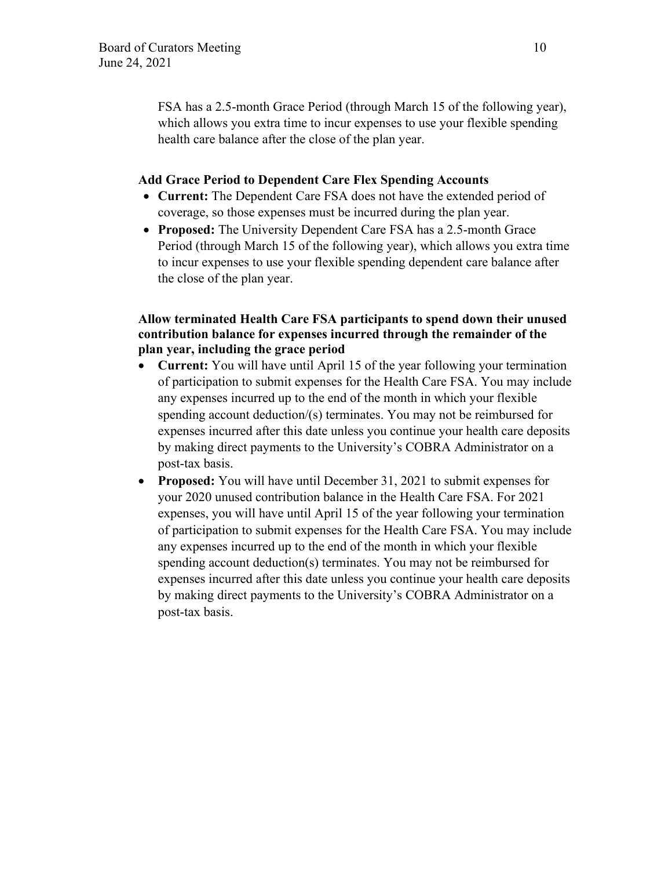FSA has a 2.5-month Grace Period (through March 15 of the following year), which allows you extra time to incur expenses to use your flexible spending health care balance after the close of the plan year.

### **Add Grace Period to Dependent Care Flex Spending Accounts**

- **Current:** The Dependent Care FSA does not have the extended period of coverage, so those expenses must be incurred during the plan year.
- **Proposed:** The University Dependent Care FSA has a 2.5-month Grace Period (through March 15 of the following year), which allows you extra time to incur expenses to use your flexible spending dependent care balance after the close of the plan year.

# **Allow terminated Health Care FSA participants to spend down their unused contribution balance for expenses incurred through the remainder of the plan year, including the grace period**

- **Current:** You will have until April 15 of the year following your termination of participation to submit expenses for the Health Care FSA. You may include any expenses incurred up to the end of the month in which your flexible spending account deduction/(s) terminates. You may not be reimbursed for expenses incurred after this date unless you continue your health care deposits by making direct payments to the University's COBRA Administrator on a post-tax basis.
- **Proposed:** You will have until December 31, 2021 to submit expenses for your 2020 unused contribution balance in the Health Care FSA. For 2021 expenses, you will have until April 15 of the year following your termination of participation to submit expenses for the Health Care FSA. You may include any expenses incurred up to the end of the month in which your flexible spending account deduction(s) terminates. You may not be reimbursed for expenses incurred after this date unless you continue your health care deposits by making direct payments to the University's COBRA Administrator on a post-tax basis.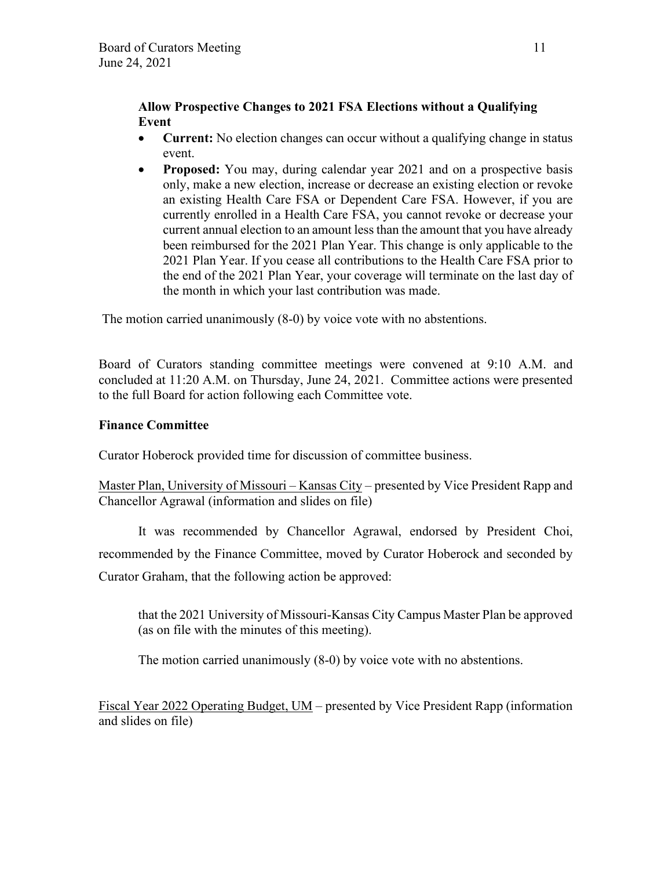# **Allow Prospective Changes to 2021 FSA Elections without a Qualifying Event**

- **Current:** No election changes can occur without a qualifying change in status event.
- **Proposed:** You may, during calendar year 2021 and on a prospective basis only, make a new election, increase or decrease an existing election or revoke an existing Health Care FSA or Dependent Care FSA. However, if you are currently enrolled in a Health Care FSA, you cannot revoke or decrease your current annual election to an amount less than the amount that you have already been reimbursed for the 2021 Plan Year. This change is only applicable to the 2021 Plan Year. If you cease all contributions to the Health Care FSA prior to the end of the 2021 Plan Year, your coverage will terminate on the last day of the month in which your last contribution was made.

The motion carried unanimously (8-0) by voice vote with no abstentions.

Board of Curators standing committee meetings were convened at 9:10 A.M. and concluded at 11:20 A.M. on Thursday, June 24, 2021. Committee actions were presented to the full Board for action following each Committee vote.

# **Finance Committee**

Curator Hoberock provided time for discussion of committee business.

Master Plan, University of Missouri – Kansas City – presented by Vice President Rapp and Chancellor Agrawal (information and slides on file)

It was recommended by Chancellor Agrawal, endorsed by President Choi, recommended by the Finance Committee, moved by Curator Hoberock and seconded by Curator Graham, that the following action be approved:

that the 2021 University of Missouri-Kansas City Campus Master Plan be approved (as on file with the minutes of this meeting).

The motion carried unanimously (8-0) by voice vote with no abstentions.

Fiscal Year 2022 Operating Budget, UM – presented by Vice President Rapp (information and slides on file)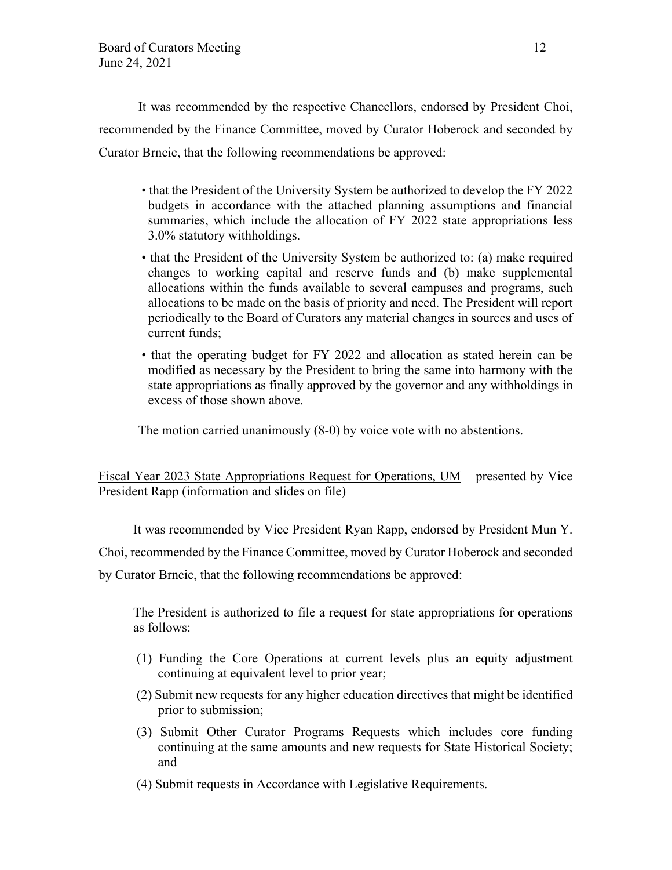It was recommended by the respective Chancellors, endorsed by President Choi, recommended by the Finance Committee, moved by Curator Hoberock and seconded by Curator Brncic, that the following recommendations be approved:

- that the President of the University System be authorized to develop the FY 2022 budgets in accordance with the attached planning assumptions and financial summaries, which include the allocation of FY 2022 state appropriations less 3.0% statutory withholdings.
- that the President of the University System be authorized to: (a) make required changes to working capital and reserve funds and (b) make supplemental allocations within the funds available to several campuses and programs, such allocations to be made on the basis of priority and need. The President will report periodically to the Board of Curators any material changes in sources and uses of current funds;
- that the operating budget for FY 2022 and allocation as stated herein can be modified as necessary by the President to bring the same into harmony with the state appropriations as finally approved by the governor and any withholdings in excess of those shown above.

The motion carried unanimously (8-0) by voice vote with no abstentions.

Fiscal Year 2023 State Appropriations Request for Operations, UM – presented by Vice President Rapp (information and slides on file)

It was recommended by Vice President Ryan Rapp, endorsed by President Mun Y.

Choi, recommended by the Finance Committee, moved by Curator Hoberock and seconded

by Curator Brncic, that the following recommendations be approved:

The President is authorized to file a request for state appropriations for operations as follows:

- (1) Funding the Core Operations at current levels plus an equity adjustment continuing at equivalent level to prior year;
- (2) Submit new requests for any higher education directives that might be identified prior to submission;
- (3) Submit Other Curator Programs Requests which includes core funding continuing at the same amounts and new requests for State Historical Society; and
- (4) Submit requests in Accordance with Legislative Requirements.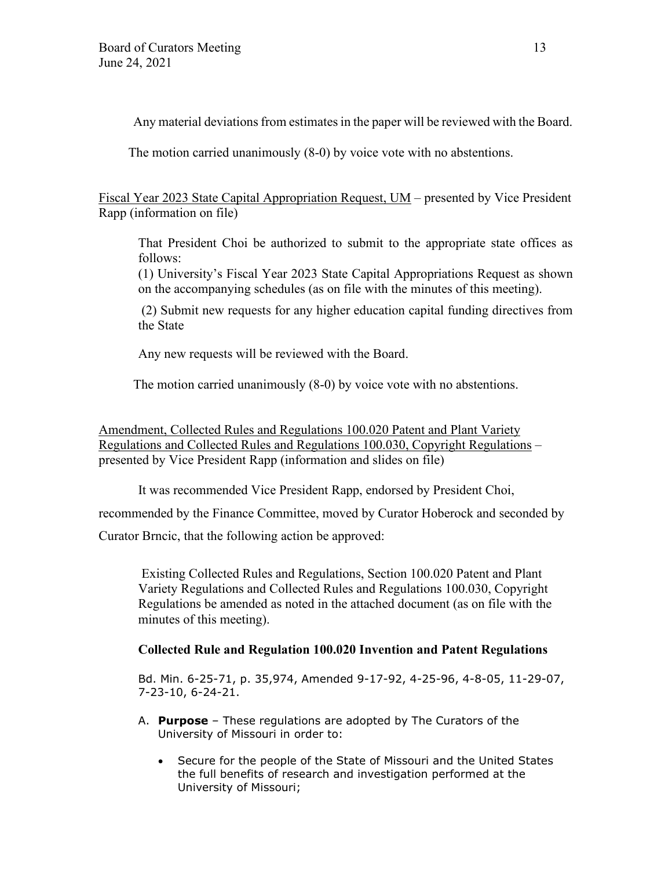Any material deviations from estimates in the paper will be reviewed with the Board.

The motion carried unanimously (8-0) by voice vote with no abstentions.

Fiscal Year 2023 State Capital Appropriation Request, UM – presented by Vice President Rapp (information on file)

That President Choi be authorized to submit to the appropriate state offices as follows:

(1) University's Fiscal Year 2023 State Capital Appropriations Request as shown on the accompanying schedules (as on file with the minutes of this meeting).

(2) Submit new requests for any higher education capital funding directives from the State

Any new requests will be reviewed with the Board.

The motion carried unanimously (8-0) by voice vote with no abstentions.

Amendment, Collected Rules and Regulations 100.020 Patent and Plant Variety Regulations and Collected Rules and Regulations 100.030, Copyright Regulations – presented by Vice President Rapp (information and slides on file)

It was recommended Vice President Rapp, endorsed by President Choi,

recommended by the Finance Committee, moved by Curator Hoberock and seconded by

Curator Brncic, that the following action be approved:

Existing Collected Rules and Regulations, Section 100.020 Patent and Plant Variety Regulations and Collected Rules and Regulations 100.030, Copyright Regulations be amended as noted in the attached document (as on file with the minutes of this meeting).

# **Collected Rule and Regulation 100.020 Invention and Patent Regulations**

Bd. Min. 6-25-71, p. 35,974, Amended 9-17-92, 4-25-96, 4-8-05, 11-29-07, 7-23-10, 6-24-21.

- A. **Purpose** These regulations are adopted by The Curators of the University of Missouri in order to:
	- Secure for the people of the State of Missouri and the United States the full benefits of research and investigation performed at the University of Missouri;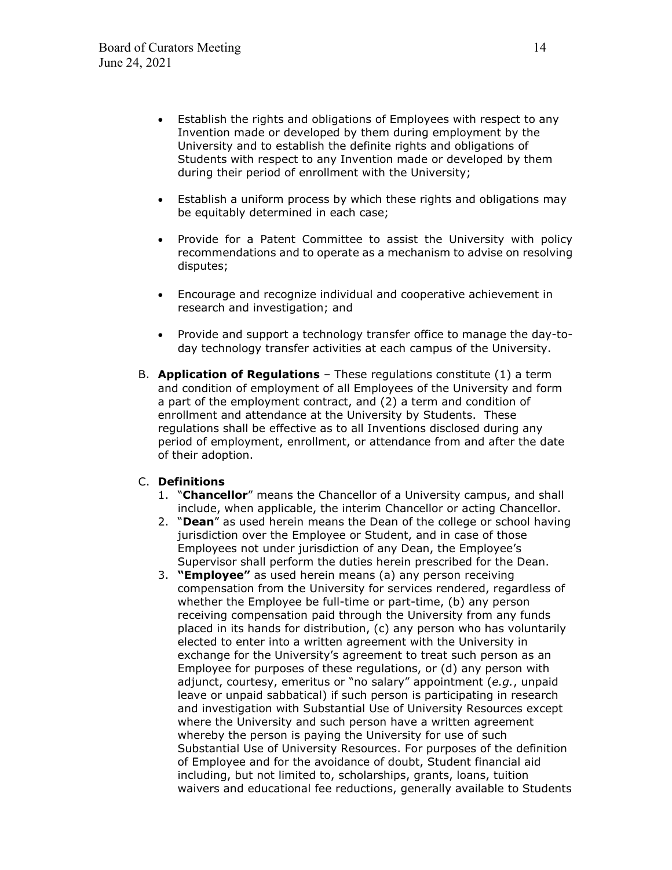- Establish the rights and obligations of Employees with respect to any Invention made or developed by them during employment by the University and to establish the definite rights and obligations of Students with respect to any Invention made or developed by them during their period of enrollment with the University;
- Establish a uniform process by which these rights and obligations may be equitably determined in each case;
- Provide for a Patent Committee to assist the University with policy recommendations and to operate as a mechanism to advise on resolving disputes;
- Encourage and recognize individual and cooperative achievement in research and investigation; and
- Provide and support a technology transfer office to manage the day-today technology transfer activities at each campus of the University.
- B. **Application of Regulations** These regulations constitute (1) a term and condition of employment of all Employees of the University and form a part of the employment contract, and (2) a term and condition of enrollment and attendance at the University by Students. These regulations shall be effective as to all Inventions disclosed during any period of employment, enrollment, or attendance from and after the date of their adoption.

### C. **Definitions**

- 1. "**Chancellor**" means the Chancellor of a University campus, and shall include, when applicable, the interim Chancellor or acting Chancellor.
- 2. "**Dean**" as used herein means the Dean of the college or school having jurisdiction over the Employee or Student, and in case of those Employees not under jurisdiction of any Dean, the Employee's Supervisor shall perform the duties herein prescribed for the Dean.
- 3. **"Employee"** as used herein means (a) any person receiving compensation from the University for services rendered, regardless of whether the Employee be full-time or part-time, (b) any person receiving compensation paid through the University from any funds placed in its hands for distribution, (c) any person who has voluntarily elected to enter into a written agreement with the University in exchange for the University's agreement to treat such person as an Employee for purposes of these regulations, or (d) any person with adjunct, courtesy, emeritus or "no salary" appointment (*e.g.*, unpaid leave or unpaid sabbatical) if such person is participating in research and investigation with Substantial Use of University Resources except where the University and such person have a written agreement whereby the person is paying the University for use of such Substantial Use of University Resources. For purposes of the definition of Employee and for the avoidance of doubt, Student financial aid including, but not limited to, scholarships, grants, loans, tuition waivers and educational fee reductions, generally available to Students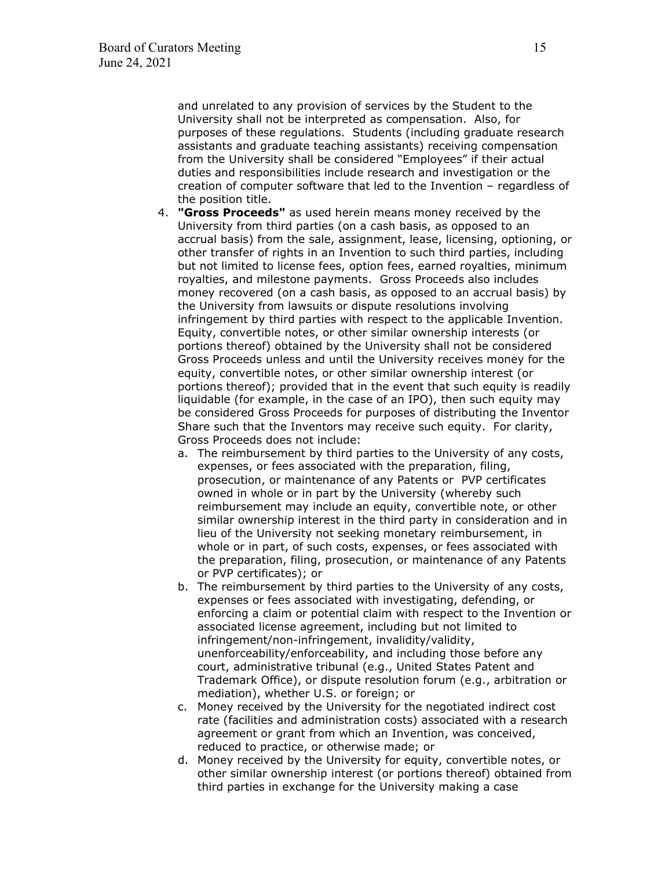and unrelated to any provision of services by the Student to the University shall not be interpreted as compensation. Also, for purposes of these regulations. Students (including graduate research assistants and graduate teaching assistants) receiving compensation from the University shall be considered "Employees" if their actual duties and responsibilities include research and investigation or the creation of computer software that led to the Invention – regardless of the position title.

- 4. **"Gross Proceeds"** as used herein means money received by the University from third parties (on a cash basis, as opposed to an accrual basis) from the sale, assignment, lease, licensing, optioning, or other transfer of rights in an Invention to such third parties, including but not limited to license fees, option fees, earned royalties, minimum royalties, and milestone payments. Gross Proceeds also includes money recovered (on a cash basis, as opposed to an accrual basis) by the University from lawsuits or dispute resolutions involving infringement by third parties with respect to the applicable Invention. Equity, convertible notes, or other similar ownership interests (or portions thereof) obtained by the University shall not be considered Gross Proceeds unless and until the University receives money for the equity, convertible notes, or other similar ownership interest (or portions thereof); provided that in the event that such equity is readily liquidable (for example, in the case of an IPO), then such equity may be considered Gross Proceeds for purposes of distributing the Inventor Share such that the Inventors may receive such equity. For clarity, Gross Proceeds does not include:
	- a. The reimbursement by third parties to the University of any costs, expenses, or fees associated with the preparation, filing, prosecution, or maintenance of any Patents or PVP certificates owned in whole or in part by the University (whereby such reimbursement may include an equity, convertible note, or other similar ownership interest in the third party in consideration and in lieu of the University not seeking monetary reimbursement, in whole or in part, of such costs, expenses, or fees associated with the preparation, filing, prosecution, or maintenance of any Patents or PVP certificates); or
	- b. The reimbursement by third parties to the University of any costs, expenses or fees associated with investigating, defending, or enforcing a claim or potential claim with respect to the Invention or associated license agreement, including but not limited to infringement/non-infringement, invalidity/validity, unenforceability/enforceability, and including those before any court, administrative tribunal (e.g., United States Patent and Trademark Office), or dispute resolution forum (e.g., arbitration or mediation), whether U.S. or foreign; or
	- c. Money received by the University for the negotiated indirect cost rate (facilities and administration costs) associated with a research agreement or grant from which an Invention, was conceived, reduced to practice, or otherwise made; or
	- d. Money received by the University for equity, convertible notes, or other similar ownership interest (or portions thereof) obtained from third parties in exchange for the University making a case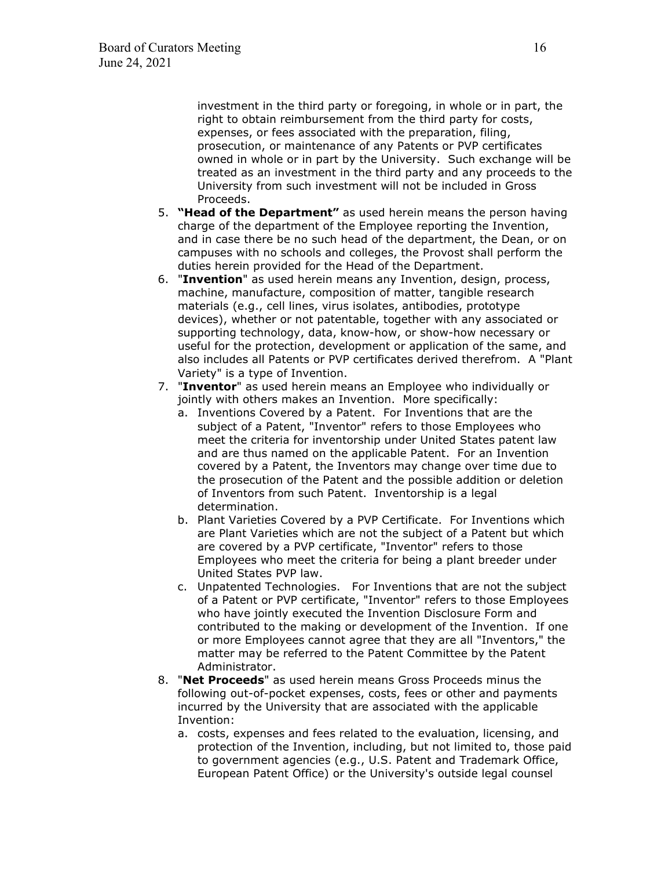investment in the third party or foregoing, in whole or in part, the right to obtain reimbursement from the third party for costs, expenses, or fees associated with the preparation, filing, prosecution, or maintenance of any Patents or PVP certificates owned in whole or in part by the University. Such exchange will be treated as an investment in the third party and any proceeds to the University from such investment will not be included in Gross Proceeds.

- 5. **"Head of the Department"** as used herein means the person having charge of the department of the Employee reporting the Invention, and in case there be no such head of the department, the Dean, or on campuses with no schools and colleges, the Provost shall perform the duties herein provided for the Head of the Department.
- 6. "**Invention**" as used herein means any Invention, design, process, machine, manufacture, composition of matter, tangible research materials (e.g., cell lines, virus isolates, antibodies, prototype devices), whether or not patentable, together with any associated or supporting technology, data, know-how, or show-how necessary or useful for the protection, development or application of the same, and also includes all Patents or PVP certificates derived therefrom. A "Plant Variety" is a type of Invention.
- 7. "**Inventor**" as used herein means an Employee who individually or jointly with others makes an Invention. More specifically:
	- a. Inventions Covered by a Patent. For Inventions that are the subject of a Patent, "Inventor" refers to those Employees who meet the criteria for inventorship under United States patent law and are thus named on the applicable Patent. For an Invention covered by a Patent, the Inventors may change over time due to the prosecution of the Patent and the possible addition or deletion of Inventors from such Patent. Inventorship is a legal determination.
	- b. Plant Varieties Covered by a PVP Certificate. For Inventions which are Plant Varieties which are not the subject of a Patent but which are covered by a PVP certificate, "Inventor" refers to those Employees who meet the criteria for being a plant breeder under United States PVP law.
	- c. Unpatented Technologies. For Inventions that are not the subject of a Patent or PVP certificate, "Inventor" refers to those Employees who have jointly executed the Invention Disclosure Form and contributed to the making or development of the Invention. If one or more Employees cannot agree that they are all "Inventors," the matter may be referred to the Patent Committee by the Patent Administrator.
- 8. "**Net Proceeds**" as used herein means Gross Proceeds minus the following out-of-pocket expenses, costs, fees or other and payments incurred by the University that are associated with the applicable Invention:
	- a. costs, expenses and fees related to the evaluation, licensing, and protection of the Invention, including, but not limited to, those paid to government agencies (e.g., U.S. Patent and Trademark Office, European Patent Office) or the University's outside legal counsel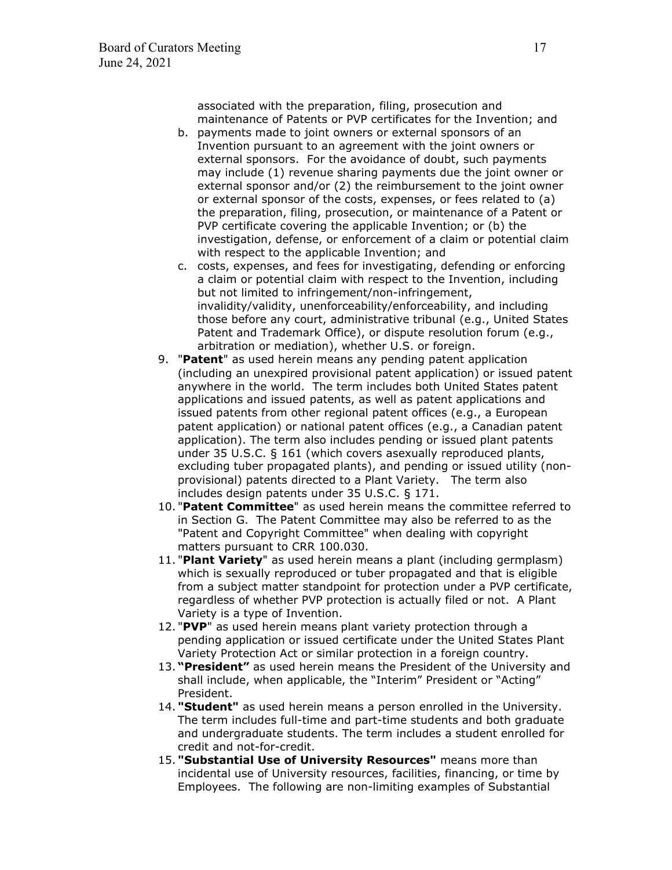associated with the preparation, filing, prosecution and maintenance of Patents or PVP certificates for the Invention; and

- b. payments made to joint owners or external sponsors of an Invention pursuant to an agreement with the joint owners or external sponsors. For the avoidance of doubt, such payments may include (1) revenue sharing payments due the joint owner or external sponsor and/or (2) the reimbursement to the joint owner or external sponsor of the costs, expenses, or fees related to (a) the preparation, filing, prosecution, or maintenance of a Patent or PVP certificate covering the applicable Invention; or (b) the investigation, defense, or enforcement of a claim or potential claim with respect to the applicable Invention; and
- c. costs, expenses, and fees for investigating, defending or enforcing a claim or potential claim with respect to the Invention, including but not limited to infringement/non-infringement, invalidity/validity, unenforceability/enforceability, and including those before any court, administrative tribunal (e.g., United States Patent and Trademark Office), or dispute resolution forum (e.g., arbitration or mediation), whether U.S. or foreign.
- 9. "**Patent**" as used herein means any pending patent application (including an unexpired provisional patent application) or issued patent anywhere in the world. The term includes both United States patent applications and issued patents, as well as patent applications and issued patents from other regional patent offices (e.g., a European patent application) or national patent offices (e.g., a Canadian patent application). The term also includes pending or issued plant patents under 35 U.S.C. § 161 (which covers asexually reproduced plants, excluding tuber propagated plants), and pending or issued utility (nonprovisional) patents directed to a Plant Variety. The term also includes design patents under 35 U.S.C. § 171.
- 10. "**Patent Committee**" as used herein means the committee referred to in Section G. The Patent Committee may also be referred to as the "Patent and Copyright Committee" when dealing with copyright matters pursuant to CRR 100.030.
- 11. "**Plant Variety**" as used herein means a plant (including germplasm) which is sexually reproduced or tuber propagated and that is eligible from a subject matter standpoint for protection under a PVP certificate, regardless of whether PVP protection is actually filed or not. A Plant Variety is a type of Invention.
- 12. "**PVP**" as used herein means plant variety protection through a pending application or issued certificate under the United States Plant Variety Protection Act or similar protection in a foreign country.
- 13. **"President"** as used herein means the President of the University and shall include, when applicable, the "Interim" President or "Acting" President.
- 14. **"Student"** as used herein means a person enrolled in the University. The term includes full-time and part-time students and both graduate and undergraduate students. The term includes a student enrolled for credit and not-for-credit.
- 15. **"Substantial Use of University Resources"** means more than incidental use of University resources, facilities, financing, or time by Employees. The following are non-limiting examples of Substantial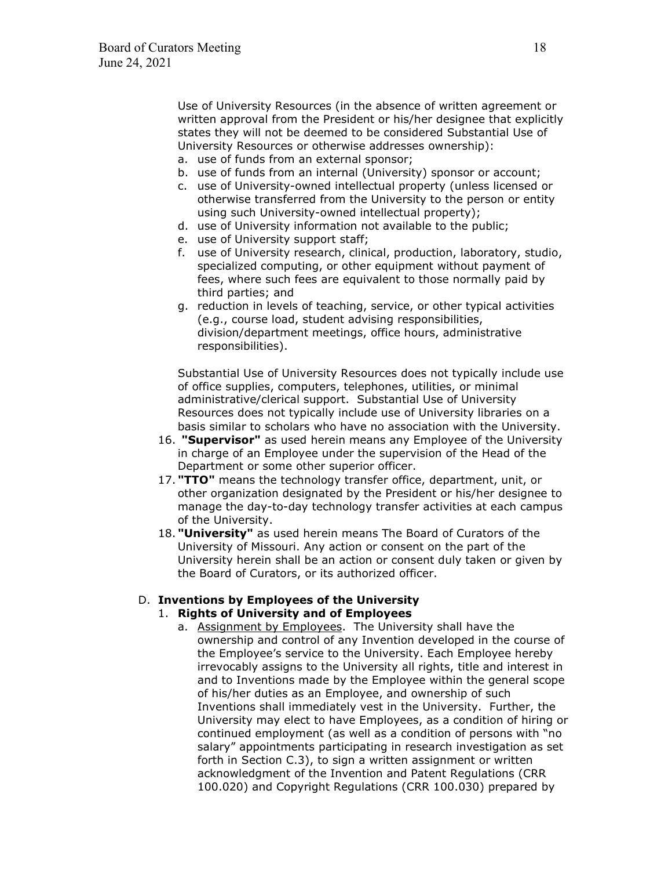Use of University Resources (in the absence of written agreement or written approval from the President or his/her designee that explicitly states they will not be deemed to be considered Substantial Use of University Resources or otherwise addresses ownership):

- a. use of funds from an external sponsor;
- b. use of funds from an internal (University) sponsor or account;
- c. use of University-owned intellectual property (unless licensed or otherwise transferred from the University to the person or entity using such University-owned intellectual property);
- d. use of University information not available to the public;
- e. use of University support staff;
- f. use of University research, clinical, production, laboratory, studio, specialized computing, or other equipment without payment of fees, where such fees are equivalent to those normally paid by third parties; and
- g. reduction in levels of teaching, service, or other typical activities (e.g., course load, student advising responsibilities, division/department meetings, office hours, administrative responsibilities).

Substantial Use of University Resources does not typically include use of office supplies, computers, telephones, utilities, or minimal administrative/clerical support. Substantial Use of University Resources does not typically include use of University libraries on a basis similar to scholars who have no association with the University.

- 16. **"Supervisor"** as used herein means any Employee of the University in charge of an Employee under the supervision of the Head of the Department or some other superior officer.
- 17. **"TTO"** means the technology transfer office, department, unit, or other organization designated by the President or his/her designee to manage the day-to-day technology transfer activities at each campus of the University.
- 18. **"University"** as used herein means The Board of Curators of the University of Missouri. Any action or consent on the part of the University herein shall be an action or consent duly taken or given by the Board of Curators, or its authorized officer.

# D. **Inventions by Employees of the University**

### 1. **Rights of University and of Employees**

a. Assignment by Employees. The University shall have the ownership and control of any Invention developed in the course of the Employee's service to the University. Each Employee hereby irrevocably assigns to the University all rights, title and interest in and to Inventions made by the Employee within the general scope of his/her duties as an Employee, and ownership of such Inventions shall immediately vest in the University. Further, the University may elect to have Employees, as a condition of hiring or continued employment (as well as a condition of persons with "no salary" appointments participating in research investigation as set forth in Section C.3), to sign a written assignment or written acknowledgment of the Invention and Patent Regulations (CRR 100.020) and Copyright Regulations (CRR 100.030) prepared by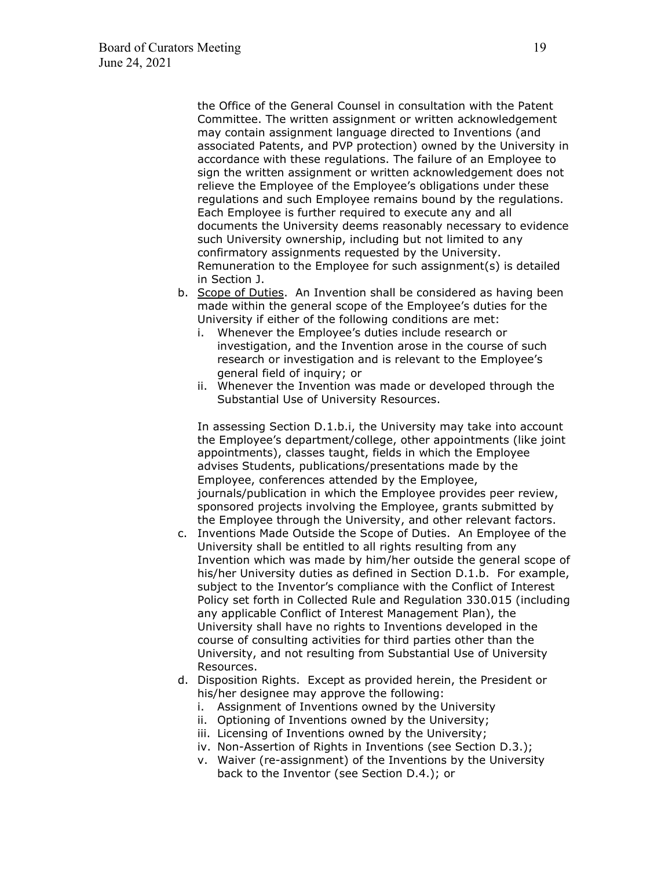the Office of the General Counsel in consultation with the Patent Committee. The written assignment or written acknowledgement may contain assignment language directed to Inventions (and associated Patents, and PVP protection) owned by the University in accordance with these regulations. The failure of an Employee to sign the written assignment or written acknowledgement does not relieve the Employee of the Employee's obligations under these regulations and such Employee remains bound by the regulations. Each Employee is further required to execute any and all documents the University deems reasonably necessary to evidence such University ownership, including but not limited to any confirmatory assignments requested by the University. Remuneration to the Employee for such assignment(s) is detailed in Section J.

- b. Scope of Duties. An Invention shall be considered as having been made within the general scope of the Employee's duties for the University if either of the following conditions are met:
	- i. Whenever the Employee's duties include research or investigation, and the Invention arose in the course of such research or investigation and is relevant to the Employee's general field of inquiry; or
	- ii. Whenever the Invention was made or developed through the Substantial Use of University Resources.

In assessing Section D.1.b.i, the University may take into account the Employee's department/college, other appointments (like joint appointments), classes taught, fields in which the Employee advises Students, publications/presentations made by the Employee, conferences attended by the Employee, journals/publication in which the Employee provides peer review, sponsored projects involving the Employee, grants submitted by the Employee through the University, and other relevant factors.

- c. Inventions Made Outside the Scope of Duties. An Employee of the University shall be entitled to all rights resulting from any Invention which was made by him/her outside the general scope of his/her University duties as defined in Section D.1.b. For example, subject to the Inventor's compliance with the Conflict of Interest Policy set forth in Collected Rule and Regulation 330.015 (including any applicable Conflict of Interest Management Plan), the University shall have no rights to Inventions developed in the course of consulting activities for third parties other than the University, and not resulting from Substantial Use of University Resources.
- d. Disposition Rights. Except as provided herein, the President or his/her designee may approve the following:
	- i. Assignment of Inventions owned by the University
	- ii. Optioning of Inventions owned by the University;
	- iii. Licensing of Inventions owned by the University;
	- iv. Non-Assertion of Rights in Inventions (see Section D.3.);
	- v. Waiver (re-assignment) of the Inventions by the University back to the Inventor (see Section D.4.); or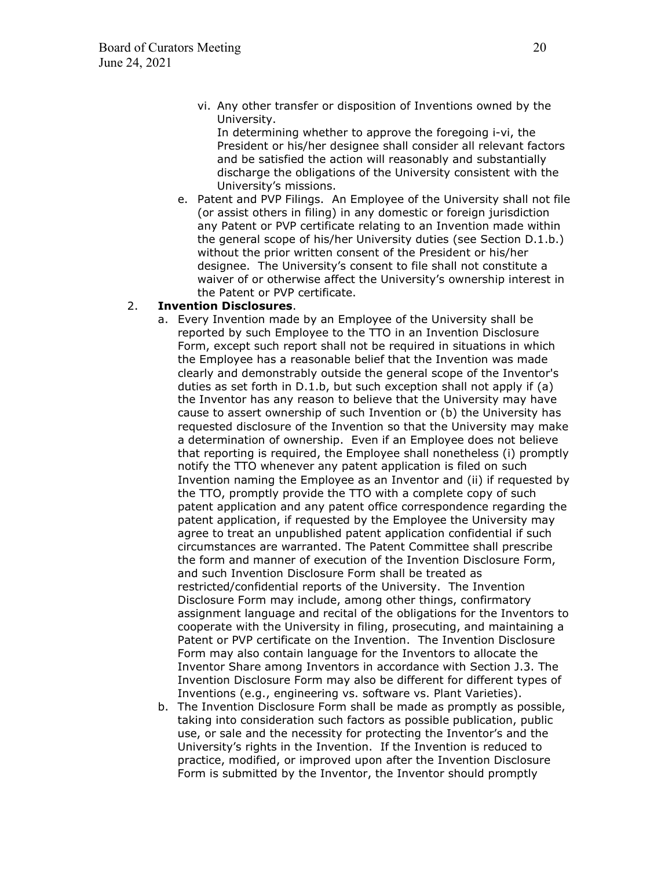vi. Any other transfer or disposition of Inventions owned by the University.

In determining whether to approve the foregoing i-vi, the President or his/her designee shall consider all relevant factors and be satisfied the action will reasonably and substantially discharge the obligations of the University consistent with the University's missions.

e. Patent and PVP Filings. An Employee of the University shall not file (or assist others in filing) in any domestic or foreign jurisdiction any Patent or PVP certificate relating to an Invention made within the general scope of his/her University duties (see Section D.1.b.) without the prior written consent of the President or his/her designee. The University's consent to file shall not constitute a waiver of or otherwise affect the University's ownership interest in the Patent or PVP certificate.

#### 2. **Invention Disclosures**.

- a. Every Invention made by an Employee of the University shall be reported by such Employee to the TTO in an Invention Disclosure Form, except such report shall not be required in situations in which the Employee has a reasonable belief that the Invention was made clearly and demonstrably outside the general scope of the Inventor's duties as set forth in D.1.b, but such exception shall not apply if (a) the Inventor has any reason to believe that the University may have cause to assert ownership of such Invention or (b) the University has requested disclosure of the Invention so that the University may make a determination of ownership. Even if an Employee does not believe that reporting is required, the Employee shall nonetheless (i) promptly notify the TTO whenever any patent application is filed on such Invention naming the Employee as an Inventor and (ii) if requested by the TTO, promptly provide the TTO with a complete copy of such patent application and any patent office correspondence regarding the patent application, if requested by the Employee the University may agree to treat an unpublished patent application confidential if such circumstances are warranted. The Patent Committee shall prescribe the form and manner of execution of the Invention Disclosure Form, and such Invention Disclosure Form shall be treated as restricted/confidential reports of the University. The Invention Disclosure Form may include, among other things, confirmatory assignment language and recital of the obligations for the Inventors to cooperate with the University in filing, prosecuting, and maintaining a Patent or PVP certificate on the Invention. The Invention Disclosure Form may also contain language for the Inventors to allocate the Inventor Share among Inventors in accordance with Section J.3. The Invention Disclosure Form may also be different for different types of Inventions (e.g., engineering vs. software vs. Plant Varieties).
- b. The Invention Disclosure Form shall be made as promptly as possible, taking into consideration such factors as possible publication, public use, or sale and the necessity for protecting the Inventor's and the University's rights in the Invention. If the Invention is reduced to practice, modified, or improved upon after the Invention Disclosure Form is submitted by the Inventor, the Inventor should promptly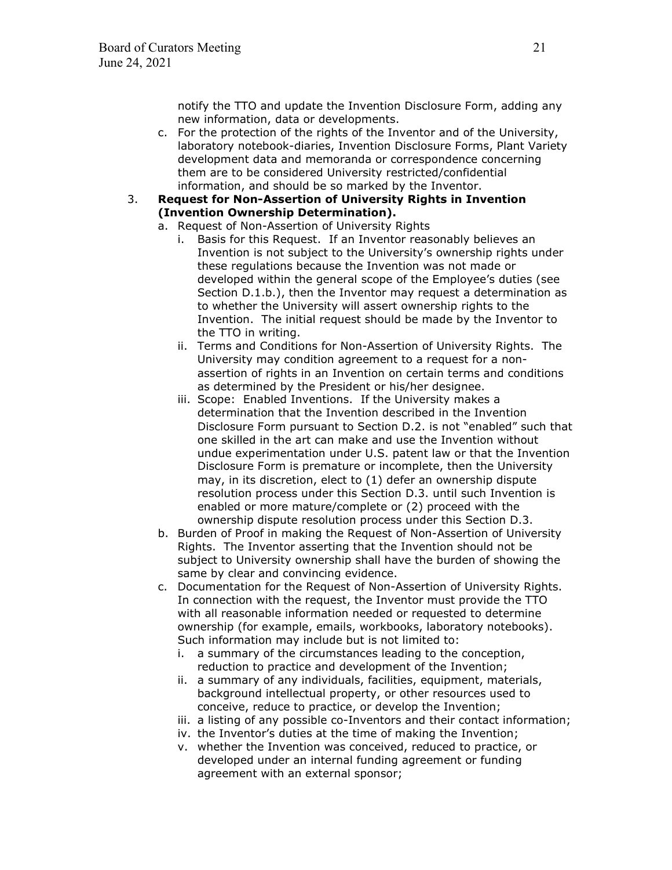notify the TTO and update the Invention Disclosure Form, adding any new information, data or developments.

- c. For the protection of the rights of the Inventor and of the University, laboratory notebook-diaries, Invention Disclosure Forms, Plant Variety development data and memoranda or correspondence concerning them are to be considered University restricted/confidential information, and should be so marked by the Inventor.
- 3. **Request for Non-Assertion of University Rights in Invention (Invention Ownership Determination).**
	- a. Request of Non-Assertion of University Rights
		- i. Basis for this Request. If an Inventor reasonably believes an Invention is not subject to the University's ownership rights under these regulations because the Invention was not made or developed within the general scope of the Employee's duties (see Section D.1.b.), then the Inventor may request a determination as to whether the University will assert ownership rights to the Invention. The initial request should be made by the Inventor to the TTO in writing.
		- ii. Terms and Conditions for Non-Assertion of University Rights. The University may condition agreement to a request for a nonassertion of rights in an Invention on certain terms and conditions as determined by the President or his/her designee.
		- iii. Scope: Enabled Inventions. If the University makes a determination that the Invention described in the Invention Disclosure Form pursuant to Section D.2. is not "enabled" such that one skilled in the art can make and use the Invention without undue experimentation under U.S. patent law or that the Invention Disclosure Form is premature or incomplete, then the University may, in its discretion, elect to (1) defer an ownership dispute resolution process under this Section D.3. until such Invention is enabled or more mature/complete or (2) proceed with the ownership dispute resolution process under this Section D.3.
	- b. Burden of Proof in making the Request of Non-Assertion of University Rights. The Inventor asserting that the Invention should not be subject to University ownership shall have the burden of showing the same by clear and convincing evidence.
	- c. Documentation for the Request of Non-Assertion of University Rights. In connection with the request, the Inventor must provide the TTO with all reasonable information needed or requested to determine ownership (for example, emails, workbooks, laboratory notebooks). Such information may include but is not limited to:
		- i. a summary of the circumstances leading to the conception, reduction to practice and development of the Invention;
		- ii. a summary of any individuals, facilities, equipment, materials, background intellectual property, or other resources used to conceive, reduce to practice, or develop the Invention;
		- iii. a listing of any possible co-Inventors and their contact information;
		- iv. the Inventor's duties at the time of making the Invention;
		- v. whether the Invention was conceived, reduced to practice, or developed under an internal funding agreement or funding agreement with an external sponsor;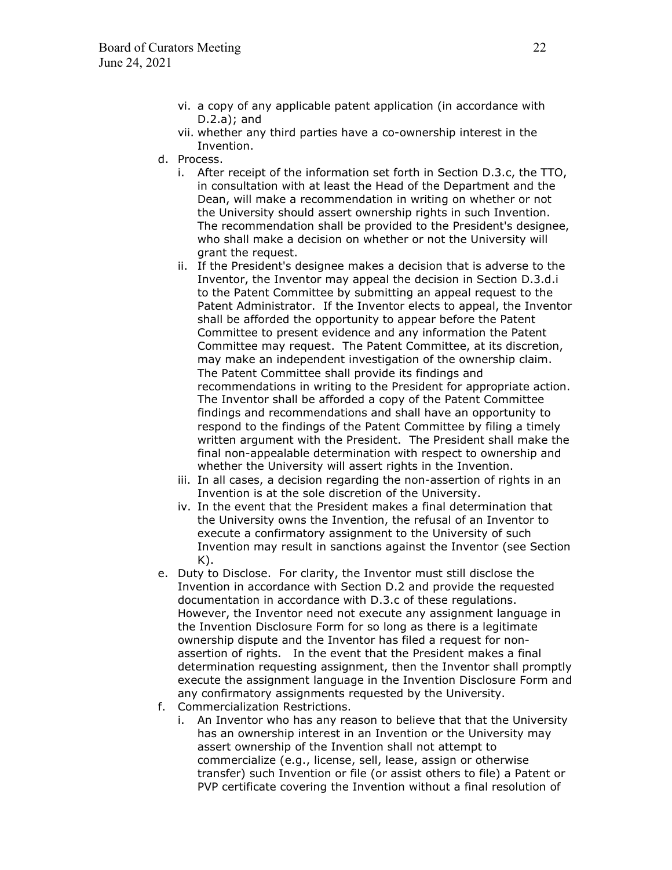- vi. a copy of any applicable patent application (in accordance with D.2.a); and
- vii. whether any third parties have a co-ownership interest in the Invention.
- d. Process.
	- i. After receipt of the information set forth in Section D.3.c, the TTO, in consultation with at least the Head of the Department and the Dean, will make a recommendation in writing on whether or not the University should assert ownership rights in such Invention. The recommendation shall be provided to the President's designee, who shall make a decision on whether or not the University will grant the request.
	- ii. If the President's designee makes a decision that is adverse to the Inventor, the Inventor may appeal the decision in Section D.3.d.i to the Patent Committee by submitting an appeal request to the Patent Administrator. If the Inventor elects to appeal, the Inventor shall be afforded the opportunity to appear before the Patent Committee to present evidence and any information the Patent Committee may request. The Patent Committee, at its discretion, may make an independent investigation of the ownership claim. The Patent Committee shall provide its findings and recommendations in writing to the President for appropriate action. The Inventor shall be afforded a copy of the Patent Committee findings and recommendations and shall have an opportunity to respond to the findings of the Patent Committee by filing a timely written argument with the President. The President shall make the final non-appealable determination with respect to ownership and whether the University will assert rights in the Invention.
	- iii. In all cases, a decision regarding the non-assertion of rights in an Invention is at the sole discretion of the University.
	- iv. In the event that the President makes a final determination that the University owns the Invention, the refusal of an Inventor to execute a confirmatory assignment to the University of such Invention may result in sanctions against the Inventor (see Section  $K$ ).
- e. Duty to Disclose. For clarity, the Inventor must still disclose the Invention in accordance with Section D.2 and provide the requested documentation in accordance with D.3.c of these regulations. However, the Inventor need not execute any assignment language in the Invention Disclosure Form for so long as there is a legitimate ownership dispute and the Inventor has filed a request for nonassertion of rights. In the event that the President makes a final determination requesting assignment, then the Inventor shall promptly execute the assignment language in the Invention Disclosure Form and any confirmatory assignments requested by the University.
- f. Commercialization Restrictions.
	- i. An Inventor who has any reason to believe that that the University has an ownership interest in an Invention or the University may assert ownership of the Invention shall not attempt to commercialize (e.g., license, sell, lease, assign or otherwise transfer) such Invention or file (or assist others to file) a Patent or PVP certificate covering the Invention without a final resolution of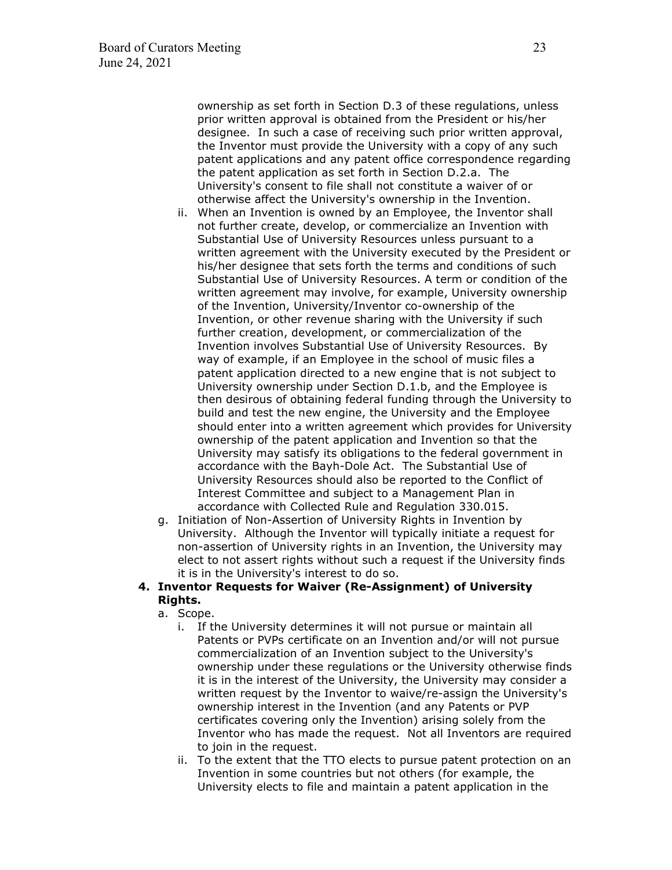ownership as set forth in Section D.3 of these regulations, unless prior written approval is obtained from the President or his/her designee. In such a case of receiving such prior written approval, the Inventor must provide the University with a copy of any such patent applications and any patent office correspondence regarding the patent application as set forth in Section D.2.a. The University's consent to file shall not constitute a waiver of or otherwise affect the University's ownership in the Invention.

- ii. When an Invention is owned by an Employee, the Inventor shall not further create, develop, or commercialize an Invention with Substantial Use of University Resources unless pursuant to a written agreement with the University executed by the President or his/her designee that sets forth the terms and conditions of such Substantial Use of University Resources. A term or condition of the written agreement may involve, for example, University ownership of the Invention, University/Inventor co-ownership of the Invention, or other revenue sharing with the University if such further creation, development, or commercialization of the Invention involves Substantial Use of University Resources. By way of example, if an Employee in the school of music files a patent application directed to a new engine that is not subject to University ownership under Section D.1.b, and the Employee is then desirous of obtaining federal funding through the University to build and test the new engine, the University and the Employee should enter into a written agreement which provides for University ownership of the patent application and Invention so that the University may satisfy its obligations to the federal government in accordance with the Bayh-Dole Act. The Substantial Use of University Resources should also be reported to the Conflict of Interest Committee and subject to a Management Plan in accordance with Collected Rule and Regulation 330.015.
- g. Initiation of Non-Assertion of University Rights in Invention by University. Although the Inventor will typically initiate a request for non-assertion of University rights in an Invention, the University may elect to not assert rights without such a request if the University finds it is in the University's interest to do so.

### **4. Inventor Requests for Waiver (Re-Assignment) of University Rights.**

- a. Scope.
	- i. If the University determines it will not pursue or maintain all Patents or PVPs certificate on an Invention and/or will not pursue commercialization of an Invention subject to the University's ownership under these regulations or the University otherwise finds it is in the interest of the University, the University may consider a written request by the Inventor to waive/re-assign the University's ownership interest in the Invention (and any Patents or PVP certificates covering only the Invention) arising solely from the Inventor who has made the request. Not all Inventors are required to join in the request.
	- ii. To the extent that the TTO elects to pursue patent protection on an Invention in some countries but not others (for example, the University elects to file and maintain a patent application in the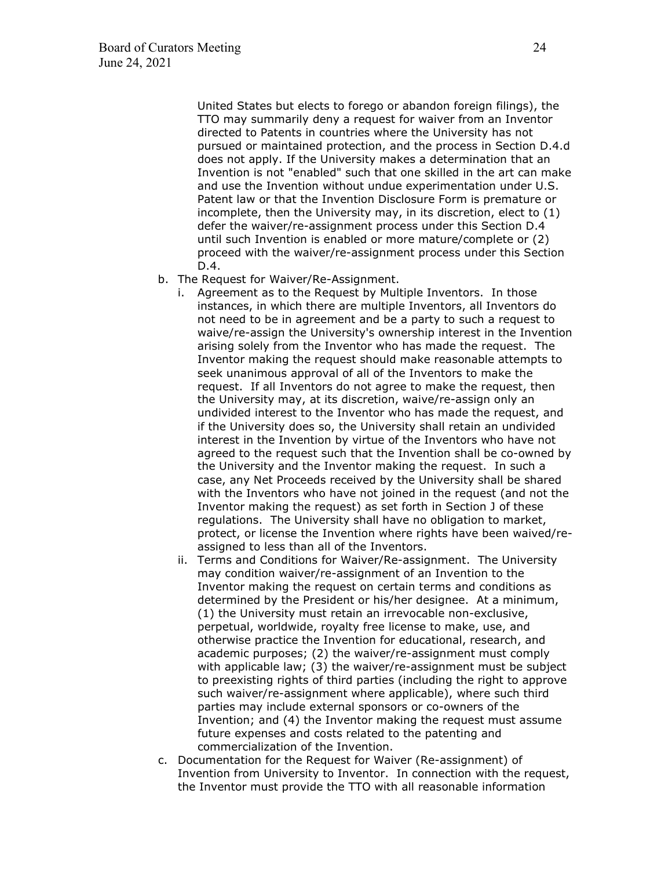United States but elects to forego or abandon foreign filings), the TTO may summarily deny a request for waiver from an Inventor directed to Patents in countries where the University has not pursued or maintained protection, and the process in Section D.4.d does not apply. If the University makes a determination that an Invention is not "enabled" such that one skilled in the art can make and use the Invention without undue experimentation under U.S. Patent law or that the Invention Disclosure Form is premature or incomplete, then the University may, in its discretion, elect to (1) defer the waiver/re-assignment process under this Section D.4 until such Invention is enabled or more mature/complete or (2) proceed with the waiver/re-assignment process under this Section D.4.

- b. The Request for Waiver/Re-Assignment.
	- i. Agreement as to the Request by Multiple Inventors. In those instances, in which there are multiple Inventors, all Inventors do not need to be in agreement and be a party to such a request to waive/re-assign the University's ownership interest in the Invention arising solely from the Inventor who has made the request. The Inventor making the request should make reasonable attempts to seek unanimous approval of all of the Inventors to make the request. If all Inventors do not agree to make the request, then the University may, at its discretion, waive/re-assign only an undivided interest to the Inventor who has made the request, and if the University does so, the University shall retain an undivided interest in the Invention by virtue of the Inventors who have not agreed to the request such that the Invention shall be co-owned by the University and the Inventor making the request. In such a case, any Net Proceeds received by the University shall be shared with the Inventors who have not joined in the request (and not the Inventor making the request) as set forth in Section J of these regulations. The University shall have no obligation to market, protect, or license the Invention where rights have been waived/reassigned to less than all of the Inventors.
	- ii. Terms and Conditions for Waiver/Re-assignment. The University may condition waiver/re-assignment of an Invention to the Inventor making the request on certain terms and conditions as determined by the President or his/her designee. At a minimum, (1) the University must retain an irrevocable non-exclusive, perpetual, worldwide, royalty free license to make, use, and otherwise practice the Invention for educational, research, and academic purposes; (2) the waiver/re-assignment must comply with applicable law; (3) the waiver/re-assignment must be subject to preexisting rights of third parties (including the right to approve such waiver/re-assignment where applicable), where such third parties may include external sponsors or co-owners of the Invention; and (4) the Inventor making the request must assume future expenses and costs related to the patenting and commercialization of the Invention.
- c. Documentation for the Request for Waiver (Re-assignment) of Invention from University to Inventor. In connection with the request, the Inventor must provide the TTO with all reasonable information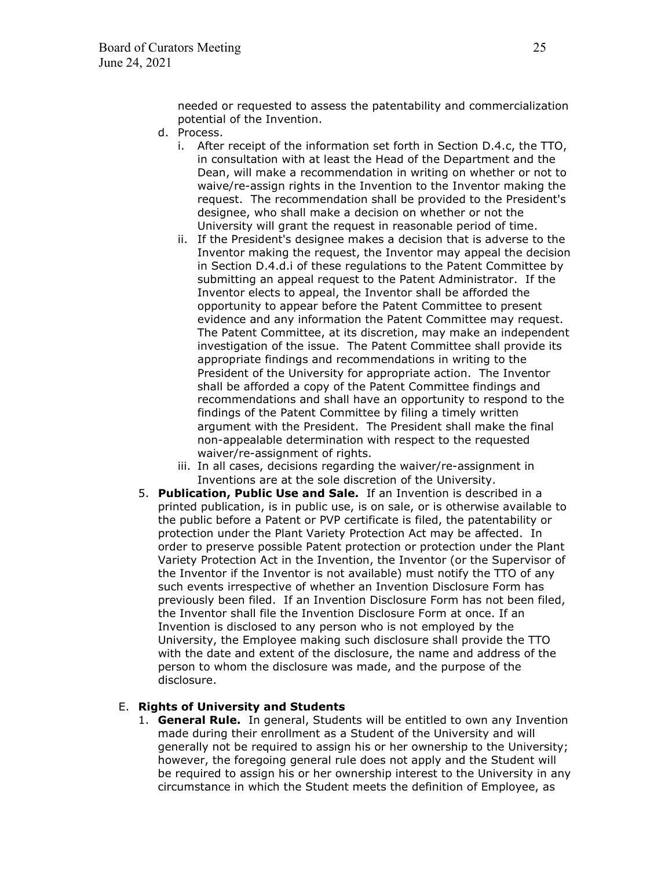needed or requested to assess the patentability and commercialization potential of the Invention.

- d. Process.
	- i. After receipt of the information set forth in Section D.4.c, the TTO, in consultation with at least the Head of the Department and the Dean, will make a recommendation in writing on whether or not to waive/re-assign rights in the Invention to the Inventor making the request. The recommendation shall be provided to the President's designee, who shall make a decision on whether or not the University will grant the request in reasonable period of time.
	- ii. If the President's designee makes a decision that is adverse to the Inventor making the request, the Inventor may appeal the decision in Section D.4.d.i of these regulations to the Patent Committee by submitting an appeal request to the Patent Administrator. If the Inventor elects to appeal, the Inventor shall be afforded the opportunity to appear before the Patent Committee to present evidence and any information the Patent Committee may request. The Patent Committee, at its discretion, may make an independent investigation of the issue. The Patent Committee shall provide its appropriate findings and recommendations in writing to the President of the University for appropriate action. The Inventor shall be afforded a copy of the Patent Committee findings and recommendations and shall have an opportunity to respond to the findings of the Patent Committee by filing a timely written argument with the President. The President shall make the final non-appealable determination with respect to the requested waiver/re-assignment of rights.
	- iii. In all cases, decisions regarding the waiver/re-assignment in Inventions are at the sole discretion of the University.
- 5. **Publication, Public Use and Sale.** If an Invention is described in a printed publication, is in public use, is on sale, or is otherwise available to the public before a Patent or PVP certificate is filed, the patentability or protection under the Plant Variety Protection Act may be affected. In order to preserve possible Patent protection or protection under the Plant Variety Protection Act in the Invention, the Inventor (or the Supervisor of the Inventor if the Inventor is not available) must notify the TTO of any such events irrespective of whether an Invention Disclosure Form has previously been filed. If an Invention Disclosure Form has not been filed, the Inventor shall file the Invention Disclosure Form at once. If an Invention is disclosed to any person who is not employed by the University, the Employee making such disclosure shall provide the TTO with the date and extent of the disclosure, the name and address of the person to whom the disclosure was made, and the purpose of the disclosure.

### E. **Rights of University and Students**

1. **General Rule.** In general, Students will be entitled to own any Invention made during their enrollment as a Student of the University and will generally not be required to assign his or her ownership to the University; however, the foregoing general rule does not apply and the Student will be required to assign his or her ownership interest to the University in any circumstance in which the Student meets the definition of Employee, as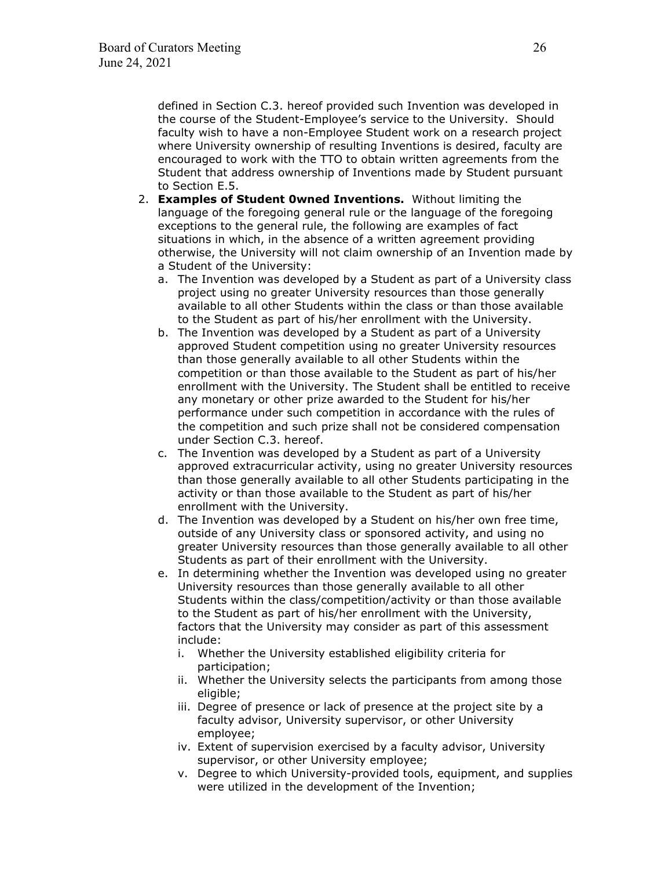defined in Section C.3. hereof provided such Invention was developed in the course of the Student-Employee's service to the University. Should faculty wish to have a non-Employee Student work on a research project where University ownership of resulting Inventions is desired, faculty are encouraged to work with the TTO to obtain written agreements from the Student that address ownership of Inventions made by Student pursuant to Section E.5.

- 2. **Examples of Student 0wned Inventions.** Without limiting the language of the foregoing general rule or the language of the foregoing exceptions to the general rule, the following are examples of fact situations in which, in the absence of a written agreement providing otherwise, the University will not claim ownership of an Invention made by a Student of the University:
	- a. The Invention was developed by a Student as part of a University class project using no greater University resources than those generally available to all other Students within the class or than those available to the Student as part of his/her enrollment with the University.
	- b. The Invention was developed by a Student as part of a University approved Student competition using no greater University resources than those generally available to all other Students within the competition or than those available to the Student as part of his/her enrollment with the University. The Student shall be entitled to receive any monetary or other prize awarded to the Student for his/her performance under such competition in accordance with the rules of the competition and such prize shall not be considered compensation under Section C.3. hereof.
	- c. The Invention was developed by a Student as part of a University approved extracurricular activity, using no greater University resources than those generally available to all other Students participating in the activity or than those available to the Student as part of his/her enrollment with the University.
	- d. The Invention was developed by a Student on his/her own free time, outside of any University class or sponsored activity, and using no greater University resources than those generally available to all other Students as part of their enrollment with the University.
	- e. In determining whether the Invention was developed using no greater University resources than those generally available to all other Students within the class/competition/activity or than those available to the Student as part of his/her enrollment with the University, factors that the University may consider as part of this assessment include:
		- i. Whether the University established eligibility criteria for participation;
		- ii. Whether the University selects the participants from among those eligible;
		- iii. Degree of presence or lack of presence at the project site by a faculty advisor, University supervisor, or other University employee;
		- iv. Extent of supervision exercised by a faculty advisor, University supervisor, or other University employee;
		- v. Degree to which University-provided tools, equipment, and supplies were utilized in the development of the Invention;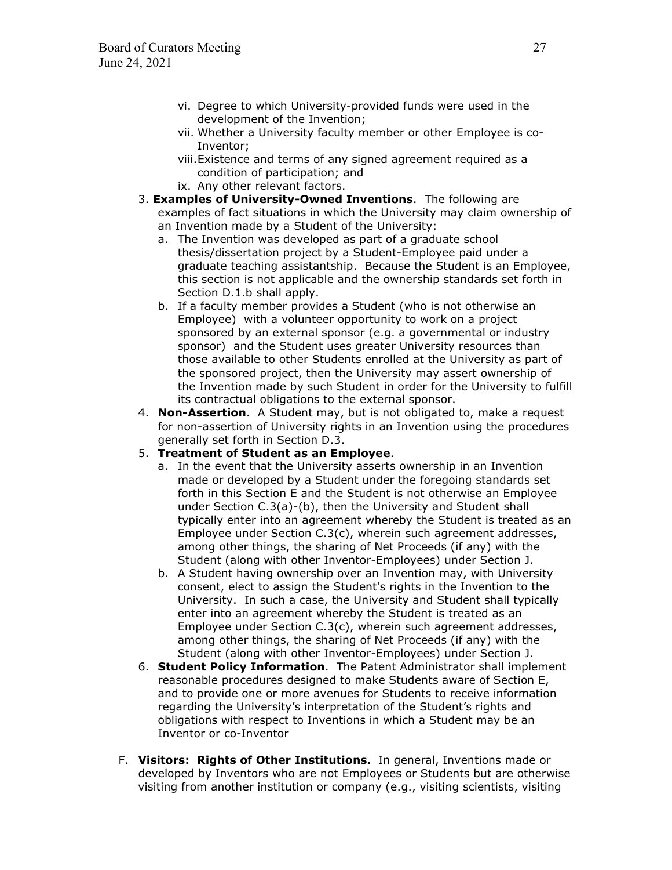- vi. Degree to which University-provided funds were used in the development of the Invention;
- vii. Whether a University faculty member or other Employee is co-Inventor;
- viii.Existence and terms of any signed agreement required as a condition of participation; and
- ix. Any other relevant factors.
- 3. **Examples of University-Owned Inventions**. The following are examples of fact situations in which the University may claim ownership of an Invention made by a Student of the University:
	- a. The Invention was developed as part of a graduate school thesis/dissertation project by a Student-Employee paid under a graduate teaching assistantship. Because the Student is an Employee, this section is not applicable and the ownership standards set forth in Section D.1.b shall apply.
	- b. If a faculty member provides a Student (who is not otherwise an Employee) with a volunteer opportunity to work on a project sponsored by an external sponsor (e.g. a governmental or industry sponsor) and the Student uses greater University resources than those available to other Students enrolled at the University as part of the sponsored project, then the University may assert ownership of the Invention made by such Student in order for the University to fulfill its contractual obligations to the external sponsor.
- 4. **Non-Assertion**. A Student may, but is not obligated to, make a request for non-assertion of University rights in an Invention using the procedures generally set forth in Section D.3.

### 5. **Treatment of Student as an Employee**.

- a. In the event that the University asserts ownership in an Invention made or developed by a Student under the foregoing standards set forth in this Section E and the Student is not otherwise an Employee under Section C.3(a)-(b), then the University and Student shall typically enter into an agreement whereby the Student is treated as an Employee under Section C.3(c), wherein such agreement addresses, among other things, the sharing of Net Proceeds (if any) with the Student (along with other Inventor-Employees) under Section J.
- b. A Student having ownership over an Invention may, with University consent, elect to assign the Student's rights in the Invention to the University. In such a case, the University and Student shall typically enter into an agreement whereby the Student is treated as an Employee under Section C.3(c), wherein such agreement addresses, among other things, the sharing of Net Proceeds (if any) with the Student (along with other Inventor-Employees) under Section J.
- 6. **Student Policy Information**. The Patent Administrator shall implement reasonable procedures designed to make Students aware of Section E, and to provide one or more avenues for Students to receive information regarding the University's interpretation of the Student's rights and obligations with respect to Inventions in which a Student may be an Inventor or co-Inventor
- F. **Visitors: Rights of Other Institutions.** In general, Inventions made or developed by Inventors who are not Employees or Students but are otherwise visiting from another institution or company (e.g., visiting scientists, visiting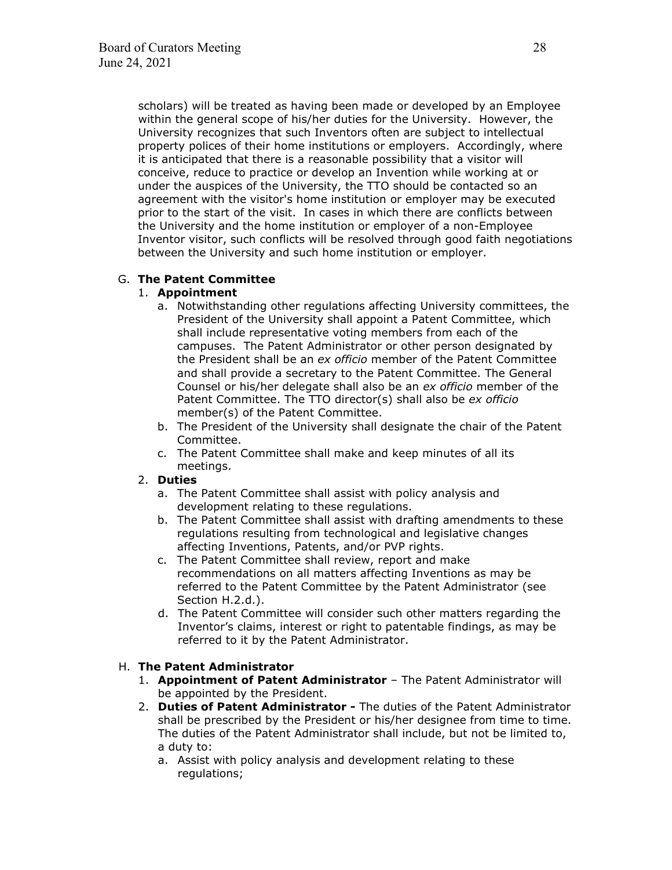scholars) will be treated as having been made or developed by an Employee within the general scope of his/her duties for the University. However, the University recognizes that such Inventors often are subject to intellectual property polices of their home institutions or employers. Accordingly, where it is anticipated that there is a reasonable possibility that a visitor will conceive, reduce to practice or develop an Invention while working at or under the auspices of the University, the TTO should be contacted so an agreement with the visitor's home institution or employer may be executed prior to the start of the visit. In cases in which there are conflicts between the University and the home institution or employer of a non-Employee Inventor visitor, such conflicts will be resolved through good faith negotiations between the University and such home institution or employer.

### G. **The Patent Committee**

### 1. **Appointment**

- a. Notwithstanding other regulations affecting University committees, the President of the University shall appoint a Patent Committee, which shall include representative voting members from each of the campuses. The Patent Administrator or other person designated by the President shall be an *ex officio* member of the Patent Committee and shall provide a secretary to the Patent Committee. The General Counsel or his/her delegate shall also be an *ex officio* member of the Patent Committee. The TTO director(s) shall also be *ex officio* member(s) of the Patent Committee.
- b. The President of the University shall designate the chair of the Patent Committee.
- c. The Patent Committee shall make and keep minutes of all its meetings.

### 2. **Duties**

- a. The Patent Committee shall assist with policy analysis and development relating to these regulations.
- b. The Patent Committee shall assist with drafting amendments to these regulations resulting from technological and legislative changes affecting Inventions, Patents, and/or PVP rights.
- c. The Patent Committee shall review, report and make recommendations on all matters affecting Inventions as may be referred to the Patent Committee by the Patent Administrator (see Section H.2.d.).
- d. The Patent Committee will consider such other matters regarding the Inventor's claims, interest or right to patentable findings, as may be referred to it by the Patent Administrator.

### H. **The Patent Administrator**

- 1. **Appointment of Patent Administrator** The Patent Administrator will be appointed by the President.
- 2. **Duties of Patent Administrator** The duties of the Patent Administrator shall be prescribed by the President or his/her designee from time to time. The duties of the Patent Administrator shall include, but not be limited to, a duty to:
	- a. Assist with policy analysis and development relating to these regulations;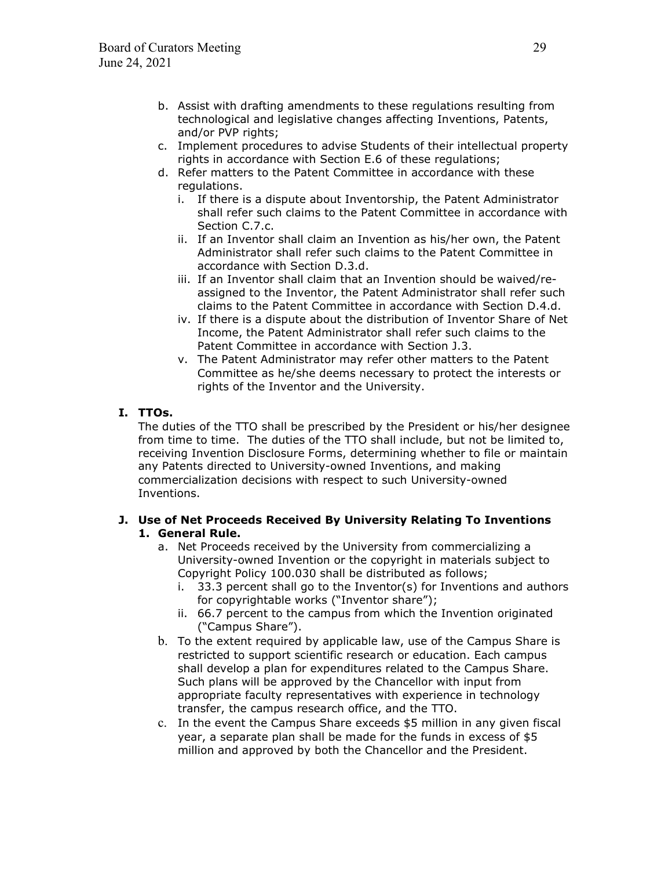- b. Assist with drafting amendments to these regulations resulting from technological and legislative changes affecting Inventions, Patents, and/or PVP rights;
- c. Implement procedures to advise Students of their intellectual property rights in accordance with Section E.6 of these regulations;
- d. Refer matters to the Patent Committee in accordance with these regulations.
	- i. If there is a dispute about Inventorship, the Patent Administrator shall refer such claims to the Patent Committee in accordance with Section C.7.c.
	- ii. If an Inventor shall claim an Invention as his/her own, the Patent Administrator shall refer such claims to the Patent Committee in accordance with Section D.3.d.
	- iii. If an Inventor shall claim that an Invention should be waived/reassigned to the Inventor, the Patent Administrator shall refer such claims to the Patent Committee in accordance with Section D.4.d.
	- iv. If there is a dispute about the distribution of Inventor Share of Net Income, the Patent Administrator shall refer such claims to the Patent Committee in accordance with Section J.3.
	- v. The Patent Administrator may refer other matters to the Patent Committee as he/she deems necessary to protect the interests or rights of the Inventor and the University.

# **I. TTOs.**

The duties of the TTO shall be prescribed by the President or his/her designee from time to time. The duties of the TTO shall include, but not be limited to, receiving Invention Disclosure Forms, determining whether to file or maintain any Patents directed to University-owned Inventions, and making commercialization decisions with respect to such University-owned Inventions.

### **J. Use of Net Proceeds Received By University Relating To Inventions 1. General Rule.**

- a. Net Proceeds received by the University from commercializing a University-owned Invention or the copyright in materials subject to Copyright Policy 100.030 shall be distributed as follows;
	- i. 33.3 percent shall go to the Inventor(s) for Inventions and authors for copyrightable works ("Inventor share");
	- ii. 66.7 percent to the campus from which the Invention originated ("Campus Share").
- b. To the extent required by applicable law, use of the Campus Share is restricted to support scientific research or education. Each campus shall develop a plan for expenditures related to the Campus Share. Such plans will be approved by the Chancellor with input from appropriate faculty representatives with experience in technology transfer, the campus research office, and the TTO.
- c. In the event the Campus Share exceeds \$5 million in any given fiscal year, a separate plan shall be made for the funds in excess of \$5 million and approved by both the Chancellor and the President.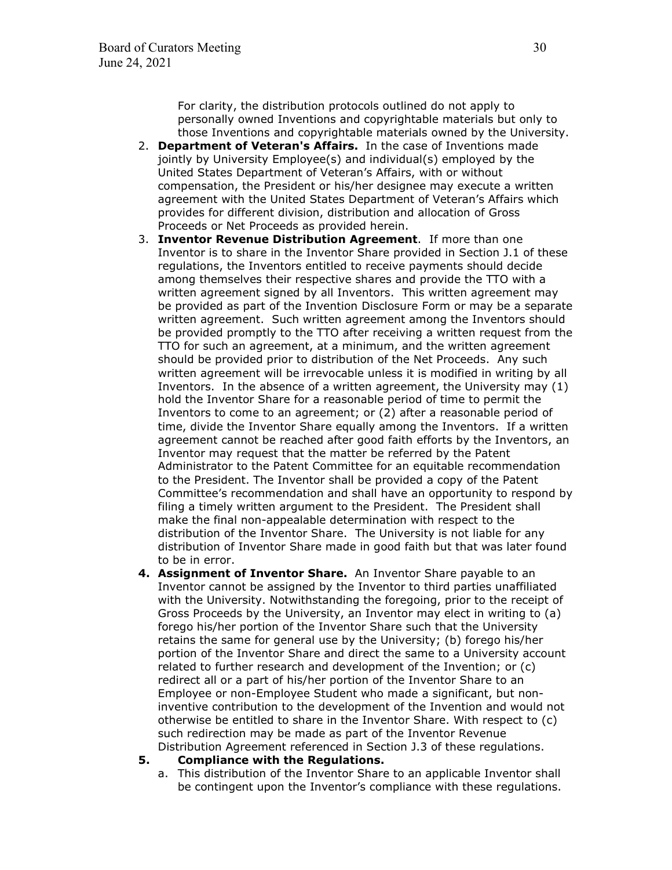For clarity, the distribution protocols outlined do not apply to personally owned Inventions and copyrightable materials but only to those Inventions and copyrightable materials owned by the University.

- 2. **Department of Veteran's Affairs.** In the case of Inventions made jointly by University Employee(s) and individual(s) employed by the United States Department of Veteran's Affairs, with or without compensation, the President or his/her designee may execute a written agreement with the United States Department of Veteran's Affairs which provides for different division, distribution and allocation of Gross Proceeds or Net Proceeds as provided herein.
- 3. **Inventor Revenue Distribution Agreement**. If more than one Inventor is to share in the Inventor Share provided in Section J.1 of these regulations, the Inventors entitled to receive payments should decide among themselves their respective shares and provide the TTO with a written agreement signed by all Inventors. This written agreement may be provided as part of the Invention Disclosure Form or may be a separate written agreement. Such written agreement among the Inventors should be provided promptly to the TTO after receiving a written request from the TTO for such an agreement, at a minimum, and the written agreement should be provided prior to distribution of the Net Proceeds. Any such written agreement will be irrevocable unless it is modified in writing by all Inventors. In the absence of a written agreement, the University may (1) hold the Inventor Share for a reasonable period of time to permit the Inventors to come to an agreement; or (2) after a reasonable period of time, divide the Inventor Share equally among the Inventors. If a written agreement cannot be reached after good faith efforts by the Inventors, an Inventor may request that the matter be referred by the Patent Administrator to the Patent Committee for an equitable recommendation to the President. The Inventor shall be provided a copy of the Patent Committee's recommendation and shall have an opportunity to respond by filing a timely written argument to the President. The President shall make the final non-appealable determination with respect to the distribution of the Inventor Share. The University is not liable for any distribution of Inventor Share made in good faith but that was later found to be in error.
- **4. Assignment of Inventor Share.** An Inventor Share payable to an Inventor cannot be assigned by the Inventor to third parties unaffiliated with the University. Notwithstanding the foregoing, prior to the receipt of Gross Proceeds by the University, an Inventor may elect in writing to (a) forego his/her portion of the Inventor Share such that the University retains the same for general use by the University; (b) forego his/her portion of the Inventor Share and direct the same to a University account related to further research and development of the Invention; or (c) redirect all or a part of his/her portion of the Inventor Share to an Employee or non-Employee Student who made a significant, but noninventive contribution to the development of the Invention and would not otherwise be entitled to share in the Inventor Share. With respect to (c) such redirection may be made as part of the Inventor Revenue Distribution Agreement referenced in Section J.3 of these regulations.

#### **5. Compliance with the Regulations.**

a. This distribution of the Inventor Share to an applicable Inventor shall be contingent upon the Inventor's compliance with these regulations.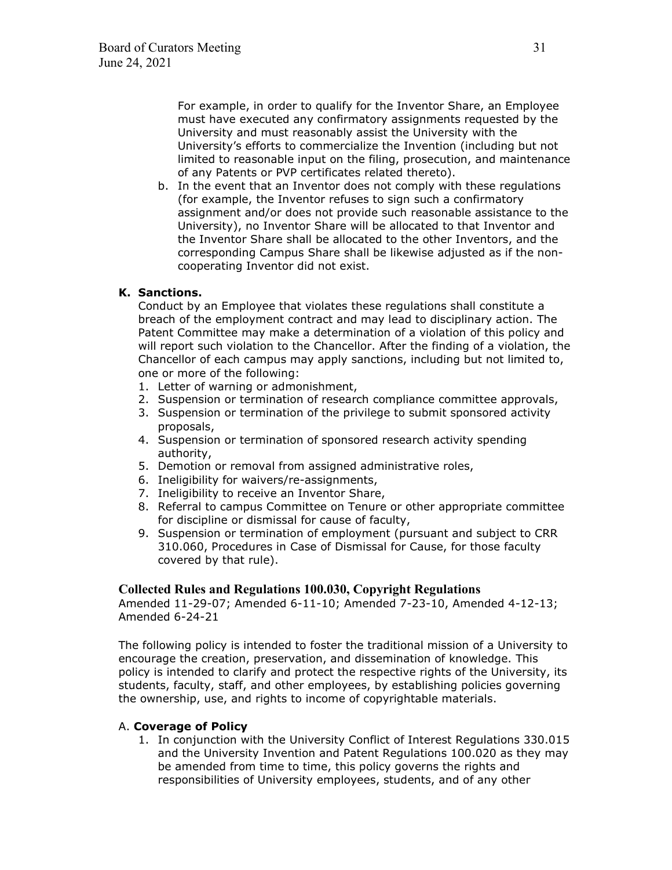For example, in order to qualify for the Inventor Share, an Employee must have executed any confirmatory assignments requested by the University and must reasonably assist the University with the University's efforts to commercialize the Invention (including but not limited to reasonable input on the filing, prosecution, and maintenance of any Patents or PVP certificates related thereto).

b. In the event that an Inventor does not comply with these regulations (for example, the Inventor refuses to sign such a confirmatory assignment and/or does not provide such reasonable assistance to the University), no Inventor Share will be allocated to that Inventor and the Inventor Share shall be allocated to the other Inventors, and the corresponding Campus Share shall be likewise adjusted as if the noncooperating Inventor did not exist.

### **K. Sanctions.**

Conduct by an Employee that violates these regulations shall constitute a breach of the employment contract and may lead to disciplinary action. The Patent Committee may make a determination of a violation of this policy and will report such violation to the Chancellor. After the finding of a violation, the Chancellor of each campus may apply sanctions, including but not limited to, one or more of the following:

- 1. Letter of warning or admonishment,
- 2. Suspension or termination of research compliance committee approvals,
- 3. Suspension or termination of the privilege to submit sponsored activity proposals,
- 4. Suspension or termination of sponsored research activity spending authority,
- 5. Demotion or removal from assigned administrative roles,
- 6. Ineligibility for waivers/re-assignments,
- 7. Ineligibility to receive an Inventor Share,
- 8. Referral to campus Committee on Tenure or other appropriate committee for discipline or dismissal for cause of faculty,
- 9. Suspension or termination of employment (pursuant and subject to CRR 310.060, Procedures in Case of Dismissal for Cause, for those faculty covered by that rule).

### **Collected Rules and Regulations 100.030, Copyright Regulations**

Amended 11-29-07; Amended 6-11-10; Amended 7-23-10, Amended 4-12-13; Amended 6-24-21

The following policy is intended to foster the traditional mission of a University to encourage the creation, preservation, and dissemination of knowledge. This policy is intended to clarify and protect the respective rights of the University, its students, faculty, staff, and other employees, by establishing policies governing the ownership, use, and rights to income of copyrightable materials.

### A. **Coverage of Policy**

1. In conjunction with the University Conflict of Interest Regulations 330.015 and the University Invention and Patent Regulations 100.020 as they may be amended from time to time, this policy governs the rights and responsibilities of University employees, students, and of any other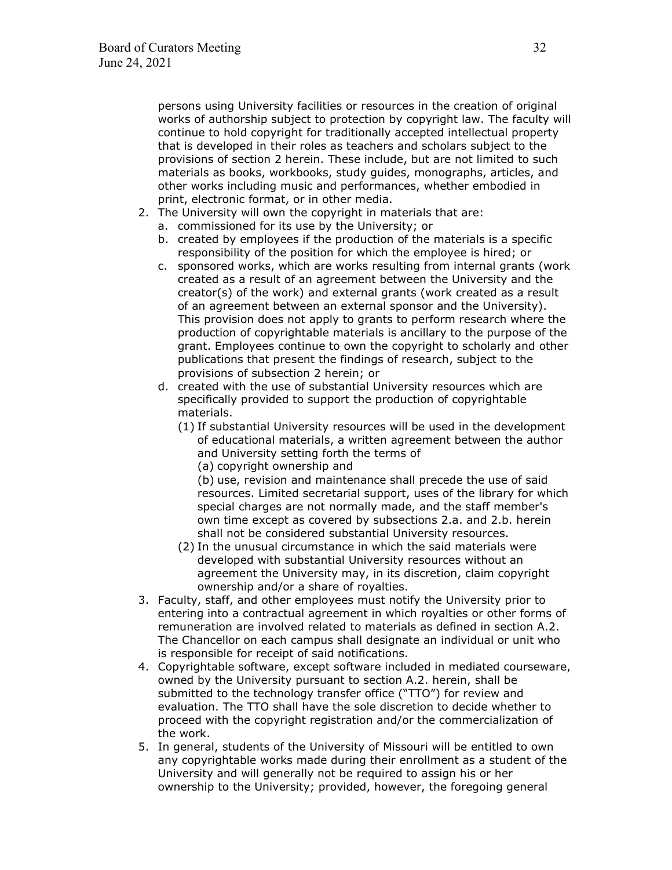persons using University facilities or resources in the creation of original works of authorship subject to protection by copyright law. The faculty will continue to hold copyright for traditionally accepted intellectual property that is developed in their roles as teachers and scholars subject to the provisions of section 2 herein. These include, but are not limited to such materials as books, workbooks, study guides, monographs, articles, and other works including music and performances, whether embodied in print, electronic format, or in other media.

- 2. The University will own the copyright in materials that are:
	- a. commissioned for its use by the University; or
	- b. created by employees if the production of the materials is a specific responsibility of the position for which the employee is hired; or
	- c. sponsored works, which are works resulting from internal grants (work created as a result of an agreement between the University and the creator(s) of the work) and external grants (work created as a result of an agreement between an external sponsor and the University). This provision does not apply to grants to perform research where the production of copyrightable materials is ancillary to the purpose of the grant. Employees continue to own the copyright to scholarly and other publications that present the findings of research, subject to the provisions of subsection 2 herein; or
	- d. created with the use of substantial University resources which are specifically provided to support the production of copyrightable materials.
		- (1) If substantial University resources will be used in the development of educational materials, a written agreement between the author and University setting forth the terms of
			- (a) copyright ownership and

(b) use, revision and maintenance shall precede the use of said resources. Limited secretarial support, uses of the library for which special charges are not normally made, and the staff member's own time except as covered by subsections 2.a. and 2.b. herein shall not be considered substantial University resources.

- (2) In the unusual circumstance in which the said materials were developed with substantial University resources without an agreement the University may, in its discretion, claim copyright ownership and/or a share of royalties.
- 3. Faculty, staff, and other employees must notify the University prior to entering into a contractual agreement in which royalties or other forms of remuneration are involved related to materials as defined in section A.2. The Chancellor on each campus shall designate an individual or unit who is responsible for receipt of said notifications.
- 4. Copyrightable software, except software included in mediated courseware, owned by the University pursuant to section A.2. herein, shall be submitted to the technology transfer office ("TTO") for review and evaluation. The TTO shall have the sole discretion to decide whether to proceed with the copyright registration and/or the commercialization of the work.
- 5. In general, students of the University of Missouri will be entitled to own any copyrightable works made during their enrollment as a student of the University and will generally not be required to assign his or her ownership to the University; provided, however, the foregoing general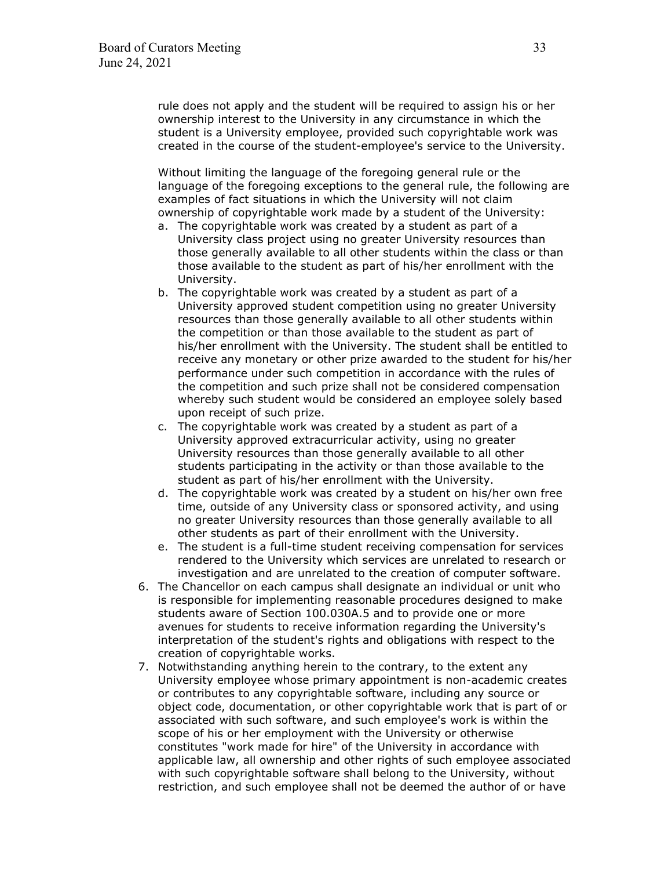rule does not apply and the student will be required to assign his or her ownership interest to the University in any circumstance in which the student is a University employee, provided such copyrightable work was created in the course of the student-employee's service to the University.

Without limiting the language of the foregoing general rule or the language of the foregoing exceptions to the general rule, the following are examples of fact situations in which the University will not claim ownership of copyrightable work made by a student of the University:

- a. The copyrightable work was created by a student as part of a University class project using no greater University resources than those generally available to all other students within the class or than those available to the student as part of his/her enrollment with the University.
- b. The copyrightable work was created by a student as part of a University approved student competition using no greater University resources than those generally available to all other students within the competition or than those available to the student as part of his/her enrollment with the University. The student shall be entitled to receive any monetary or other prize awarded to the student for his/her performance under such competition in accordance with the rules of the competition and such prize shall not be considered compensation whereby such student would be considered an employee solely based upon receipt of such prize.
- c. The copyrightable work was created by a student as part of a University approved extracurricular activity, using no greater University resources than those generally available to all other students participating in the activity or than those available to the student as part of his/her enrollment with the University.
- d. The copyrightable work was created by a student on his/her own free time, outside of any University class or sponsored activity, and using no greater University resources than those generally available to all other students as part of their enrollment with the University.
- e. The student is a full-time student receiving compensation for services rendered to the University which services are unrelated to research or investigation and are unrelated to the creation of computer software.
- 6. The Chancellor on each campus shall designate an individual or unit who is responsible for implementing reasonable procedures designed to make students aware of Section 100.030A.5 and to provide one or more avenues for students to receive information regarding the University's interpretation of the student's rights and obligations with respect to the creation of copyrightable works.
- 7. Notwithstanding anything herein to the contrary, to the extent any University employee whose primary appointment is non-academic creates or contributes to any copyrightable software, including any source or object code, documentation, or other copyrightable work that is part of or associated with such software, and such employee's work is within the scope of his or her employment with the University or otherwise constitutes "work made for hire" of the University in accordance with applicable law, all ownership and other rights of such employee associated with such copyrightable software shall belong to the University, without restriction, and such employee shall not be deemed the author of or have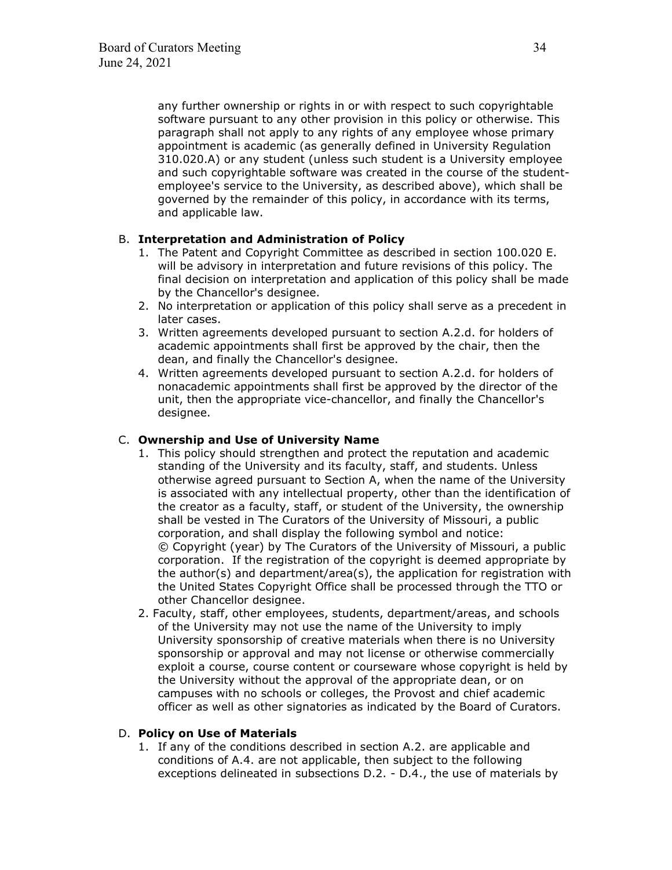any further ownership or rights in or with respect to such copyrightable software pursuant to any other provision in this policy or otherwise. This paragraph shall not apply to any rights of any employee whose primary appointment is academic (as generally defined in University Regulation 310.020.A) or any student (unless such student is a University employee and such copyrightable software was created in the course of the studentemployee's service to the University, as described above), which shall be governed by the remainder of this policy, in accordance with its terms, and applicable law.

### B. **Interpretation and Administration of Policy**

- 1. The Patent and Copyright Committee as described in section 100.020 E. will be advisory in interpretation and future revisions of this policy. The final decision on interpretation and application of this policy shall be made by the Chancellor's designee.
- 2. No interpretation or application of this policy shall serve as a precedent in later cases.
- 3. Written agreements developed pursuant to section A.2.d. for holders of academic appointments shall first be approved by the chair, then the dean, and finally the Chancellor's designee.
- 4. Written agreements developed pursuant to section A.2.d. for holders of nonacademic appointments shall first be approved by the director of the unit, then the appropriate vice-chancellor, and finally the Chancellor's designee.

### C. **Ownership and Use of University Name**

- 1. This policy should strengthen and protect the reputation and academic standing of the University and its faculty, staff, and students. Unless otherwise agreed pursuant to Section A, when the name of the University is associated with any intellectual property, other than the identification of the creator as a faculty, staff, or student of the University, the ownership shall be vested in The Curators of the University of Missouri, a public corporation, and shall display the following symbol and notice: © Copyright (year) by The Curators of the University of Missouri, a public corporation. If the registration of the copyright is deemed appropriate by the author(s) and department/area(s), the application for registration with the United States Copyright Office shall be processed through the TTO or other Chancellor designee.
- 2. Faculty, staff, other employees, students, department/areas, and schools of the University may not use the name of the University to imply University sponsorship of creative materials when there is no University sponsorship or approval and may not license or otherwise commercially exploit a course, course content or courseware whose copyright is held by the University without the approval of the appropriate dean, or on campuses with no schools or colleges, the Provost and chief academic officer as well as other signatories as indicated by the Board of Curators.

### D. **Policy on Use of Materials**

1. If any of the conditions described in section A.2. are applicable and conditions of A.4. are not applicable, then subject to the following exceptions delineated in subsections D.2. - D.4., the use of materials by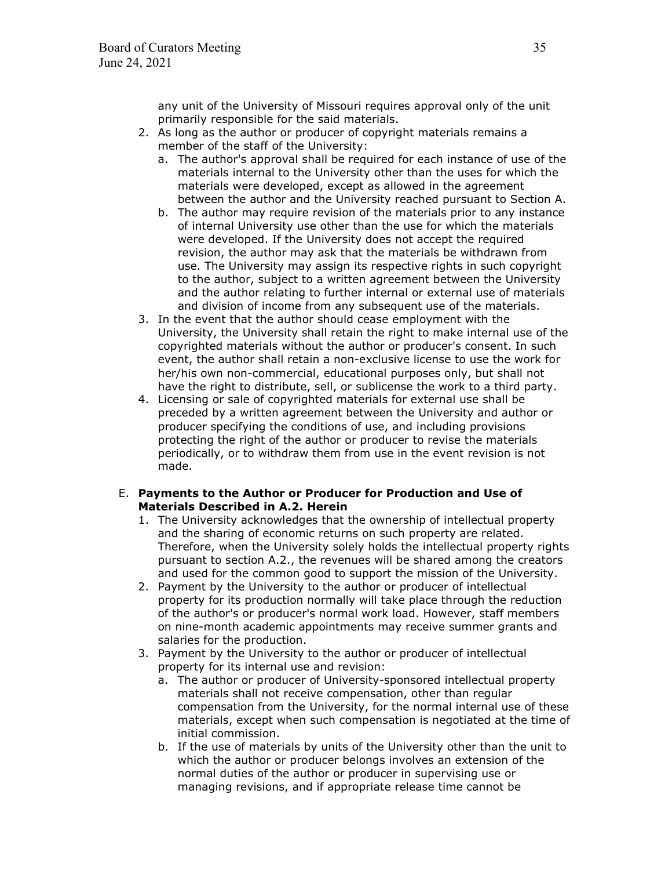any unit of the University of Missouri requires approval only of the unit primarily responsible for the said materials.

- 2. As long as the author or producer of copyright materials remains a member of the staff of the University:
	- a. The author's approval shall be required for each instance of use of the materials internal to the University other than the uses for which the materials were developed, except as allowed in the agreement between the author and the University reached pursuant to Section A.
	- b. The author may require revision of the materials prior to any instance of internal University use other than the use for which the materials were developed. If the University does not accept the required revision, the author may ask that the materials be withdrawn from use. The University may assign its respective rights in such copyright to the author, subject to a written agreement between the University and the author relating to further internal or external use of materials and division of income from any subsequent use of the materials.
- 3. In the event that the author should cease employment with the University, the University shall retain the right to make internal use of the copyrighted materials without the author or producer's consent. In such event, the author shall retain a non-exclusive license to use the work for her/his own non-commercial, educational purposes only, but shall not have the right to distribute, sell, or sublicense the work to a third party.
- 4. Licensing or sale of copyrighted materials for external use shall be preceded by a written agreement between the University and author or producer specifying the conditions of use, and including provisions protecting the right of the author or producer to revise the materials periodically, or to withdraw them from use in the event revision is not made.

### E. **Payments to the Author or Producer for Production and Use of Materials Described in A.2. Herein**

- 1. The University acknowledges that the ownership of intellectual property and the sharing of economic returns on such property are related. Therefore, when the University solely holds the intellectual property rights pursuant to section A.2., the revenues will be shared among the creators and used for the common good to support the mission of the University.
- 2. Payment by the University to the author or producer of intellectual property for its production normally will take place through the reduction of the author's or producer's normal work load. However, staff members on nine-month academic appointments may receive summer grants and salaries for the production.
- 3. Payment by the University to the author or producer of intellectual property for its internal use and revision:
	- a. The author or producer of University-sponsored intellectual property materials shall not receive compensation, other than regular compensation from the University, for the normal internal use of these materials, except when such compensation is negotiated at the time of initial commission.
	- b. If the use of materials by units of the University other than the unit to which the author or producer belongs involves an extension of the normal duties of the author or producer in supervising use or managing revisions, and if appropriate release time cannot be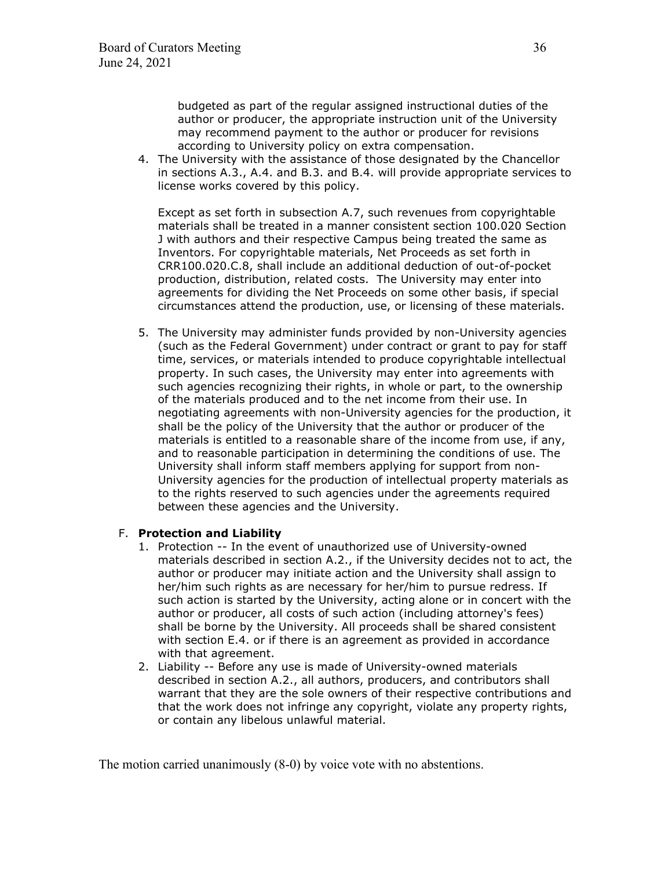budgeted as part of the regular assigned instructional duties of the author or producer, the appropriate instruction unit of the University may recommend payment to the author or producer for revisions according to University policy on extra compensation.

4. The University with the assistance of those designated by the Chancellor in sections A.3., A.4. and B.3. and B.4. will provide appropriate services to license works covered by this policy.

Except as set forth in subsection A.7, such revenues from copyrightable materials shall be treated in a manner consistent section 100.020 Section J with authors and their respective Campus being treated the same as Inventors. For copyrightable materials, Net Proceeds as set forth in CRR100.020.C.8, shall include an additional deduction of out-of-pocket production, distribution, related costs. The University may enter into agreements for dividing the Net Proceeds on some other basis, if special circumstances attend the production, use, or licensing of these materials.

5. The University may administer funds provided by non-University agencies (such as the Federal Government) under contract or grant to pay for staff time, services, or materials intended to produce copyrightable intellectual property. In such cases, the University may enter into agreements with such agencies recognizing their rights, in whole or part, to the ownership of the materials produced and to the net income from their use. In negotiating agreements with non-University agencies for the production, it shall be the policy of the University that the author or producer of the materials is entitled to a reasonable share of the income from use, if any, and to reasonable participation in determining the conditions of use. The University shall inform staff members applying for support from non-University agencies for the production of intellectual property materials as to the rights reserved to such agencies under the agreements required between these agencies and the University.

### F. **Protection and Liability**

- 1. Protection -- In the event of unauthorized use of University-owned materials described in section A.2., if the University decides not to act, the author or producer may initiate action and the University shall assign to her/him such rights as are necessary for her/him to pursue redress. If such action is started by the University, acting alone or in concert with the author or producer, all costs of such action (including attorney's fees) shall be borne by the University. All proceeds shall be shared consistent with section E.4. or if there is an agreement as provided in accordance with that agreement.
- 2. Liability -- Before any use is made of University-owned materials described in section A.2., all authors, producers, and contributors shall warrant that they are the sole owners of their respective contributions and that the work does not infringe any copyright, violate any property rights, or contain any libelous unlawful material.

The motion carried unanimously (8-0) by voice vote with no abstentions.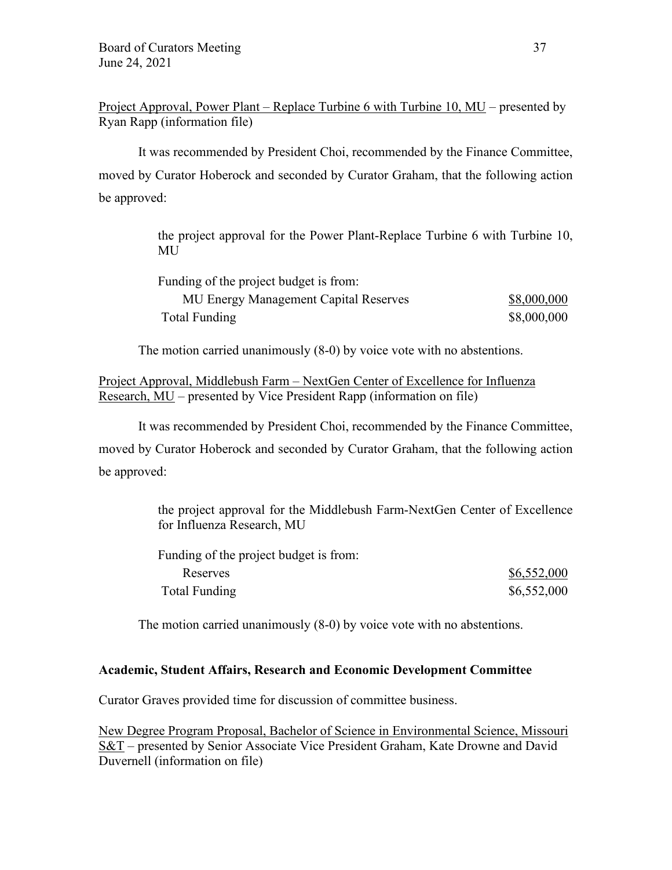Project Approval, Power Plant – Replace Turbine 6 with Turbine 10, MU – presented by Ryan Rapp (information file)

It was recommended by President Choi, recommended by the Finance Committee, moved by Curator Hoberock and seconded by Curator Graham, that the following action be approved:

> the project approval for the Power Plant-Replace Turbine 6 with Turbine 10, MU

| Funding of the project budget is from: |             |
|----------------------------------------|-------------|
| MU Energy Management Capital Reserves  | \$8,000,000 |
| Total Funding                          | \$8,000,000 |

The motion carried unanimously (8-0) by voice vote with no abstentions.

Project Approval, Middlebush Farm – NextGen Center of Excellence for Influenza Research, MU – presented by Vice President Rapp (information on file)

It was recommended by President Choi, recommended by the Finance Committee, moved by Curator Hoberock and seconded by Curator Graham, that the following action be approved:

> the project approval for the Middlebush Farm-NextGen Center of Excellence for Influenza Research, MU

| Funding of the project budget is from: |             |
|----------------------------------------|-------------|
| Reserves                               | \$6,552,000 |
| Total Funding                          | \$6,552,000 |

The motion carried unanimously (8-0) by voice vote with no abstentions.

# **Academic, Student Affairs, Research and Economic Development Committee**

Curator Graves provided time for discussion of committee business.

New Degree Program Proposal, Bachelor of Science in Environmental Science, Missouri S&T – presented by Senior Associate Vice President Graham, Kate Drowne and David Duvernell (information on file)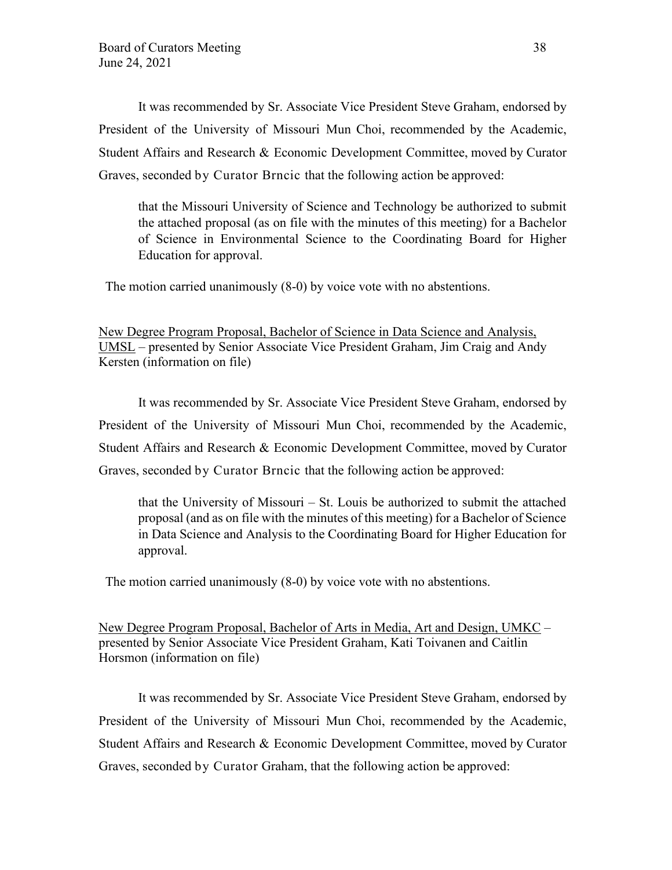It was recommended by Sr. Associate Vice President Steve Graham, endorsed by President of the University of Missouri Mun Choi, recommended by the Academic, Student Affairs and Research & Economic Development Committee, moved by Curator Graves, seconded by Curator Brncic that the following action be approved:

that the Missouri University of Science and Technology be authorized to submit the attached proposal (as on file with the minutes of this meeting) for a Bachelor of Science in Environmental Science to the Coordinating Board for Higher Education for approval.

The motion carried unanimously (8-0) by voice vote with no abstentions.

New Degree Program Proposal, Bachelor of Science in Data Science and Analysis, UMSL – presented by Senior Associate Vice President Graham, Jim Craig and Andy Kersten (information on file)

It was recommended by Sr. Associate Vice President Steve Graham, endorsed by President of the University of Missouri Mun Choi, recommended by the Academic, Student Affairs and Research & Economic Development Committee, moved by Curator Graves, seconded by Curator Brncic that the following action be approved:

that the University of Missouri – St. Louis be authorized to submit the attached proposal (and as on file with the minutes of this meeting) for a Bachelor of Science in Data Science and Analysis to the Coordinating Board for Higher Education for approval.

The motion carried unanimously (8-0) by voice vote with no abstentions.

New Degree Program Proposal, Bachelor of Arts in Media, Art and Design, UMKC – presented by Senior Associate Vice President Graham, Kati Toivanen and Caitlin Horsmon (information on file)

It was recommended by Sr. Associate Vice President Steve Graham, endorsed by President of the University of Missouri Mun Choi, recommended by the Academic, Student Affairs and Research & Economic Development Committee, moved by Curator Graves, seconded by Curator Graham, that the following action be approved: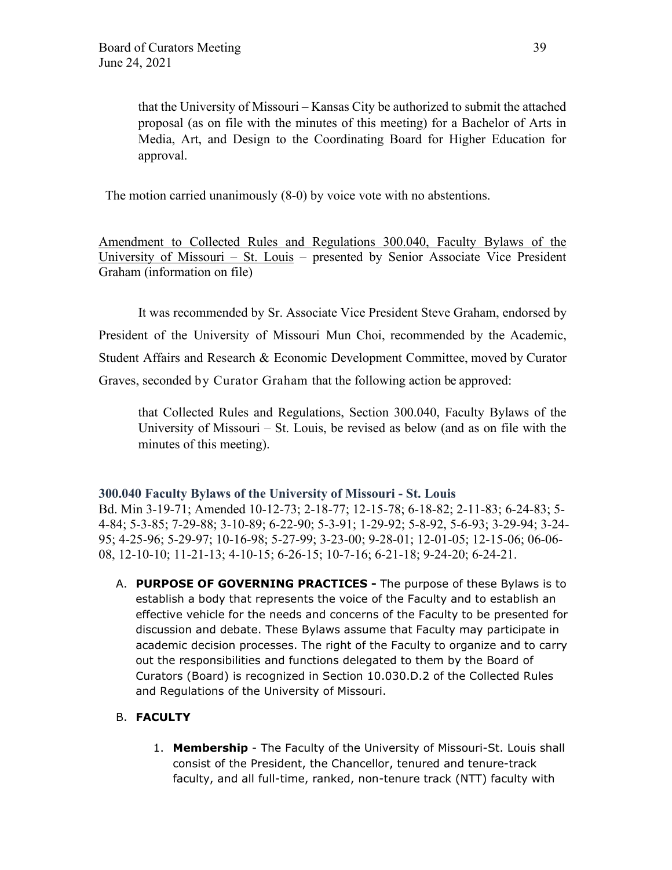that the University of Missouri – Kansas City be authorized to submit the attached proposal (as on file with the minutes of this meeting) for a Bachelor of Arts in Media, Art, and Design to the Coordinating Board for Higher Education for approval.

The motion carried unanimously (8-0) by voice vote with no abstentions.

Amendment to Collected Rules and Regulations 300.040, Faculty Bylaws of the University of Missouri – St. Louis – presented by Senior Associate Vice President Graham (information on file)

It was recommended by Sr. Associate Vice President Steve Graham, endorsed by President of the University of Missouri Mun Choi, recommended by the Academic, Student Affairs and Research & Economic Development Committee, moved by Curator Graves, seconded by Curator Graham that the following action be approved:

that Collected Rules and Regulations, Section 300.040, Faculty Bylaws of the University of Missouri – St. Louis, be revised as below (and as on file with the minutes of this meeting).

### **300.040 Faculty Bylaws of the University of Missouri - St. Louis**

Bd. Min 3-19-71; Amended 10-12-73; 2-18-77; 12-15-78; 6-18-82; 2-11-83; 6-24-83; 5- 4-84; 5-3-85; 7-29-88; 3-10-89; 6-22-90; 5-3-91; 1-29-92; 5-8-92, 5-6-93; 3-29-94; 3-24- 95; 4-25-96; 5-29-97; 10-16-98; 5-27-99; 3-23-00; 9-28-01; 12-01-05; 12-15-06; 06-06- 08, 12-10-10; 11-21-13; 4-10-15; 6-26-15; 10-7-16; 6-21-18; 9-24-20; 6-24-21.

A. **PURPOSE OF GOVERNING PRACTICES -** The purpose of these Bylaws is to establish a body that represents the voice of the Faculty and to establish an effective vehicle for the needs and concerns of the Faculty to be presented for discussion and debate. These Bylaws assume that Faculty may participate in academic decision processes. The right of the Faculty to organize and to carry out the responsibilities and functions delegated to them by the Board of Curators (Board) is recognized in Section 10.030.D.2 of the Collected Rules and Regulations of the University of Missouri.

# B. **FACULTY**

1. **Membership** - The Faculty of the University of Missouri-St. Louis shall consist of the President, the Chancellor, tenured and tenure-track faculty, and all full-time, ranked, non-tenure track (NTT) faculty with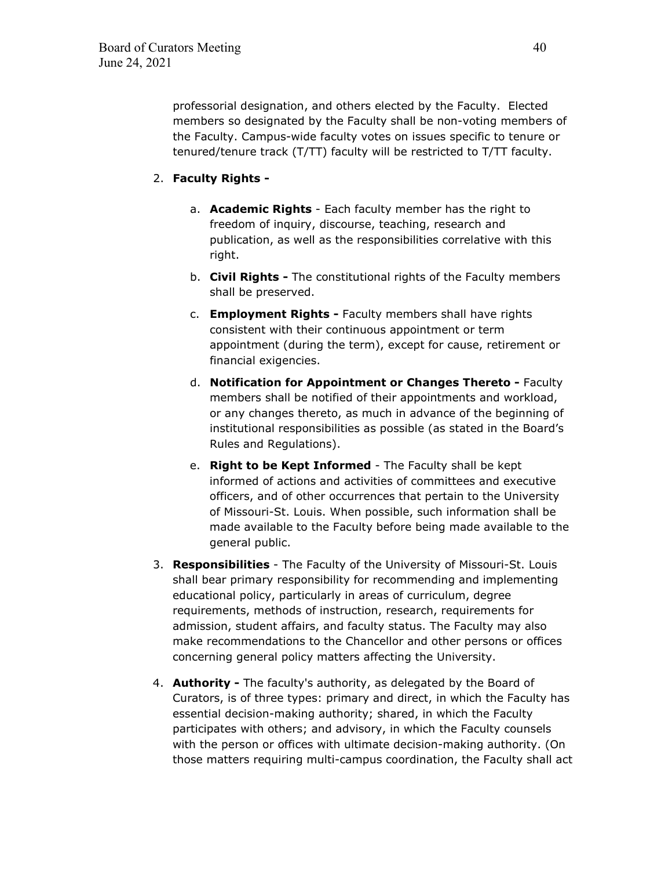professorial designation, and others elected by the Faculty. Elected members so designated by the Faculty shall be non-voting members of the Faculty. Campus-wide faculty votes on issues specific to tenure or tenured/tenure track (T/TT) faculty will be restricted to T/TT faculty.

# 2. **Faculty Rights -**

- a. **Academic Rights** Each faculty member has the right to freedom of inquiry, discourse, teaching, research and publication, as well as the responsibilities correlative with this right.
- b. **Civil Rights** The constitutional rights of the Faculty members shall be preserved.
- c. **Employment Rights** Faculty members shall have rights consistent with their continuous appointment or term appointment (during the term), except for cause, retirement or financial exigencies.
- d. **Notification for Appointment or Changes Thereto** Faculty members shall be notified of their appointments and workload, or any changes thereto, as much in advance of the beginning of institutional responsibilities as possible (as stated in the Board's Rules and Regulations).
- e. **Right to be Kept Informed** The Faculty shall be kept informed of actions and activities of committees and executive officers, and of other occurrences that pertain to the University of Missouri-St. Louis. When possible, such information shall be made available to the Faculty before being made available to the general public.
- 3. **Responsibilities** The Faculty of the University of Missouri-St. Louis shall bear primary responsibility for recommending and implementing educational policy, particularly in areas of curriculum, degree requirements, methods of instruction, research, requirements for admission, student affairs, and faculty status. The Faculty may also make recommendations to the Chancellor and other persons or offices concerning general policy matters affecting the University.
- 4. **Authority** The faculty's authority, as delegated by the Board of Curators, is of three types: primary and direct, in which the Faculty has essential decision-making authority; shared, in which the Faculty participates with others; and advisory, in which the Faculty counsels with the person or offices with ultimate decision-making authority. (On those matters requiring multi-campus coordination, the Faculty shall act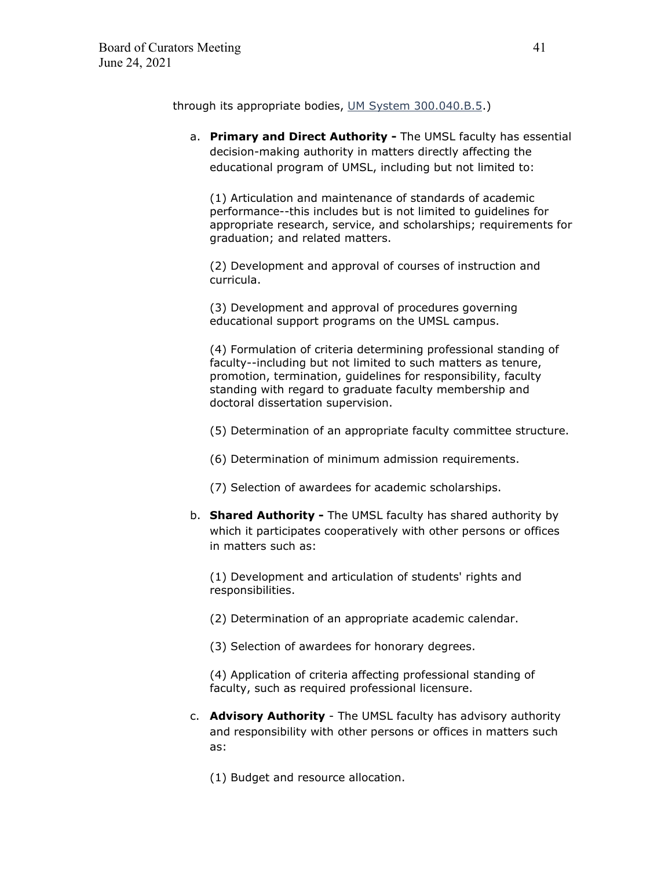through its appropriate bodies, UM System [300.040.B.5.](https://www.umsystem.edu/ums/rules/collected_rules/faculty/ch300/300.040_faculty_bylaws_umsl))

a. **Primary and Direct Authority -** The UMSL faculty has essential decision-making authority in matters directly affecting the educational program of UMSL, including but not limited to:

(1) Articulation and maintenance of standards of academic performance--this includes but is not limited to guidelines for appropriate research, service, and scholarships; requirements for graduation; and related matters.

(2) Development and approval of courses of instruction and curricula.

(3) Development and approval of procedures governing educational support programs on the UMSL campus.

(4) Formulation of criteria determining professional standing of faculty--including but not limited to such matters as tenure, promotion, termination, guidelines for responsibility, faculty standing with regard to graduate faculty membership and doctoral dissertation supervision.

(5) Determination of an appropriate faculty committee structure.

- (6) Determination of minimum admission requirements.
- (7) Selection of awardees for academic scholarships.
- b. **Shared Authority** The UMSL faculty has shared authority by which it participates cooperatively with other persons or offices in matters such as:

(1) Development and articulation of students' rights and responsibilities.

- (2) Determination of an appropriate academic calendar.
- (3) Selection of awardees for honorary degrees.

(4) Application of criteria affecting professional standing of faculty, such as required professional licensure.

- c. **Advisory Authority** The UMSL faculty has advisory authority and responsibility with other persons or offices in matters such as:
	- (1) Budget and resource allocation.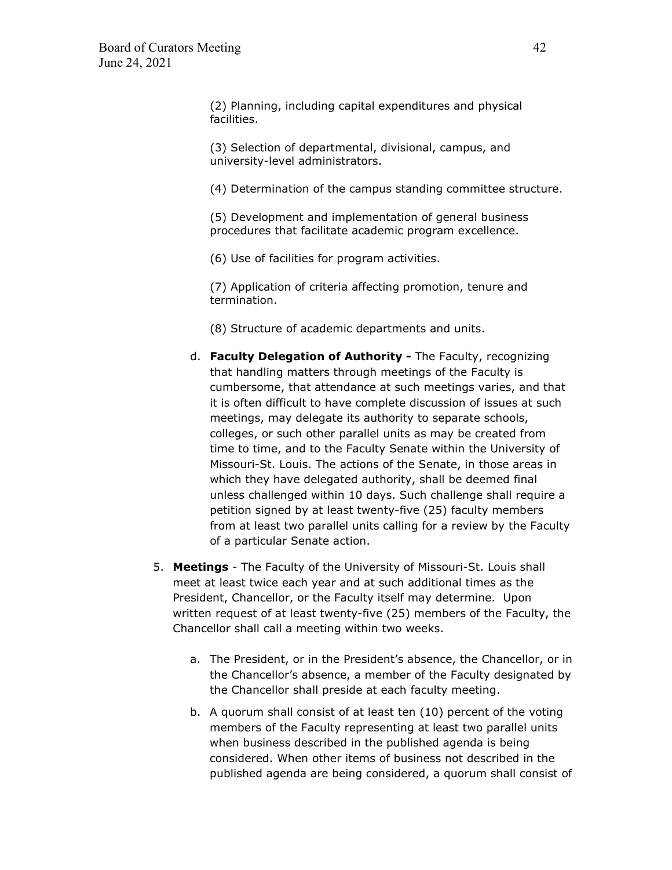(2) Planning, including capital expenditures and physical facilities.

(3) Selection of departmental, divisional, campus, and university-level administrators.

(4) Determination of the campus standing committee structure.

(5) Development and implementation of general business procedures that facilitate academic program excellence.

(6) Use of facilities for program activities.

(7) Application of criteria affecting promotion, tenure and termination.

(8) Structure of academic departments and units.

- d. **Faculty Delegation of Authority** The Faculty, recognizing that handling matters through meetings of the Faculty is cumbersome, that attendance at such meetings varies, and that it is often difficult to have complete discussion of issues at such meetings, may delegate its authority to separate schools, colleges, or such other parallel units as may be created from time to time, and to the Faculty Senate within the University of Missouri-St. Louis. The actions of the Senate, in those areas in which they have delegated authority, shall be deemed final unless challenged within 10 days. Such challenge shall require a petition signed by at least twenty-five (25) faculty members from at least two parallel units calling for a review by the Faculty of a particular Senate action.
- 5. **Meetings** The Faculty of the University of Missouri-St. Louis shall meet at least twice each year and at such additional times as the President, Chancellor, or the Faculty itself may determine. Upon written request of at least twenty-five (25) members of the Faculty, the Chancellor shall call a meeting within two weeks.
	- a. The President, or in the President's absence, the Chancellor, or in the Chancellor's absence, a member of the Faculty designated by the Chancellor shall preside at each faculty meeting.
	- b. A quorum shall consist of at least ten (10) percent of the voting members of the Faculty representing at least two parallel units when business described in the published agenda is being considered. When other items of business not described in the published agenda are being considered, a quorum shall consist of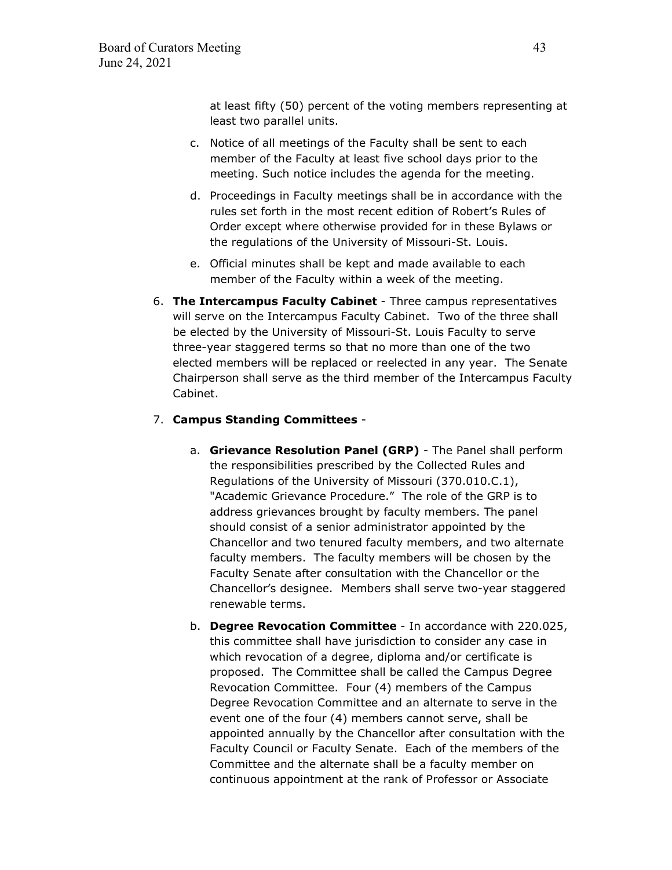at least fifty (50) percent of the voting members representing at least two parallel units.

- c. Notice of all meetings of the Faculty shall be sent to each member of the Faculty at least five school days prior to the meeting. Such notice includes the agenda for the meeting.
- d. Proceedings in Faculty meetings shall be in accordance with the rules set forth in the most recent edition of Robert's Rules of Order except where otherwise provided for in these Bylaws or the regulations of the University of Missouri-St. Louis.
- e. Official minutes shall be kept and made available to each member of the Faculty within a week of the meeting.
- 6. **The Intercampus Faculty Cabinet** Three campus representatives will serve on the Intercampus Faculty Cabinet. Two of the three shall be elected by the University of Missouri-St. Louis Faculty to serve three-year staggered terms so that no more than one of the two elected members will be replaced or reelected in any year. The Senate Chairperson shall serve as the third member of the Intercampus Faculty Cabinet.

# 7. **Campus Standing Committees** -

- a. **Grievance Resolution Panel (GRP)** The Panel shall perform the responsibilities prescribed by the Collected Rules and Regulations of the University of Missouri (370.010.C.1), "Academic Grievance Procedure." The role of the GRP is to address grievances brought by faculty members. The panel should consist of a senior administrator appointed by the Chancellor and two tenured faculty members, and two alternate faculty members. The faculty members will be chosen by the Faculty Senate after consultation with the Chancellor or the Chancellor's designee. Members shall serve two-year staggered renewable terms.
- b. **Degree Revocation Committee** In accordance with 220.025, this committee shall have jurisdiction to consider any case in which revocation of a degree, diploma and/or certificate is proposed. The Committee shall be called the Campus Degree Revocation Committee. Four (4) members of the Campus Degree Revocation Committee and an alternate to serve in the event one of the four (4) members cannot serve, shall be appointed annually by the Chancellor after consultation with the Faculty Council or Faculty Senate. Each of the members of the Committee and the alternate shall be a faculty member on continuous appointment at the rank of Professor or Associate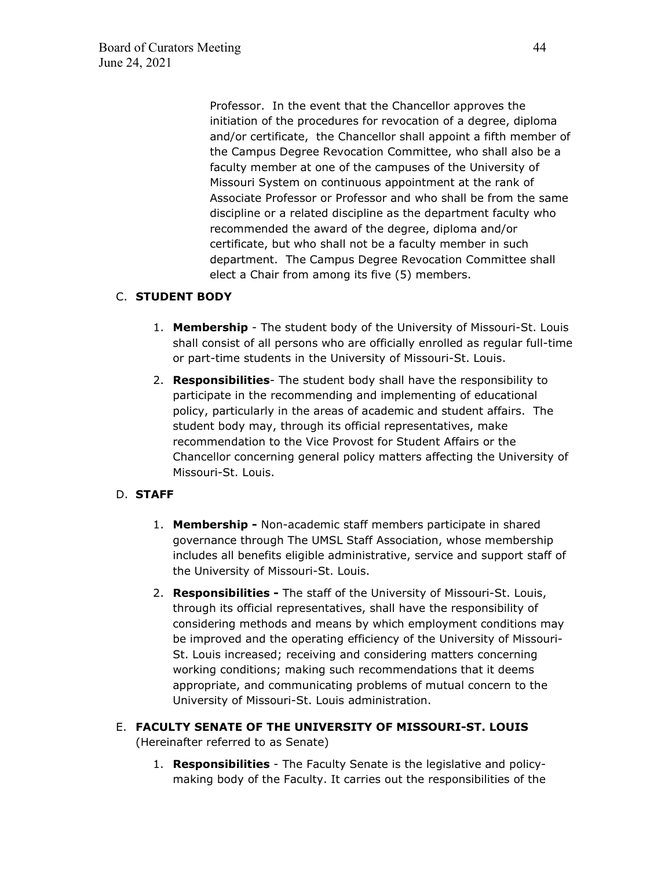Professor. In the event that the Chancellor approves the initiation of the procedures for revocation of a degree, diploma and/or certificate, the Chancellor shall appoint a fifth member of the Campus Degree Revocation Committee, who shall also be a faculty member at one of the campuses of the University of Missouri System on continuous appointment at the rank of Associate Professor or Professor and who shall be from the same discipline or a related discipline as the department faculty who recommended the award of the degree, diploma and/or certificate, but who shall not be a faculty member in such department. The Campus Degree Revocation Committee shall elect a Chair from among its five (5) members.

# C. **STUDENT BODY**

- 1. **Membership** The student body of the University of Missouri-St. Louis shall consist of all persons who are officially enrolled as regular full-time or part-time students in the University of Missouri-St. Louis.
- 2. **Responsibilities** The student body shall have the responsibility to participate in the recommending and implementing of educational policy, particularly in the areas of academic and student affairs. The student body may, through its official representatives, make recommendation to the Vice Provost for Student Affairs or the Chancellor concerning general policy matters affecting the University of Missouri-St. Louis.

# D. **STAFF**

- 1. **Membership -** Non-academic staff members participate in shared governance through The UMSL Staff Association, whose membership includes all benefits eligible administrative, service and support staff of the University of Missouri-St. Louis.
- 2. **Responsibilities** The staff of the University of Missouri-St. Louis, through its official representatives, shall have the responsibility of considering methods and means by which employment conditions may be improved and the operating efficiency of the University of Missouri-St. Louis increased; receiving and considering matters concerning working conditions; making such recommendations that it deems appropriate, and communicating problems of mutual concern to the University of Missouri-St. Louis administration.
- E. **FACULTY SENATE OF THE UNIVERSITY OF MISSOURI-ST. LOUIS** (Hereinafter referred to as Senate)
	- 1. **Responsibilities** The Faculty Senate is the legislative and policymaking body of the Faculty. It carries out the responsibilities of the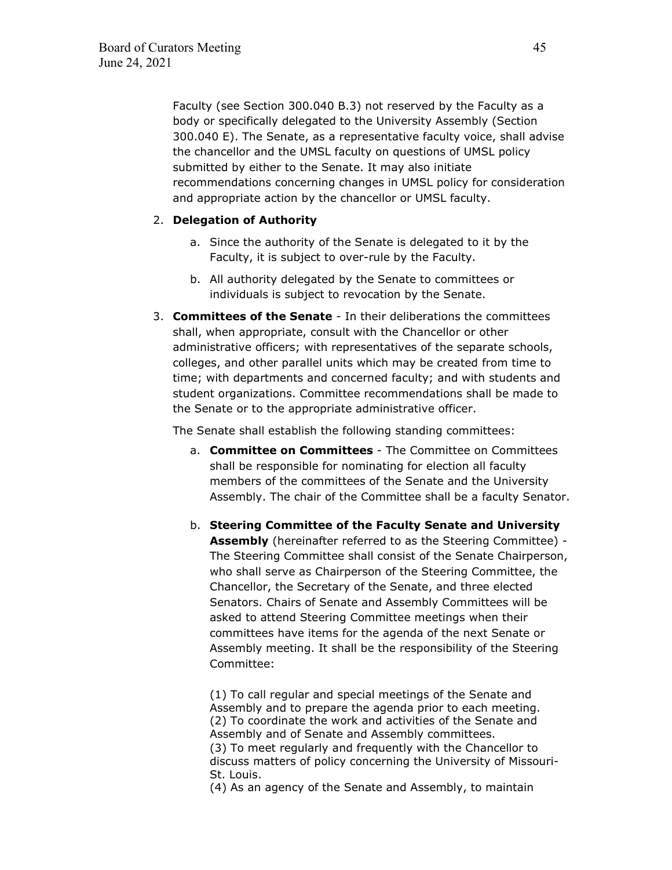Faculty (see Section 300.040 B.3) not reserved by the Faculty as a body or specifically delegated to the University Assembly (Section 300.040 E). The Senate, as a representative faculty voice, shall advise the chancellor and the UMSL faculty on questions of UMSL policy submitted by either to the Senate. It may also initiate recommendations concerning changes in UMSL policy for consideration and appropriate action by the chancellor or UMSL faculty.

### 2. **Delegation of Authority**

- a. Since the authority of the Senate is delegated to it by the Faculty, it is subject to over-rule by the Faculty.
- b. All authority delegated by the Senate to committees or individuals is subject to revocation by the Senate.
- 3. **Committees of the Senate** In their deliberations the committees shall, when appropriate, consult with the Chancellor or other administrative officers; with representatives of the separate schools, colleges, and other parallel units which may be created from time to time; with departments and concerned faculty; and with students and student organizations. Committee recommendations shall be made to the Senate or to the appropriate administrative officer.

The Senate shall establish the following standing committees:

- a. **Committee on Committees** The Committee on Committees shall be responsible for nominating for election all faculty members of the committees of the Senate and the University Assembly. The chair of the Committee shall be a faculty Senator.
- b. **Steering Committee of the Faculty Senate and University Assembly** (hereinafter referred to as the Steering Committee) - The Steering Committee shall consist of the Senate Chairperson, who shall serve as Chairperson of the Steering Committee, the Chancellor, the Secretary of the Senate, and three elected Senators. Chairs of Senate and Assembly Committees will be asked to attend Steering Committee meetings when their committees have items for the agenda of the next Senate or Assembly meeting. It shall be the responsibility of the Steering Committee:

(1) To call regular and special meetings of the Senate and Assembly and to prepare the agenda prior to each meeting. (2) To coordinate the work and activities of the Senate and Assembly and of Senate and Assembly committees. (3) To meet regularly and frequently with the Chancellor to discuss matters of policy concerning the University of Missouri-St. Louis.

(4) As an agency of the Senate and Assembly, to maintain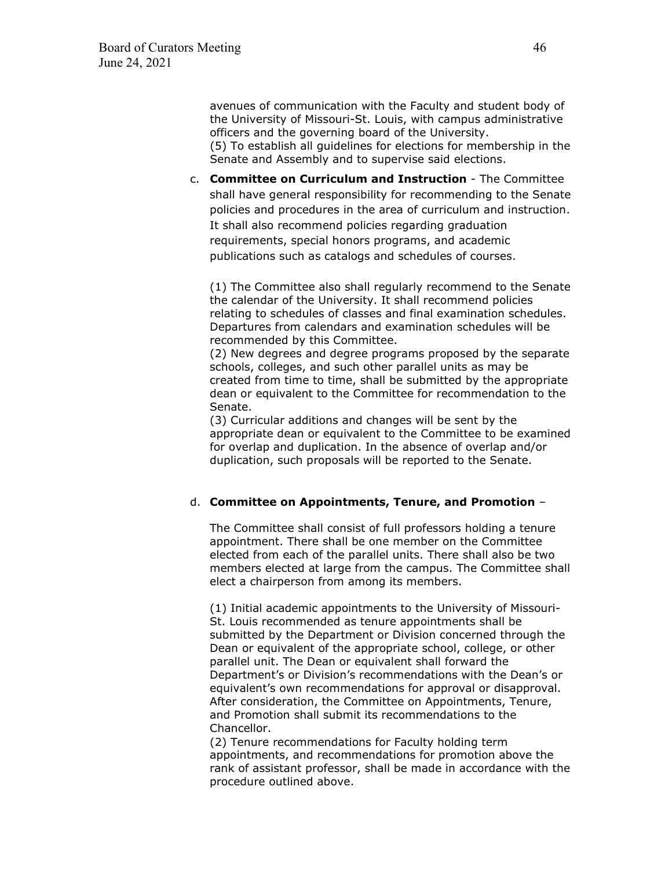avenues of communication with the Faculty and student body of the University of Missouri-St. Louis, with campus administrative officers and the governing board of the University. (5) To establish all guidelines for elections for membership in the Senate and Assembly and to supervise said elections.

c. **Committee on Curriculum and Instruction** - The Committee shall have general responsibility for recommending to the Senate policies and procedures in the area of curriculum and instruction. It shall also recommend policies regarding graduation requirements, special honors programs, and academic publications such as catalogs and schedules of courses.

(1) The Committee also shall regularly recommend to the Senate the calendar of the University. It shall recommend policies relating to schedules of classes and final examination schedules. Departures from calendars and examination schedules will be recommended by this Committee.

(2) New degrees and degree programs proposed by the separate schools, colleges, and such other parallel units as may be created from time to time, shall be submitted by the appropriate dean or equivalent to the Committee for recommendation to the Senate.

(3) Curricular additions and changes will be sent by the appropriate dean or equivalent to the Committee to be examined for overlap and duplication. In the absence of overlap and/or duplication, such proposals will be reported to the Senate.

### d. **Committee on Appointments, Tenure, and Promotion** –

The Committee shall consist of full professors holding a tenure appointment. There shall be one member on the Committee elected from each of the parallel units. There shall also be two members elected at large from the campus. The Committee shall elect a chairperson from among its members.

(1) Initial academic appointments to the University of Missouri-St. Louis recommended as tenure appointments shall be submitted by the Department or Division concerned through the Dean or equivalent of the appropriate school, college, or other parallel unit. The Dean or equivalent shall forward the Department's or Division's recommendations with the Dean's or equivalent's own recommendations for approval or disapproval. After consideration, the Committee on Appointments, Tenure, and Promotion shall submit its recommendations to the Chancellor.

(2) Tenure recommendations for Faculty holding term appointments, and recommendations for promotion above the rank of assistant professor, shall be made in accordance with the procedure outlined above.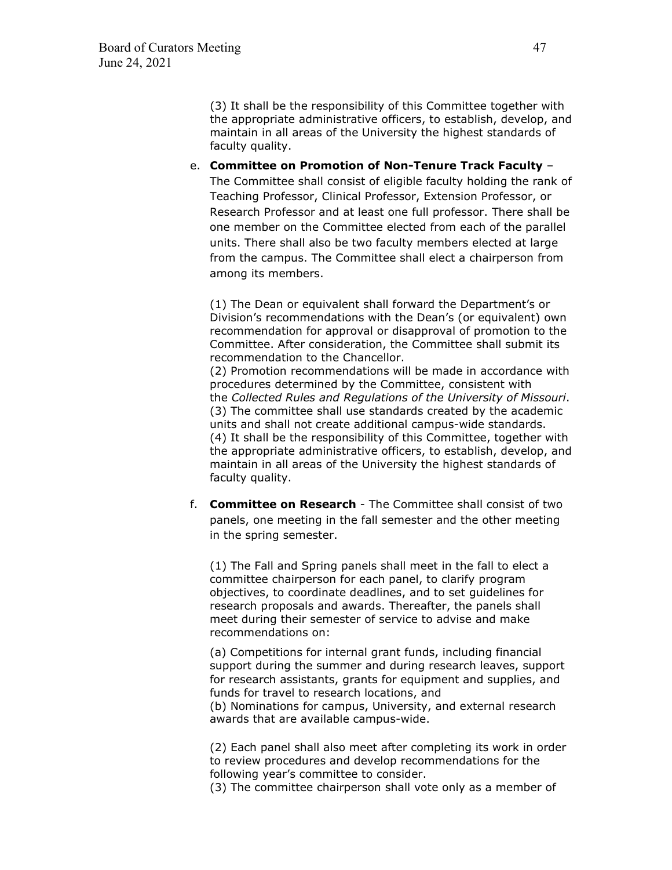(3) It shall be the responsibility of this Committee together with the appropriate administrative officers, to establish, develop, and maintain in all areas of the University the highest standards of faculty quality.

# e. **Committee on Promotion of Non-Tenure Track Faculty** – The Committee shall consist of eligible faculty holding the rank of Teaching Professor, Clinical Professor, Extension Professor, or Research Professor and at least one full professor. There shall be one member on the Committee elected from each of the parallel units. There shall also be two faculty members elected at large from the campus. The Committee shall elect a chairperson from among its members.

(1) The Dean or equivalent shall forward the Department's or Division's recommendations with the Dean's (or equivalent) own recommendation for approval or disapproval of promotion to the Committee. After consideration, the Committee shall submit its recommendation to the Chancellor.

(2) Promotion recommendations will be made in accordance with procedures determined by the Committee, consistent with the *Collected Rules and Regulations of the University of Missouri*. (3) The committee shall use standards created by the academic units and shall not create additional campus-wide standards. (4) It shall be the responsibility of this Committee, together with the appropriate administrative officers, to establish, develop, and maintain in all areas of the University the highest standards of faculty quality.

f. **Committee on Research** - The Committee shall consist of two panels, one meeting in the fall semester and the other meeting in the spring semester.

(1) The Fall and Spring panels shall meet in the fall to elect a committee chairperson for each panel, to clarify program objectives, to coordinate deadlines, and to set guidelines for research proposals and awards. Thereafter, the panels shall meet during their semester of service to advise and make recommendations on:

(a) Competitions for internal grant funds, including financial support during the summer and during research leaves, support for research assistants, grants for equipment and supplies, and funds for travel to research locations, and (b) Nominations for campus, University, and external research awards that are available campus-wide.

(2) Each panel shall also meet after completing its work in order to review procedures and develop recommendations for the following year's committee to consider.

(3) The committee chairperson shall vote only as a member of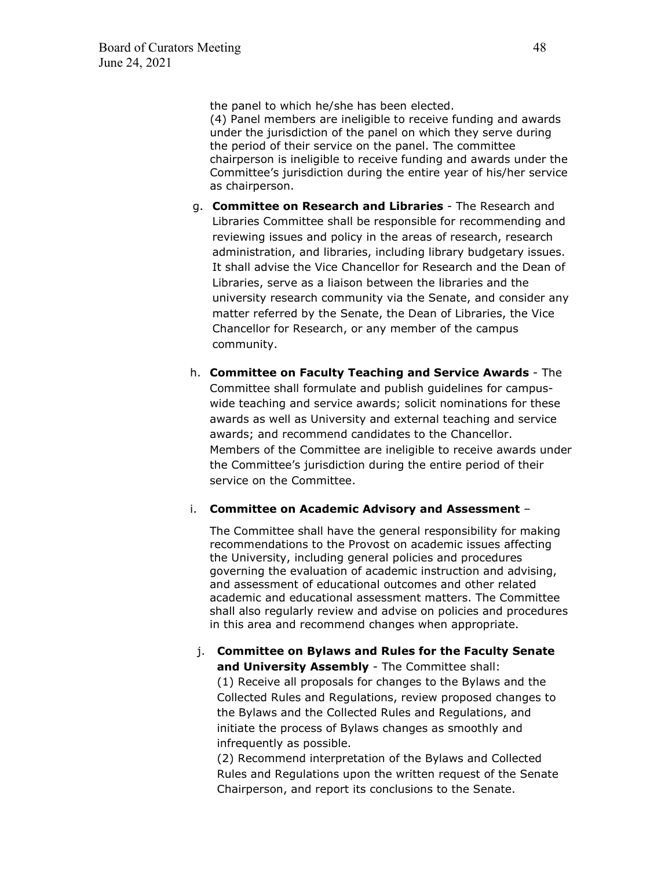the panel to which he/she has been elected.

(4) Panel members are ineligible to receive funding and awards under the jurisdiction of the panel on which they serve during the period of their service on the panel. The committee chairperson is ineligible to receive funding and awards under the Committee's jurisdiction during the entire year of his/her service as chairperson.

- g. **Committee on Research and Libraries** The Research and Libraries Committee shall be responsible for recommending and reviewing issues and policy in the areas of research, research administration, and libraries, including library budgetary issues. It shall advise the Vice Chancellor for Research and the Dean of Libraries, serve as a liaison between the libraries and the university research community via the Senate, and consider any matter referred by the Senate, the Dean of Libraries, the Vice Chancellor for Research, or any member of the campus community.
- h. **Committee on Faculty Teaching and Service Awards** The Committee shall formulate and publish guidelines for campuswide teaching and service awards; solicit nominations for these awards as well as University and external teaching and service awards; and recommend candidates to the Chancellor. Members of the Committee are ineligible to receive awards under the Committee's jurisdiction during the entire period of their service on the Committee.

#### i. **Committee on Academic Advisory and Assessment** –

The Committee shall have the general responsibility for making recommendations to the Provost on academic issues affecting the University, including general policies and procedures governing the evaluation of academic instruction and advising, and assessment of educational outcomes and other related academic and educational assessment matters. The Committee shall also regularly review and advise on policies and procedures in this area and recommend changes when appropriate.

# j. **Committee on Bylaws and Rules for the Faculty Senate and University Assembly** - The Committee shall: (1) Receive all proposals for changes to the Bylaws and the Collected Rules and Regulations, review proposed changes to the Bylaws and the Collected Rules and Regulations, and initiate the process of Bylaws changes as smoothly and infrequently as possible.

(2) Recommend interpretation of the Bylaws and Collected Rules and Regulations upon the written request of the Senate Chairperson, and report its conclusions to the Senate.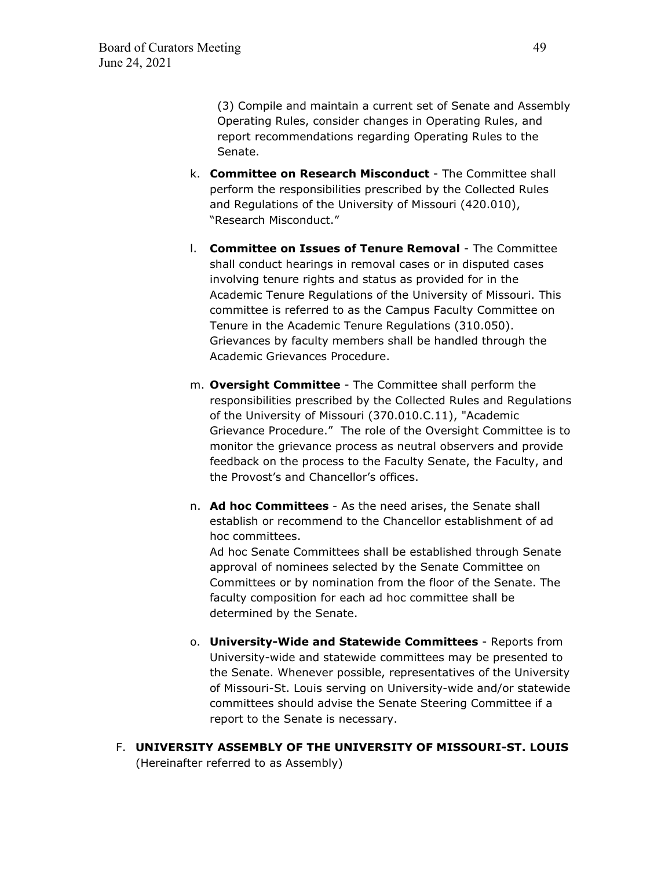(3) Compile and maintain a current set of Senate and Assembly Operating Rules, consider changes in Operating Rules, and report recommendations regarding Operating Rules to the Senate.

- k. **Committee on Research Misconduct** The Committee shall perform the responsibilities prescribed by the Collected Rules and Regulations of the University of Missouri (420.010), "Research Misconduct."
- l. **Committee on Issues of Tenure Removal** The Committee shall conduct hearings in removal cases or in disputed cases involving tenure rights and status as provided for in the Academic Tenure Regulations of the University of Missouri. This committee is referred to as the Campus Faculty Committee on Tenure in the Academic Tenure Regulations (310.050). Grievances by faculty members shall be handled through the Academic Grievances Procedure.
- m. **Oversight Committee** The Committee shall perform the responsibilities prescribed by the Collected Rules and Regulations of the University of Missouri (370.010.C.11), "Academic Grievance Procedure." The role of the Oversight Committee is to monitor the grievance process as neutral observers and provide feedback on the process to the Faculty Senate, the Faculty, and the Provost's and Chancellor's offices.
- n. **Ad hoc Committees** As the need arises, the Senate shall establish or recommend to the Chancellor establishment of ad hoc committees. Ad hoc Senate Committees shall be established through Senate approval of nominees selected by the Senate Committee on

Committees or by nomination from the floor of the Senate. The faculty composition for each ad hoc committee shall be determined by the Senate.

- o. **University-Wide and Statewide Committees** Reports from University-wide and statewide committees may be presented to the Senate. Whenever possible, representatives of the University of Missouri-St. Louis serving on University-wide and/or statewide committees should advise the Senate Steering Committee if a report to the Senate is necessary.
- F. **UNIVERSITY ASSEMBLY OF THE UNIVERSITY OF MISSOURI-ST. LOUIS** (Hereinafter referred to as Assembly)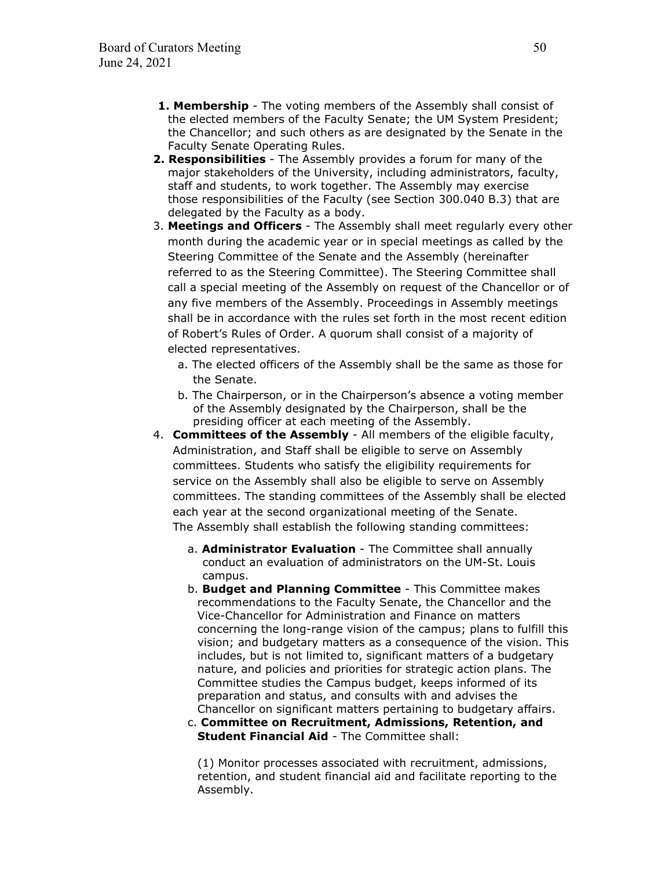- **1. Membership** The voting members of the Assembly shall consist of the elected members of the Faculty Senate; the UM System President; the Chancellor; and such others as are designated by the Senate in the Faculty Senate Operating Rules.
- **2. Responsibilities** The Assembly provides a forum for many of the major stakeholders of the University, including administrators, faculty, staff and students, to work together. The Assembly may exercise those responsibilities of the Faculty (see Section 300.040 B.3) that are delegated by the Faculty as a body.
- 3. **Meetings and Officers** The Assembly shall meet regularly every other month during the academic year or in special meetings as called by the Steering Committee of the Senate and the Assembly (hereinafter referred to as the Steering Committee). The Steering Committee shall call a special meeting of the Assembly on request of the Chancellor or of any five members of the Assembly. Proceedings in Assembly meetings shall be in accordance with the rules set forth in the most recent edition of Robert's Rules of Order. A quorum shall consist of a majority of elected representatives.
	- a. The elected officers of the Assembly shall be the same as those for the Senate.
	- b. The Chairperson, or in the Chairperson's absence a voting member of the Assembly designated by the Chairperson, shall be the presiding officer at each meeting of the Assembly.
- 4. **Committees of the Assembly** All members of the eligible faculty, Administration, and Staff shall be eligible to serve on Assembly committees. Students who satisfy the eligibility requirements for service on the Assembly shall also be eligible to serve on Assembly committees. The standing committees of the Assembly shall be elected each year at the second organizational meeting of the Senate. The Assembly shall establish the following standing committees:
	- a. **Administrator Evaluation** The Committee shall annually conduct an evaluation of administrators on the UM-St. Louis campus.
	- b. **Budget and Planning Committee** This Committee makes recommendations to the Faculty Senate, the Chancellor and the Vice-Chancellor for Administration and Finance on matters concerning the long-range vision of the campus; plans to fulfill this vision; and budgetary matters as a consequence of the vision. This includes, but is not limited to, significant matters of a budgetary nature, and policies and priorities for strategic action plans. The Committee studies the Campus budget, keeps informed of its preparation and status, and consults with and advises the Chancellor on significant matters pertaining to budgetary affairs.
	- c. **Committee on Recruitment, Admissions, Retention, and Student Financial Aid** - The Committee shall:

(1) Monitor processes associated with recruitment, admissions, retention, and student financial aid and facilitate reporting to the Assembly.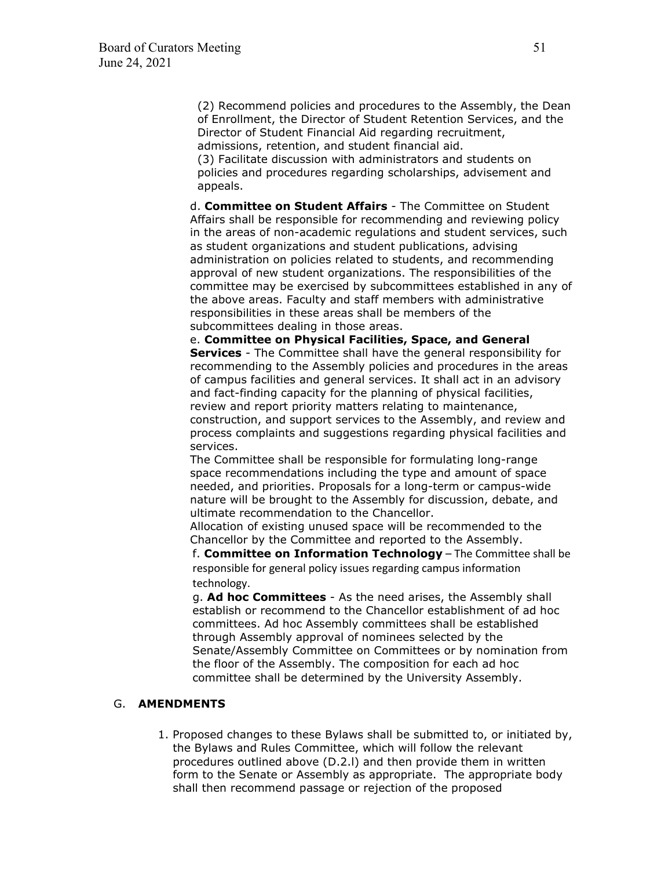(2) Recommend policies and procedures to the Assembly, the Dean of Enrollment, the Director of Student Retention Services, and the Director of Student Financial Aid regarding recruitment, admissions, retention, and student financial aid.

(3) Facilitate discussion with administrators and students on policies and procedures regarding scholarships, advisement and appeals.

d. **Committee on Student Affairs** - The Committee on Student Affairs shall be responsible for recommending and reviewing policy in the areas of non-academic regulations and student services, such as student organizations and student publications, advising administration on policies related to students, and recommending approval of new student organizations. The responsibilities of the committee may be exercised by subcommittees established in any of the above areas. Faculty and staff members with administrative responsibilities in these areas shall be members of the subcommittees dealing in those areas.

e. **Committee on Physical Facilities, Space, and General Services** - The Committee shall have the general responsibility for recommending to the Assembly policies and procedures in the areas of campus facilities and general services. It shall act in an advisory and fact-finding capacity for the planning of physical facilities, review and report priority matters relating to maintenance, construction, and support services to the Assembly, and review and process complaints and suggestions regarding physical facilities and services.

The Committee shall be responsible for formulating long-range space recommendations including the type and amount of space needed, and priorities. Proposals for a long-term or campus-wide nature will be brought to the Assembly for discussion, debate, and ultimate recommendation to the Chancellor.

Allocation of existing unused space will be recommended to the Chancellor by the Committee and reported to the Assembly.

f. **Committee on Information Technology** – The Committee shall be responsible for general policy issues regarding campus information technology.

g. **Ad hoc Committees** - As the need arises, the Assembly shall establish or recommend to the Chancellor establishment of ad hoc committees. Ad hoc Assembly committees shall be established through Assembly approval of nominees selected by the Senate/Assembly Committee on Committees or by nomination from the floor of the Assembly. The composition for each ad hoc committee shall be determined by the University Assembly.

### G. **AMENDMENTS**

1. Proposed changes to these Bylaws shall be submitted to, or initiated by, the Bylaws and Rules Committee, which will follow the relevant procedures outlined above (D.2.l) and then provide them in written form to the Senate or Assembly as appropriate. The appropriate body shall then recommend passage or rejection of the proposed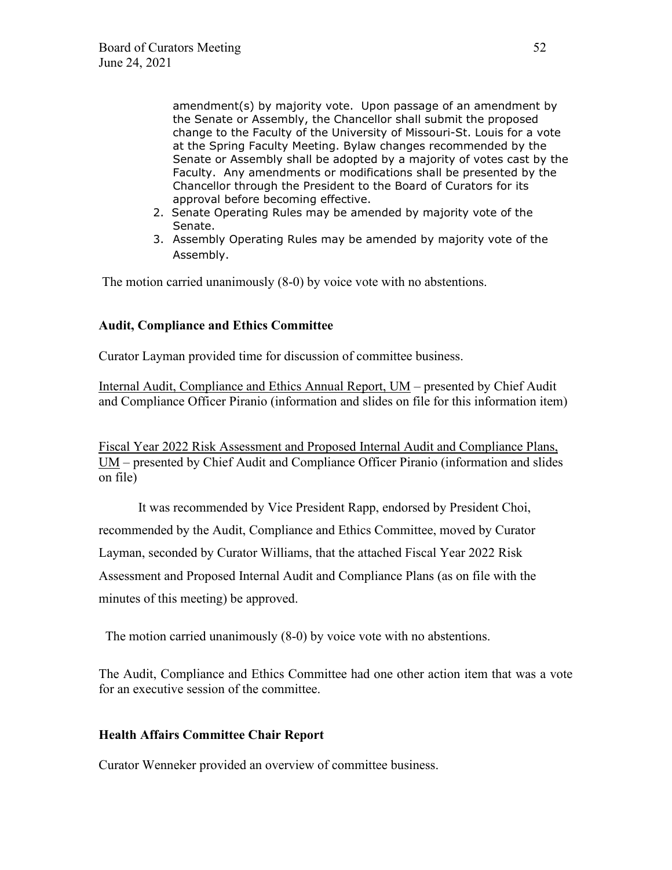amendment(s) by majority vote. Upon passage of an amendment by the Senate or Assembly, the Chancellor shall submit the proposed change to the Faculty of the University of Missouri-St. Louis for a vote at the Spring Faculty Meeting. Bylaw changes recommended by the Senate or Assembly shall be adopted by a majority of votes cast by the Faculty. Any amendments or modifications shall be presented by the Chancellor through the President to the Board of Curators for its approval before becoming effective.

- 2. Senate Operating Rules may be amended by majority vote of the Senate.
- 3. Assembly Operating Rules may be amended by majority vote of the Assembly.

The motion carried unanimously (8-0) by voice vote with no abstentions.

# **Audit, Compliance and Ethics Committee**

Curator Layman provided time for discussion of committee business.

Internal Audit, Compliance and Ethics Annual Report, UM – presented by Chief Audit and Compliance Officer Piranio (information and slides on file for this information item)

Fiscal Year 2022 Risk Assessment and Proposed Internal Audit and Compliance Plans, UM – presented by Chief Audit and Compliance Officer Piranio (information and slides on file)

 It was recommended by Vice President Rapp, endorsed by President Choi, recommended by the Audit, Compliance and Ethics Committee, moved by Curator Layman, seconded by Curator Williams, that the attached Fiscal Year 2022 Risk Assessment and Proposed Internal Audit and Compliance Plans (as on file with the minutes of this meeting) be approved.

The motion carried unanimously (8-0) by voice vote with no abstentions.

The Audit, Compliance and Ethics Committee had one other action item that was a vote for an executive session of the committee.

# **Health Affairs Committee Chair Report**

Curator Wenneker provided an overview of committee business.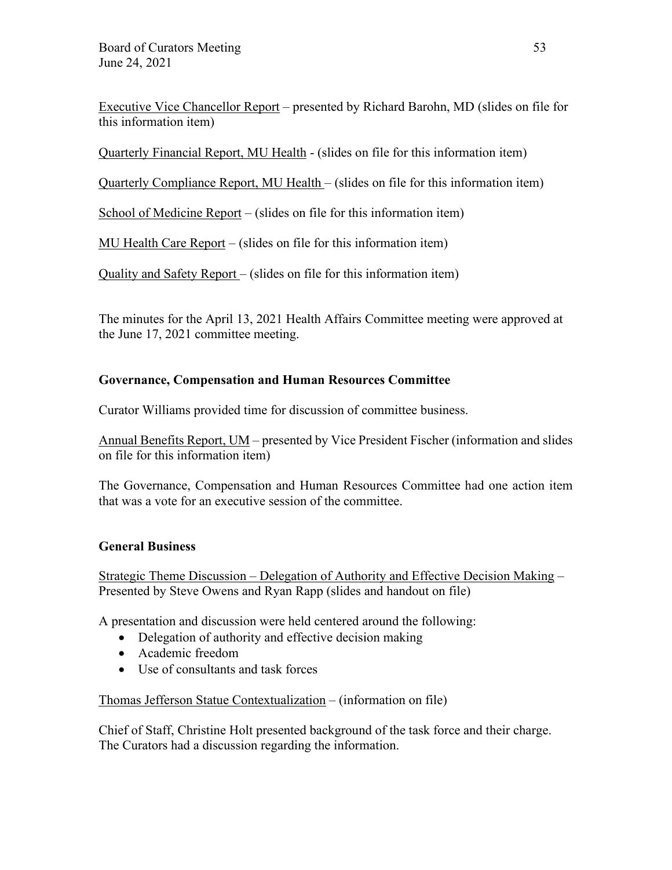Executive Vice Chancellor Report – presented by Richard Barohn, MD (slides on file for this information item)

Quarterly Financial Report, MU Health - (slides on file for this information item)

Quarterly Compliance Report, MU Health – (slides on file for this information item)

School of Medicine Report – (slides on file for this information item)

MU Health Care Report – (slides on file for this information item)

Quality and Safety Report – (slides on file for this information item)

The minutes for the April 13, 2021 Health Affairs Committee meeting were approved at the June 17, 2021 committee meeting.

# **Governance, Compensation and Human Resources Committee**

Curator Williams provided time for discussion of committee business.

Annual Benefits Report, UM – presented by Vice President Fischer (information and slides on file for this information item)

The Governance, Compensation and Human Resources Committee had one action item that was a vote for an executive session of the committee.

# **General Business**

Strategic Theme Discussion – Delegation of Authority and Effective Decision Making – Presented by Steve Owens and Ryan Rapp (slides and handout on file)

A presentation and discussion were held centered around the following:

- Delegation of authority and effective decision making
- Academic freedom
- Use of consultants and task forces

Thomas Jefferson Statue Contextualization – (information on file)

Chief of Staff, Christine Holt presented background of the task force and their charge. The Curators had a discussion regarding the information.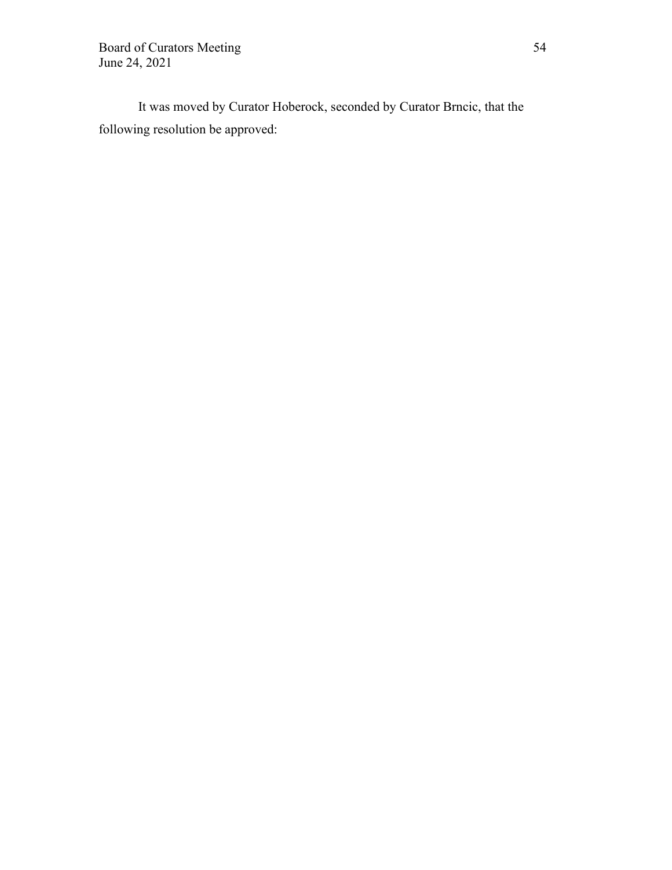Board of Curators Meeting 54 June 24, 2021

 It was moved by Curator Hoberock, seconded by Curator Brncic, that the following resolution be approved: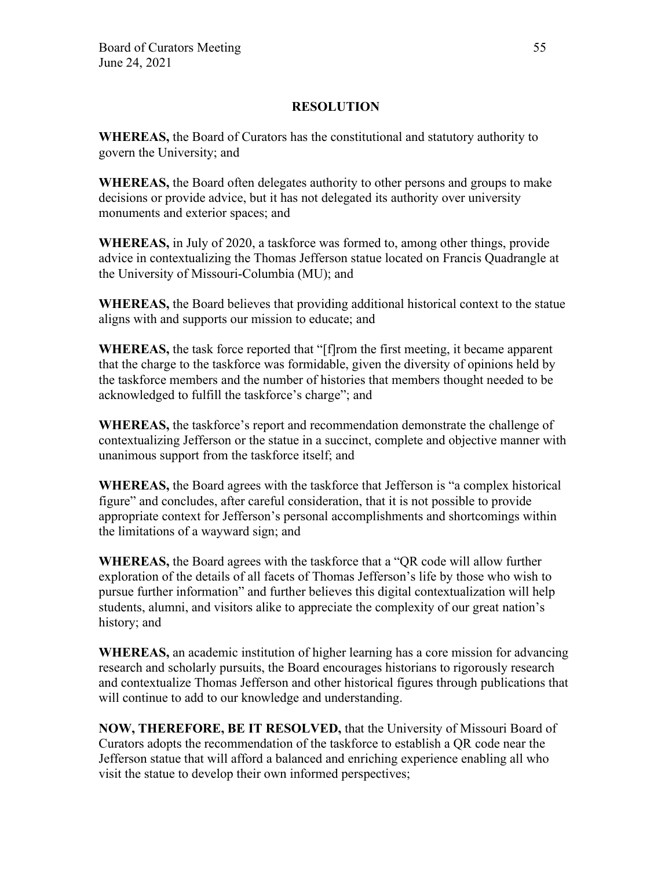# **RESOLUTION**

**WHEREAS,** the Board of Curators has the constitutional and statutory authority to govern the University; and

**WHEREAS,** the Board often delegates authority to other persons and groups to make decisions or provide advice, but it has not delegated its authority over university monuments and exterior spaces; and

**WHEREAS,** in July of 2020, a taskforce was formed to, among other things, provide advice in contextualizing the Thomas Jefferson statue located on Francis Quadrangle at the University of Missouri-Columbia (MU); and

**WHEREAS,** the Board believes that providing additional historical context to the statue aligns with and supports our mission to educate; and

**WHEREAS,** the task force reported that "[f]rom the first meeting, it became apparent that the charge to the taskforce was formidable, given the diversity of opinions held by the taskforce members and the number of histories that members thought needed to be acknowledged to fulfill the taskforce's charge"; and

**WHEREAS,** the taskforce's report and recommendation demonstrate the challenge of contextualizing Jefferson or the statue in a succinct, complete and objective manner with unanimous support from the taskforce itself; and

**WHEREAS,** the Board agrees with the taskforce that Jefferson is "a complex historical figure" and concludes, after careful consideration, that it is not possible to provide appropriate context for Jefferson's personal accomplishments and shortcomings within the limitations of a wayward sign; and

**WHEREAS,** the Board agrees with the taskforce that a "QR code will allow further exploration of the details of all facets of Thomas Jefferson's life by those who wish to pursue further information" and further believes this digital contextualization will help students, alumni, and visitors alike to appreciate the complexity of our great nation's history; and

**WHEREAS,** an academic institution of higher learning has a core mission for advancing research and scholarly pursuits, the Board encourages historians to rigorously research and contextualize Thomas Jefferson and other historical figures through publications that will continue to add to our knowledge and understanding.

**NOW, THEREFORE, BE IT RESOLVED,** that the University of Missouri Board of Curators adopts the recommendation of the taskforce to establish a QR code near the Jefferson statue that will afford a balanced and enriching experience enabling all who visit the statue to develop their own informed perspectives;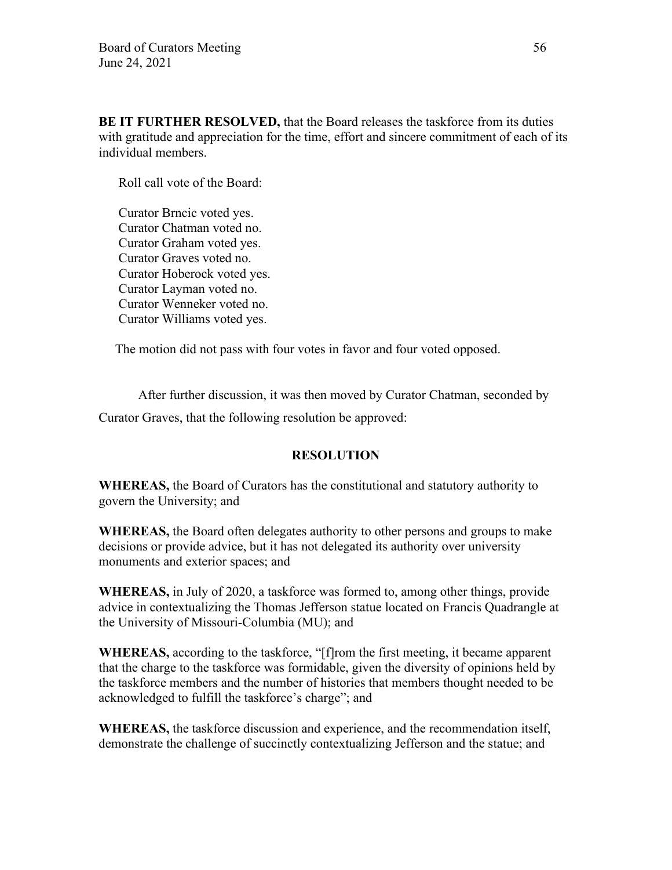**BE IT FURTHER RESOLVED,** that the Board releases the taskforce from its duties with gratitude and appreciation for the time, effort and sincere commitment of each of its individual members.

Roll call vote of the Board:

Curator Brncic voted yes. Curator Chatman voted no. Curator Graham voted yes. Curator Graves voted no. Curator Hoberock voted yes. Curator Layman voted no. Curator Wenneker voted no. Curator Williams voted yes.

The motion did not pass with four votes in favor and four voted opposed.

 After further discussion, it was then moved by Curator Chatman, seconded by Curator Graves, that the following resolution be approved:

# **RESOLUTION**

**WHEREAS,** the Board of Curators has the constitutional and statutory authority to govern the University; and

**WHEREAS,** the Board often delegates authority to other persons and groups to make decisions or provide advice, but it has not delegated its authority over university monuments and exterior spaces; and

**WHEREAS,** in July of 2020, a taskforce was formed to, among other things, provide advice in contextualizing the Thomas Jefferson statue located on Francis Quadrangle at the University of Missouri-Columbia (MU); and

**WHEREAS,** according to the taskforce, "[f]rom the first meeting, it became apparent that the charge to the taskforce was formidable, given the diversity of opinions held by the taskforce members and the number of histories that members thought needed to be acknowledged to fulfill the taskforce's charge"; and

**WHEREAS,** the taskforce discussion and experience, and the recommendation itself, demonstrate the challenge of succinctly contextualizing Jefferson and the statue; and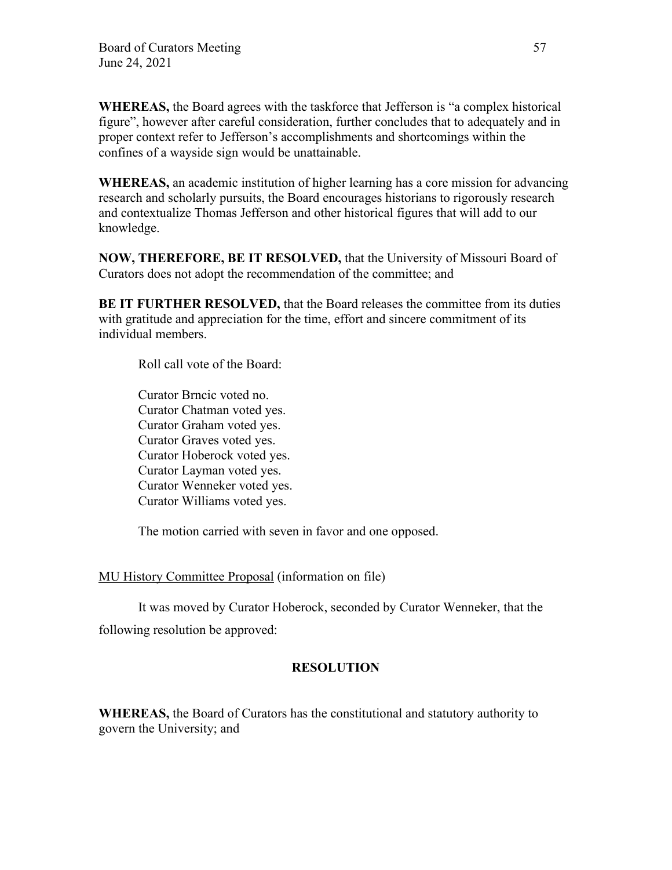**WHEREAS,** the Board agrees with the taskforce that Jefferson is "a complex historical figure", however after careful consideration, further concludes that to adequately and in proper context refer to Jefferson's accomplishments and shortcomings within the confines of a wayside sign would be unattainable.

**WHEREAS,** an academic institution of higher learning has a core mission for advancing research and scholarly pursuits, the Board encourages historians to rigorously research and contextualize Thomas Jefferson and other historical figures that will add to our knowledge.

**NOW, THEREFORE, BE IT RESOLVED,** that the University of Missouri Board of Curators does not adopt the recommendation of the committee; and

**BE IT FURTHER RESOLVED,** that the Board releases the committee from its duties with gratitude and appreciation for the time, effort and sincere commitment of its individual members.

Roll call vote of the Board:

 Curator Brncic voted no. Curator Chatman voted yes. Curator Graham voted yes. Curator Graves voted yes. Curator Hoberock voted yes. Curator Layman voted yes. Curator Wenneker voted yes. Curator Williams voted yes.

The motion carried with seven in favor and one opposed.

# MU History Committee Proposal (information on file)

 It was moved by Curator Hoberock, seconded by Curator Wenneker, that the following resolution be approved:

# **RESOLUTION**

**WHEREAS,** the Board of Curators has the constitutional and statutory authority to govern the University; and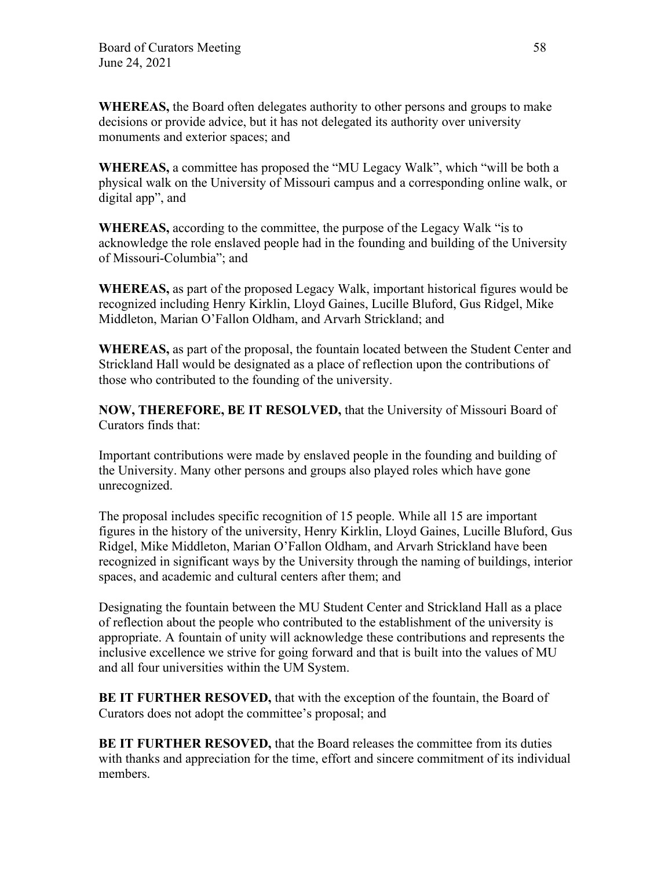**WHEREAS,** the Board often delegates authority to other persons and groups to make decisions or provide advice, but it has not delegated its authority over university monuments and exterior spaces; and

**WHEREAS,** a committee has proposed the "MU Legacy Walk", which "will be both a physical walk on the University of Missouri campus and a corresponding online walk, or digital app", and

**WHEREAS,** according to the committee, the purpose of the Legacy Walk "is to acknowledge the role enslaved people had in the founding and building of the University of Missouri-Columbia"; and

**WHEREAS,** as part of the proposed Legacy Walk, important historical figures would be recognized including Henry Kirklin, Lloyd Gaines, Lucille Bluford, Gus Ridgel, Mike Middleton, Marian O'Fallon Oldham, and Arvarh Strickland; and

**WHEREAS,** as part of the proposal, the fountain located between the Student Center and Strickland Hall would be designated as a place of reflection upon the contributions of those who contributed to the founding of the university.

**NOW, THEREFORE, BE IT RESOLVED,** that the University of Missouri Board of Curators finds that:

Important contributions were made by enslaved people in the founding and building of the University. Many other persons and groups also played roles which have gone unrecognized.

The proposal includes specific recognition of 15 people. While all 15 are important figures in the history of the university, Henry Kirklin, Lloyd Gaines, Lucille Bluford, Gus Ridgel, Mike Middleton, Marian O'Fallon Oldham, and Arvarh Strickland have been recognized in significant ways by the University through the naming of buildings, interior spaces, and academic and cultural centers after them; and

Designating the fountain between the MU Student Center and Strickland Hall as a place of reflection about the people who contributed to the establishment of the university is appropriate. A fountain of unity will acknowledge these contributions and represents the inclusive excellence we strive for going forward and that is built into the values of MU and all four universities within the UM System.

**BE IT FURTHER RESOVED,** that with the exception of the fountain, the Board of Curators does not adopt the committee's proposal; and

**BE IT FURTHER RESOVED,** that the Board releases the committee from its duties with thanks and appreciation for the time, effort and sincere commitment of its individual members.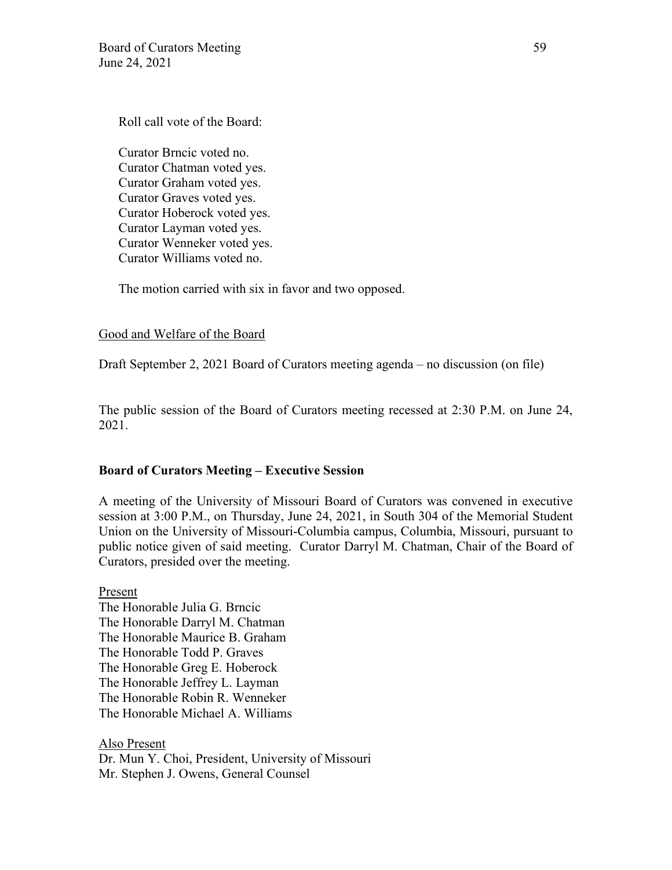Roll call vote of the Board:

Curator Brncic voted no. Curator Chatman voted yes. Curator Graham voted yes. Curator Graves voted yes. Curator Hoberock voted yes. Curator Layman voted yes. Curator Wenneker voted yes. Curator Williams voted no.

The motion carried with six in favor and two opposed.

### Good and Welfare of the Board

Draft September 2, 2021 Board of Curators meeting agenda – no discussion (on file)

The public session of the Board of Curators meeting recessed at 2:30 P.M. on June 24, 2021.

# **Board of Curators Meeting – Executive Session**

A meeting of the University of Missouri Board of Curators was convened in executive session at 3:00 P.M., on Thursday, June 24, 2021, in South 304 of the Memorial Student Union on the University of Missouri-Columbia campus, Columbia, Missouri, pursuant to public notice given of said meeting. Curator Darryl M. Chatman, Chair of the Board of Curators, presided over the meeting.

Present The Honorable Julia G. Brncic The Honorable Darryl M. Chatman The Honorable Maurice B. Graham The Honorable Todd P. Graves The Honorable Greg E. Hoberock The Honorable Jeffrey L. Layman The Honorable Robin R. Wenneker The Honorable Michael A. Williams

Also Present

Dr. Mun Y. Choi, President, University of Missouri Mr. Stephen J. Owens, General Counsel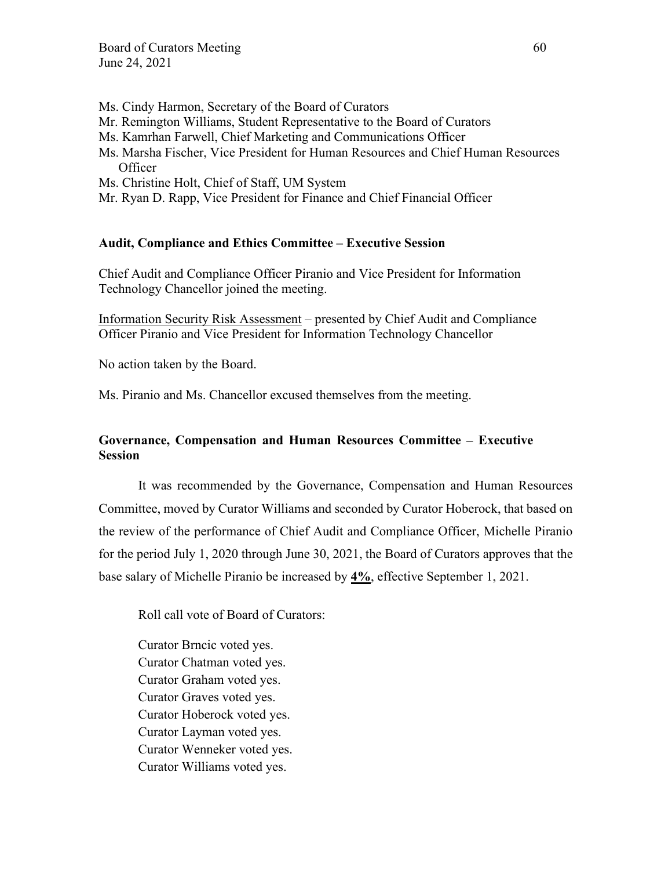- Ms. Cindy Harmon, Secretary of the Board of Curators
- Mr. Remington Williams, Student Representative to the Board of Curators
- Ms. Kamrhan Farwell, Chief Marketing and Communications Officer
- Ms. Marsha Fischer, Vice President for Human Resources and Chief Human Resources **Officer**
- Ms. Christine Holt, Chief of Staff, UM System
- Mr. Ryan D. Rapp, Vice President for Finance and Chief Financial Officer

#### **Audit, Compliance and Ethics Committee – Executive Session**

Chief Audit and Compliance Officer Piranio and Vice President for Information Technology Chancellor joined the meeting.

Information Security Risk Assessment – presented by Chief Audit and Compliance Officer Piranio and Vice President for Information Technology Chancellor

No action taken by the Board.

Ms. Piranio and Ms. Chancellor excused themselves from the meeting.

# **Governance, Compensation and Human Resources Committee – Executive Session**

It was recommended by the Governance, Compensation and Human Resources Committee, moved by Curator Williams and seconded by Curator Hoberock, that based on the review of the performance of Chief Audit and Compliance Officer, Michelle Piranio for the period July 1, 2020 through June 30, 2021, the Board of Curators approves that the base salary of Michelle Piranio be increased by **4%**, effective September 1, 2021.

Roll call vote of Board of Curators:

Curator Brncic voted yes. Curator Chatman voted yes. Curator Graham voted yes. Curator Graves voted yes. Curator Hoberock voted yes. Curator Layman voted yes. Curator Wenneker voted yes. Curator Williams voted yes.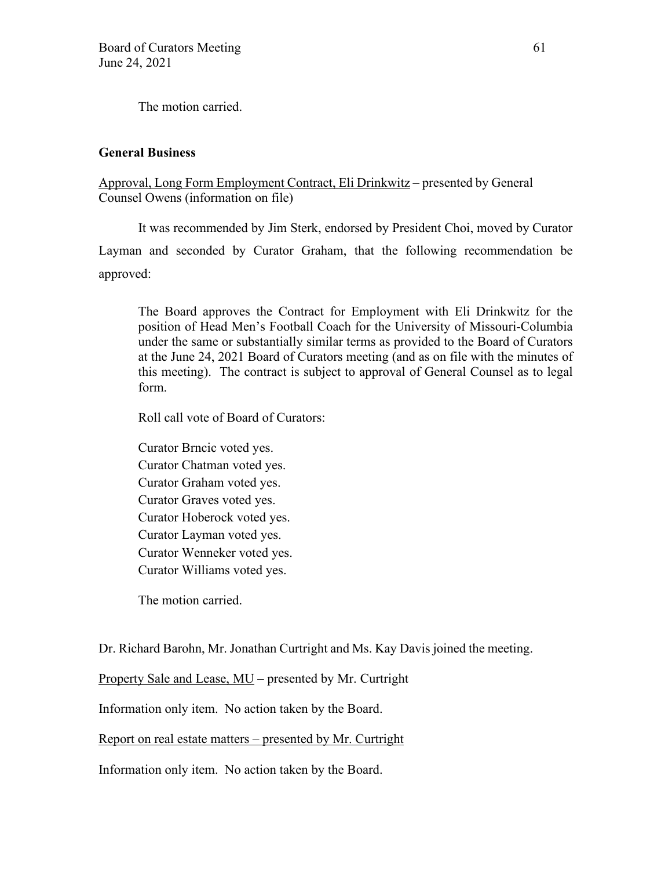The motion carried.

## **General Business**

Approval, Long Form Employment Contract, Eli Drinkwitz – presented by General Counsel Owens (information on file)

It was recommended by Jim Sterk, endorsed by President Choi, moved by Curator Layman and seconded by Curator Graham, that the following recommendation be approved:

The Board approves the Contract for Employment with Eli Drinkwitz for the position of Head Men's Football Coach for the University of Missouri-Columbia under the same or substantially similar terms as provided to the Board of Curators at the June 24, 2021 Board of Curators meeting (and as on file with the minutes of this meeting). The contract is subject to approval of General Counsel as to legal form.

Roll call vote of Board of Curators:

Curator Brncic voted yes. Curator Chatman voted yes. Curator Graham voted yes. Curator Graves voted yes. Curator Hoberock voted yes. Curator Layman voted yes. Curator Wenneker voted yes. Curator Williams voted yes.

The motion carried.

Dr. Richard Barohn, Mr. Jonathan Curtright and Ms. Kay Davis joined the meeting.

Property Sale and Lease, MU – presented by Mr. Curtright

Information only item. No action taken by the Board.

Report on real estate matters – presented by Mr. Curtright

Information only item. No action taken by the Board.